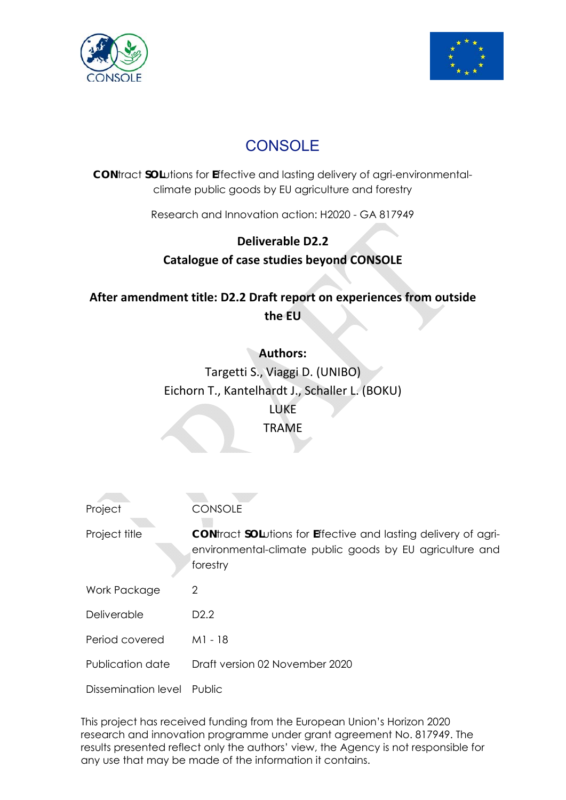



# **CONSOLE**

**CON**tract **SOL**utions for **E**ffective and lasting delivery of agri-environmentalclimate public goods by EU agriculture and forestry

Research and Innovation action: H2020 - GA 817949

### **Deliverable D2.2**

**Catalogue of case studies beyond CONSOLE** 

**After amendment title: D2.2 Draft report on experiences from outside the EU** 

> **Authors:**  Targetti S., Viaggi D. (UNIBO) Eichorn T., Kantelhardt J., Schaller L. (BOKU) LUKE TRAME

| Project             | <b>CONSOLE</b>                                                                                                                                 |
|---------------------|------------------------------------------------------------------------------------------------------------------------------------------------|
| Project title       | <b>CON</b> tract SOLutions for Effective and lasting delivery of agri-<br>environmental-climate public goods by EU agriculture and<br>forestry |
| Work Package        | 2                                                                                                                                              |
| Deliverable         | D <sub>2</sub> .2                                                                                                                              |
| Period covered      | M1 - 18                                                                                                                                        |
| Publication date    | Draft version 02 November 2020                                                                                                                 |
| Dissemination level | Public                                                                                                                                         |

This project has received funding from the European Union's Horizon 2020 research and innovation programme under grant agreement No. 817949. The results presented reflect only the authors' view, the Agency is not responsible for any use that may be made of the information it contains.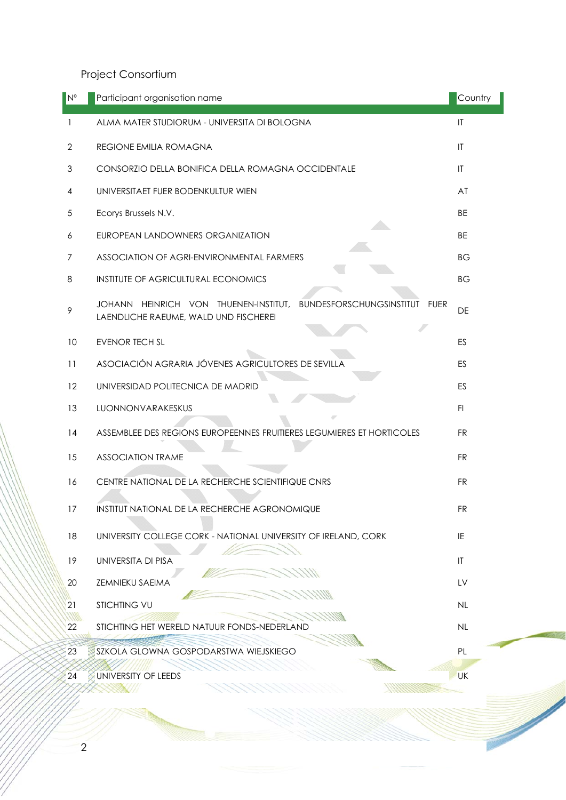Project Consortium

| IN°          | Participant organisation name                                                                                                | Country                |  |  |  |
|--------------|------------------------------------------------------------------------------------------------------------------------------|------------------------|--|--|--|
| 1            | ALMA MATER STUDIORUM - UNIVERSITA DI BOLOGNA                                                                                 | $\mathsf{I}\mathsf{T}$ |  |  |  |
| $\mathbf{2}$ | <b>REGIONE EMILIA ROMAGNA</b>                                                                                                | $\mathsf{I}\mathsf{T}$ |  |  |  |
| 3            | CONSORZIO DELLA BONIFICA DELLA ROMAGNA OCCIDENTALE                                                                           | $\mathsf{I}\mathsf{T}$ |  |  |  |
| 4            | UNIVERSITAET FUER BODENKULTUR WIEN                                                                                           | AT                     |  |  |  |
| 5            | Ecorys Brussels N.V.                                                                                                         | <b>BE</b>              |  |  |  |
| 6            | EUROPEAN LANDOWNERS ORGANIZATION                                                                                             | BE                     |  |  |  |
| 7            | ASSOCIATION OF AGRI-ENVIRONMENTAL FARMERS                                                                                    | ВG                     |  |  |  |
| 8            | INSTITUTE OF AGRICULTURAL ECONOMICS                                                                                          | ВG                     |  |  |  |
| 9            | BUNDESFORSCHUNGSINSTITUT<br>HEINRICH VON THUENEN-INSTITUT,<br><b>FUER</b><br>JOHANN<br>LAENDLICHE RAEUME, WALD UND FISCHEREI | DE                     |  |  |  |
| 10           | <b>EVENOR TECH SL</b>                                                                                                        | ES                     |  |  |  |
| 11           | ASOCIACIÓN AGRARIA JÓVENES AGRICULTORES DE SEVILLA                                                                           | ES                     |  |  |  |
| 12           | UNIVERSIDAD POLITECNICA DE MADRID                                                                                            | ES                     |  |  |  |
| 13           | LUONNONVARAKESKUS                                                                                                            | F1                     |  |  |  |
| 14           | ASSEMBLEE DES REGIONS EUROPEENNES FRUITIERES LEGUMIERES ET HORTICOLES                                                        | <b>FR</b>              |  |  |  |
| 15           | <b>ASSOCIATION TRAME</b>                                                                                                     | <b>FR</b>              |  |  |  |
| 16           | CENTRE NATIONAL DE LA RECHERCHE SCIENTIFIQUE CNRS                                                                            |                        |  |  |  |
| 17           | INSTITUT NATIONAL DE LA RECHERCHE AGRONOMIQUE                                                                                | <b>FR</b>              |  |  |  |
| 18           | UNIVERSITY COLLEGE CORK - NATIONAL UNIVERSITY OF IRELAND, CORK                                                               | IE                     |  |  |  |
| 19           | UNIVERSITA DI PISA                                                                                                           | $\mathsf{I}$           |  |  |  |
| 20           | <b>ZEMNIEKU SAEIMA</b>                                                                                                       | LV                     |  |  |  |
| 21           | <b>STICHTING VU</b>                                                                                                          | <b>NL</b>              |  |  |  |
| 22           | STICHTING HET WERELD NATUUR FONDS-NEDERLAND                                                                                  | NL                     |  |  |  |
| 23           | SZKOLA GLOWNA GOSPODARSTWA WIEJSKIEGO                                                                                        | PL                     |  |  |  |
| 24           | UNIVERSITY OF LEEDS                                                                                                          | UK                     |  |  |  |
|              |                                                                                                                              |                        |  |  |  |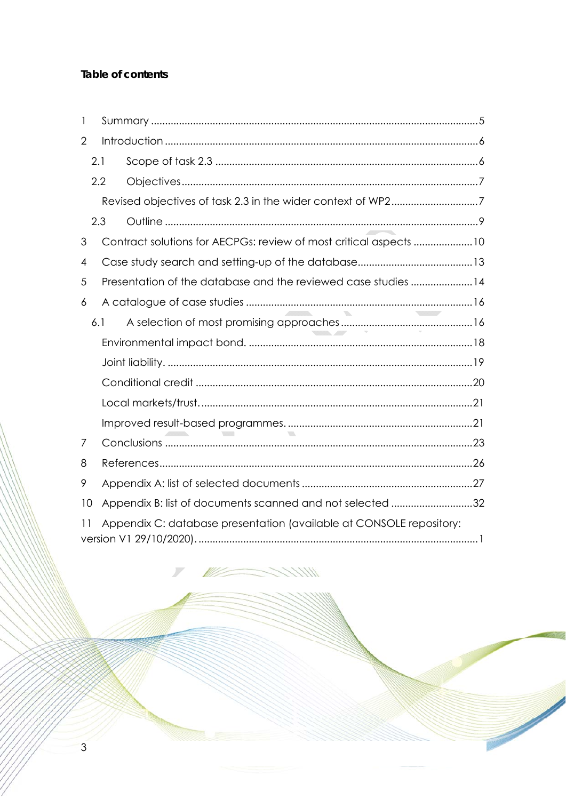### Table of contents

| 1              |                                                                     |                                                                   |  |  |  |  |  |
|----------------|---------------------------------------------------------------------|-------------------------------------------------------------------|--|--|--|--|--|
| $\overline{2}$ |                                                                     |                                                                   |  |  |  |  |  |
|                | 2.1                                                                 |                                                                   |  |  |  |  |  |
|                | 2.2                                                                 |                                                                   |  |  |  |  |  |
|                |                                                                     |                                                                   |  |  |  |  |  |
|                | 2.3                                                                 |                                                                   |  |  |  |  |  |
| 3              |                                                                     | Contract solutions for AECPGs: review of most critical aspects 10 |  |  |  |  |  |
| 4              |                                                                     |                                                                   |  |  |  |  |  |
| 5              | Presentation of the database and the reviewed case studies 14       |                                                                   |  |  |  |  |  |
| 6              |                                                                     |                                                                   |  |  |  |  |  |
|                | 6.1                                                                 | <b>Silver Controller Controller</b>                               |  |  |  |  |  |
|                |                                                                     |                                                                   |  |  |  |  |  |
|                |                                                                     |                                                                   |  |  |  |  |  |
|                |                                                                     |                                                                   |  |  |  |  |  |
|                |                                                                     |                                                                   |  |  |  |  |  |
|                |                                                                     |                                                                   |  |  |  |  |  |
| 7              |                                                                     |                                                                   |  |  |  |  |  |
| 8              |                                                                     |                                                                   |  |  |  |  |  |
| 9              |                                                                     |                                                                   |  |  |  |  |  |
| 10             |                                                                     | Appendix B: list of documents scanned and not selected 32         |  |  |  |  |  |
| 11             | Appendix C: database presentation (available at CONSOLE repository: |                                                                   |  |  |  |  |  |

1111

**Contract Contract Contract Contract Contract Contract Contract Contract Contract Contract Contract Contract Contract Contract Contract Contract Contract Contract Contract Contract Contract Contract Contract Contract Contr** 

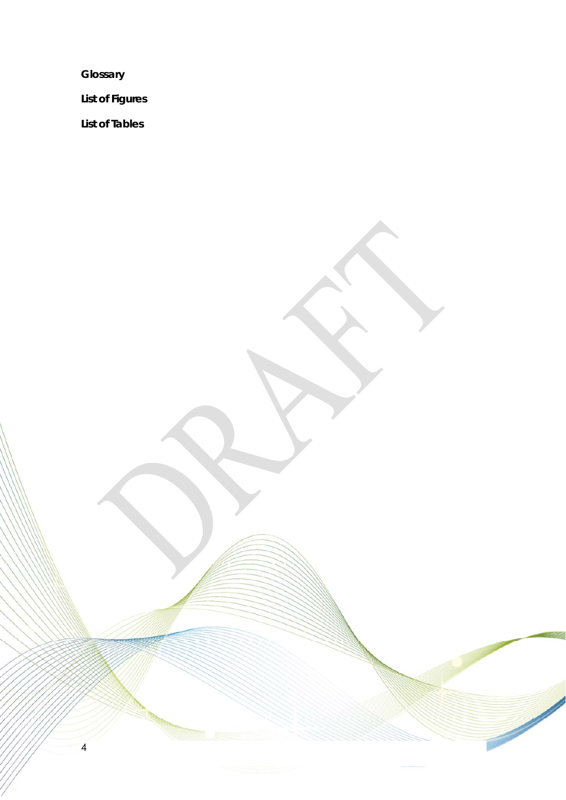**Glossary** 

4

**List of Figures** 

**List of Tables**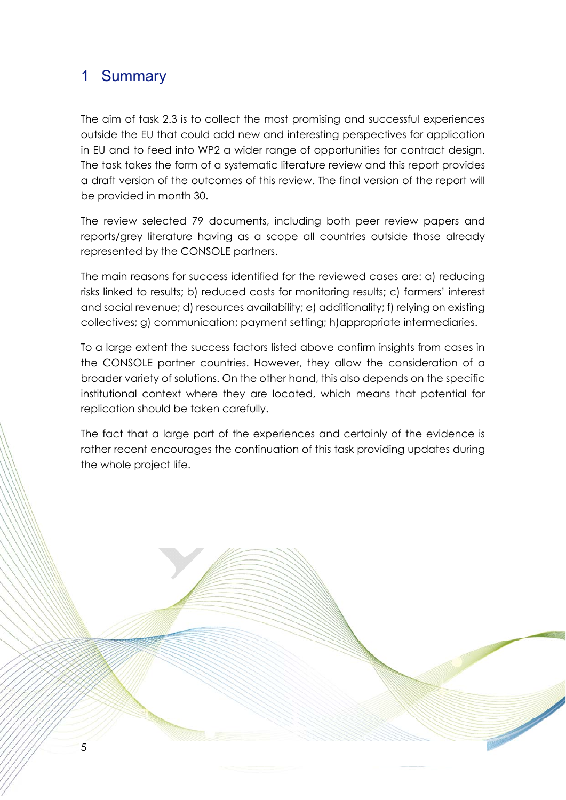# 1 Summary

5

The aim of task 2.3 is to collect the most promising and successful experiences outside the EU that could add new and interesting perspectives for application in EU and to feed into WP2 a wider range of opportunities for contract design. The task takes the form of a systematic literature review and this report provides a draft version of the outcomes of this review. The final version of the report will be provided in month 30.

The review selected 79 documents, including both peer review papers and reports/grey literature having as a scope all countries outside those already represented by the CONSOLE partners.

The main reasons for success identified for the reviewed cases are: a) reducing risks linked to results; b) reduced costs for monitoring results; c) farmers' interest and social revenue; d) resources availability; e) additionality; f) relying on existing collectives; g) communication; payment setting; h)appropriate intermediaries.

To a large extent the success factors listed above confirm insights from cases in the CONSOLE partner countries. However, they allow the consideration of a broader variety of solutions. On the other hand, this also depends on the specific institutional context where they are located, which means that potential for replication should be taken carefully.

The fact that a large part of the experiences and certainly of the evidence is rather recent encourages the continuation of this task providing updates during the whole project life.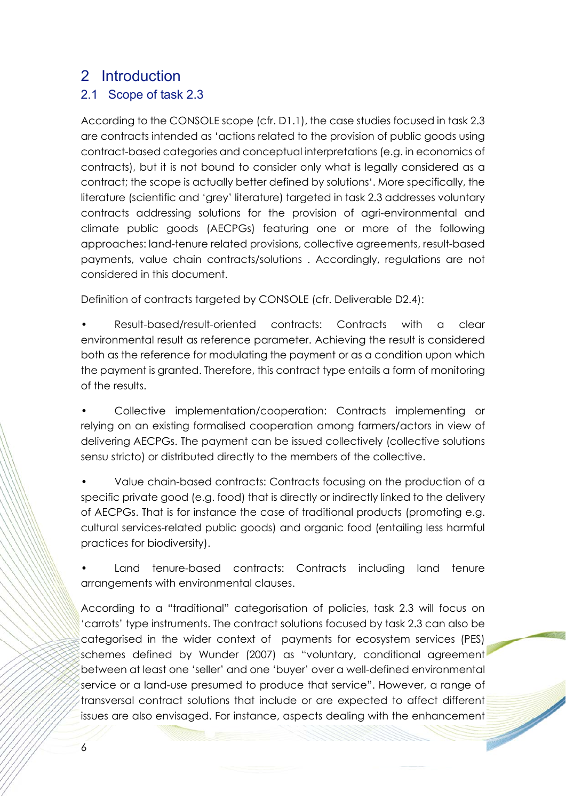# 2 Introduction

### 2.1 Scope of task 2.3

According to the CONSOLE scope (cfr. D1.1), the case studies focused in task 2.3 are contracts intended as 'actions related to the provision of public goods using contract-based categories and conceptual interpretations (e.g. in economics of contracts), but it is not bound to consider only what is legally considered as a contract; the scope is actually better defined by solutions'. More specifically, the literature (scientific and 'grey' literature) targeted in task 2.3 addresses voluntary contracts addressing solutions for the provision of agri-environmental and climate public goods (AECPGs) featuring one or more of the following approaches: land-tenure related provisions, collective agreements, result-based payments, value chain contracts/solutions . Accordingly, regulations are not considered in this document.

Definition of contracts targeted by CONSOLE (cfr. Deliverable D2.4):

- Result-based/result-oriented contracts: Contracts with a clear environmental result as reference parameter. Achieving the result is considered both as the reference for modulating the payment or as a condition upon which the payment is granted. Therefore, this contract type entails a form of monitoring of the results.
- Collective implementation/cooperation: Contracts implementing or relying on an existing formalised cooperation among farmers/actors in view of delivering AECPGs. The payment can be issued collectively (collective solutions sensu stricto) or distributed directly to the members of the collective.
- Value chain-based contracts: Contracts focusing on the production of a specific private good (e.g. food) that is directly or indirectly linked to the delivery of AECPGs. That is for instance the case of traditional products (promoting e.g. cultural services-related public goods) and organic food (entailing less harmful practices for biodiversity).
- Land tenure-based contracts: Contracts including land tenure arrangements with environmental clauses.

According to a "traditional" categorisation of policies, task 2.3 will focus on 'carrots' type instruments. The contract solutions focused by task 2.3 can also be categorised in the wider context of payments for ecosystem services (PES) schemes defined by Wunder (2007) as "voluntary, conditional agreement between at least one 'seller' and one 'buyer' over a well-defined environmental service or a land-use presumed to produce that service". However, a range of transversal contract solutions that include or are expected to affect different issues are also envisaged. For instance, aspects dealing with the enhancement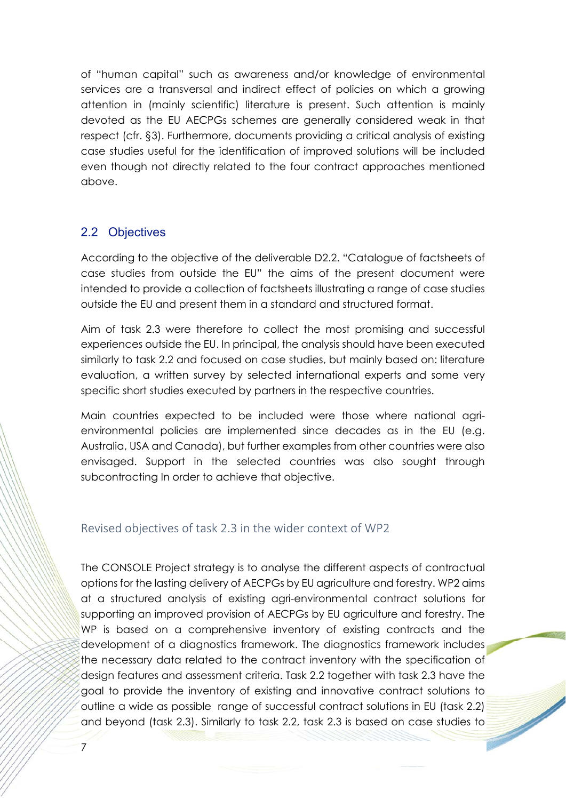of "human capital" such as awareness and/or knowledge of environmental services are a transversal and indirect effect of policies on which a growing attention in (mainly scientific) literature is present. Such attention is mainly devoted as the EU AECPGs schemes are generally considered weak in that respect (cfr. §3). Furthermore, documents providing a critical analysis of existing case studies useful for the identification of improved solutions will be included even though not directly related to the four contract approaches mentioned above.

### 2.2 Objectives

According to the objective of the deliverable D2.2. "Catalogue of factsheets of case studies from outside the EU" the aims of the present document were intended to provide a collection of factsheets illustrating a range of case studies outside the EU and present them in a standard and structured format.

Aim of task 2.3 were therefore to collect the most promising and successful experiences outside the EU. In principal, the analysis should have been executed similarly to task 2.2 and focused on case studies, but mainly based on: literature evaluation, a written survey by selected international experts and some very specific short studies executed by partners in the respective countries.

Main countries expected to be included were those where national agrienvironmental policies are implemented since decades as in the EU (e.g. Australia, USA and Canada), but further examples from other countries were also envisaged. Support in the selected countries was also sought through subcontracting In order to achieve that objective.

### Revised objectives of task 2.3 in the wider context of WP2

The CONSOLE Project strategy is to analyse the different aspects of contractual options for the lasting delivery of AECPGs by EU agriculture and forestry. WP2 aims at a structured analysis of existing agri-environmental contract solutions for supporting an improved provision of AECPGs by EU agriculture and forestry. The WP is based on a comprehensive inventory of existing contracts and the development of a diagnostics framework. The diagnostics framework includes the necessary data related to the contract inventory with the specification of design features and assessment criteria. Task 2.2 together with task 2.3 have the goal to provide the inventory of existing and innovative contract solutions to outline a wide as possible range of successful contract solutions in EU (task 2.2) and beyond (task 2.3). Similarly to task 2.2, task 2.3 is based on case studies to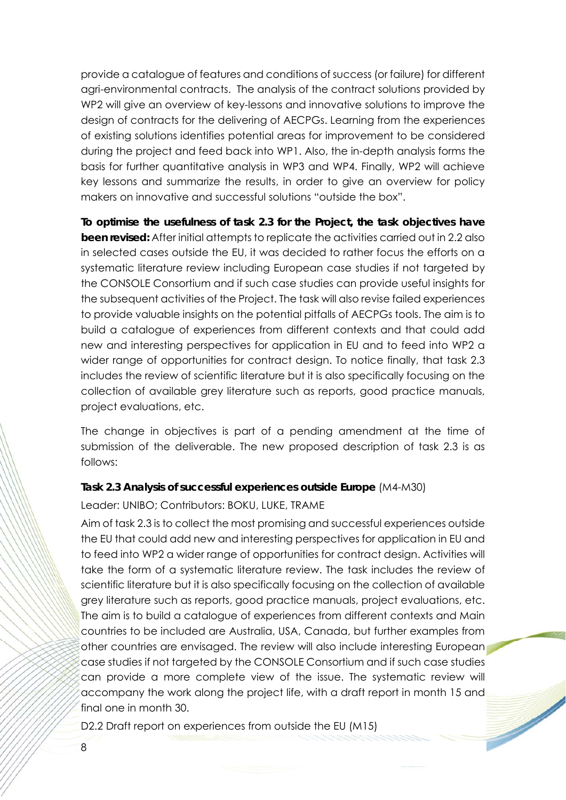provide a catalogue of features and conditions of success (or failure) for different agri-environmental contracts. The analysis of the contract solutions provided by WP2 will give an overview of key-lessons and innovative solutions to improve the design of contracts for the delivering of AECPGs. Learning from the experiences of existing solutions identifies potential areas for improvement to be considered during the project and feed back into WP1. Also, the in-depth analysis forms the basis for further quantitative analysis in WP3 and WP4. Finally, WP2 will achieve key lessons and summarize the results, in order to give an overview for policy makers on innovative and successful solutions "outside the box".

**To optimise the usefulness of task 2.3 for the Project, the task objectives have been revised:** After initial attempts to replicate the activities carried out in 2.2 also in selected cases outside the EU, it was decided to rather focus the efforts on a systematic literature review including European case studies if not targeted by the CONSOLE Consortium and if such case studies can provide useful insights for the subsequent activities of the Project. The task will also revise failed experiences to provide valuable insights on the potential pitfalls of AECPGs tools. The aim is to build a catalogue of experiences from different contexts and that could add new and interesting perspectives for application in EU and to feed into WP2 a wider range of opportunities for contract design. To notice finally, that task 2.3 includes the review of scientific literature but it is also specifically focusing on the collection of available grey literature such as reports, good practice manuals, project evaluations, etc.

The change in objectives is part of a pending amendment at the time of submission of the deliverable. The new proposed description of task 2.3 is as follows:

#### **Task 2.3 Analysis of successful experiences outside Europe** (M4-M30)

Leader: UNIBO; Contributors: BOKU, LUKE, TRAME

Aim of task 2.3 is to collect the most promising and successful experiences outside the EU that could add new and interesting perspectives for application in EU and to feed into WP2 a wider range of opportunities for contract design. Activities will take the form of a systematic literature review. The task includes the review of scientific literature but it is also specifically focusing on the collection of available grey literature such as reports, good practice manuals, project evaluations, etc. The aim is to build a catalogue of experiences from different contexts and Main countries to be included are Australia, USA, Canada, but further examples from other countries are envisaged. The review will also include interesting European case studies if not targeted by the CONSOLE Consortium and if such case studies can provide a more complete view of the issue. The systematic review will accompany the work along the project life, with a draft report in month 15 and final one in month 30.

 $\overline{\phantom{a}}$ 

D2.2 Draft report on experiences from outside the EU (M15)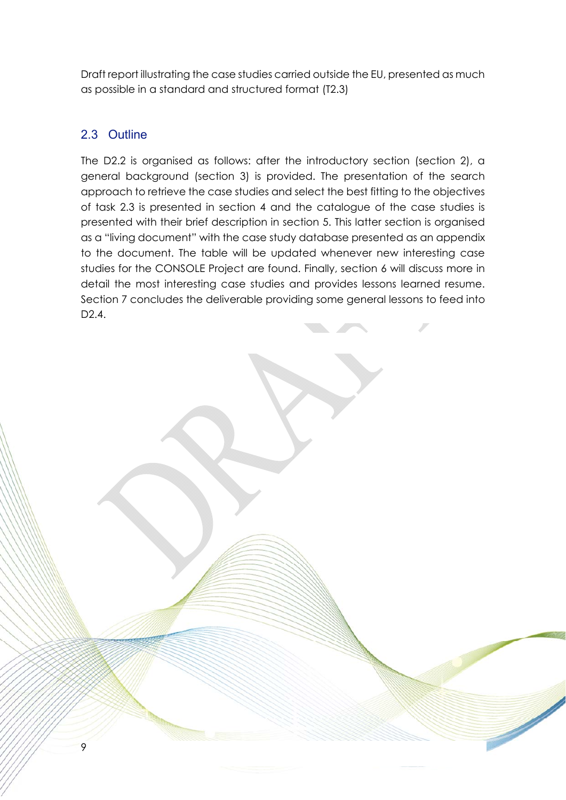Draft report illustrating the case studies carried outside the EU, presented as much as possible in a standard and structured format (T2.3)

### 2.3 Outline

9

The D2.2 is organised as follows: after the introductory section (section 2), a general background (section 3) is provided. The presentation of the search approach to retrieve the case studies and select the best fitting to the objectives of task 2.3 is presented in section 4 and the catalogue of the case studies is presented with their brief description in section 5. This latter section is organised as a "living document" with the case study database presented as an appendix to the document. The table will be updated whenever new interesting case studies for the CONSOLE Project are found. Finally, section 6 will discuss more in detail the most interesting case studies and provides lessons learned resume. Section 7 concludes the deliverable providing some general lessons to feed into D<sub>2</sub>.4.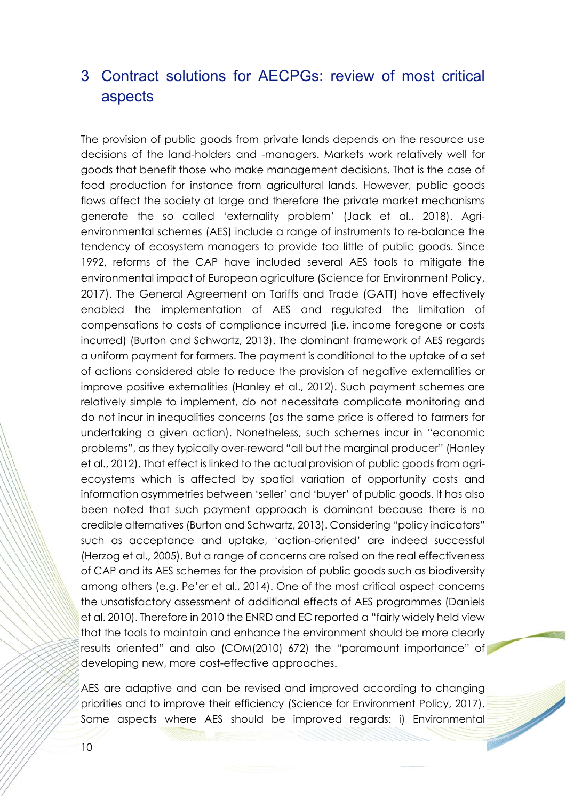# 3 Contract solutions for AECPGs: review of most critical aspects

The provision of public goods from private lands depends on the resource use decisions of the land-holders and -managers. Markets work relatively well for goods that benefit those who make management decisions. That is the case of food production for instance from agricultural lands. However, public goods flows affect the society at large and therefore the private market mechanisms generate the so called 'externality problem' (Jack et al., 2018). Agrienvironmental schemes (AES) include a range of instruments to re-balance the tendency of ecosystem managers to provide too little of public goods. Since 1992, reforms of the CAP have included several AES tools to mitigate the environmental impact of European agriculture (Science for Environment Policy, 2017). The General Agreement on Tariffs and Trade (GATT) have effectively enabled the implementation of AES and regulated the limitation of compensations to costs of compliance incurred (i.e. income foregone or costs incurred) (Burton and Schwartz, 2013). The dominant framework of AES regards a uniform payment for farmers. The payment is conditional to the uptake of a set of actions considered able to reduce the provision of negative externalities or improve positive externalities (Hanley et al., 2012). Such payment schemes are relatively simple to implement, do not necessitate complicate monitoring and do not incur in inequalities concerns (as the same price is offered to farmers for undertaking a given action). Nonetheless, such schemes incur in "economic problems", as they typically over-reward "all but the marginal producer" (Hanley et al., 2012). That effect is linked to the actual provision of public goods from agriecoystems which is affected by spatial variation of opportunity costs and information asymmetries between 'seller' and 'buyer' of public goods. It has also been noted that such payment approach is dominant because there is no credible alternatives (Burton and Schwartz, 2013). Considering "policy indicators" such as acceptance and uptake, 'action-oriented' are indeed successful (Herzog et al., 2005). But a range of concerns are raised on the real effectiveness of CAP and its AES schemes for the provision of public goods such as biodiversity among others (e.g. Pe'er et al., 2014). One of the most critical aspect concerns the unsatisfactory assessment of additional effects of AES programmes (Daniels et al. 2010). Therefore in 2010 the ENRD and EC reported a "fairly widely held view that the tools to maintain and enhance the environment should be more clearly results oriented" and also (COM(2010) 672) the "paramount importance" of developing new, more cost-effective approaches.

AES are adaptive and can be revised and improved according to changing priorities and to improve their efficiency (Science for Environment Policy, 2017). Some aspects where AES should be improved regards: i) Environmental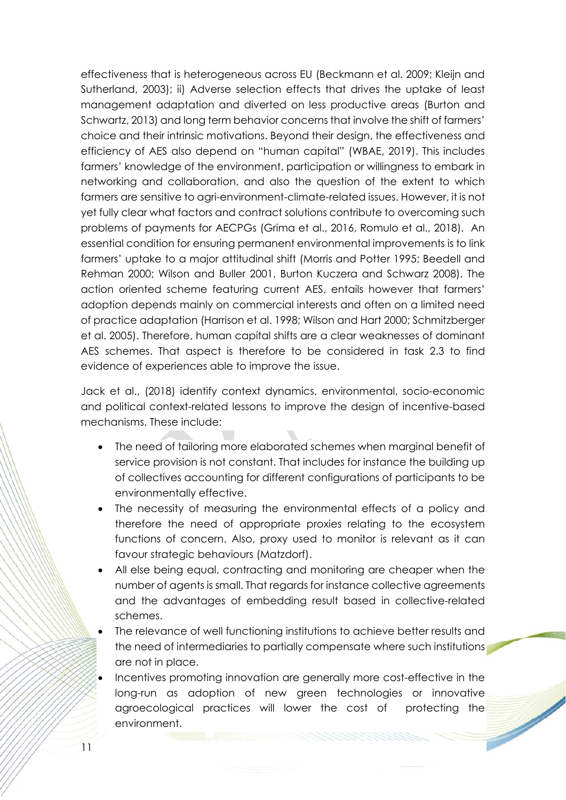effectiveness that is heterogeneous across EU (Beckmann et al. 2009; Kleijn and Sutherland, 2003); ii) Adverse selection effects that drives the uptake of least management adaptation and diverted on less productive areas (Burton and Schwartz, 2013) and long term behavior concerns that involve the shift of farmers' choice and their intrinsic motivations. Beyond their design, the effectiveness and efficiency of AES also depend on "human capital" (WBAE, 2019). This includes farmers' knowledge of the environment, participation or willingness to embark in networking and collaboration, and also the question of the extent to which farmers are sensitive to agri-environment-climate-related issues. However, it is not yet fully clear what factors and contract solutions contribute to overcoming such problems of payments for AECPGs (Grima et al., 2016, Romulo et al., 2018). An essential condition for ensuring permanent environmental improvements is to link farmers' uptake to a major attitudinal shift (Morris and Potter 1995; Beedell and Rehman 2000; Wilson and Buller 2001, Burton Kuczera and Schwarz 2008). The action oriented scheme featuring current AES, entails however that farmers' adoption depends mainly on commercial interests and often on a limited need of practice adaptation (Harrison et al. 1998; Wilson and Hart 2000; Schmitzberger et al. 2005). Therefore, human capital shifts are a clear weaknesses of dominant AES schemes. That aspect is therefore to be considered in task 2.3 to find evidence of experiences able to improve the issue.

Jack et al., (2018) identify context dynamics, environmental, socio-economic and political context-related lessons to improve the design of incentive-based mechanisms. These include:

- The need of tailoring more elaborated schemes when marginal benefit of service provision is not constant. That includes for instance the building up of collectives accounting for different configurations of participants to be environmentally effective.
- The necessity of measuring the environmental effects of a policy and therefore the need of appropriate proxies relating to the ecosystem functions of concern. Also, proxy used to monitor is relevant as it can favour strategic behaviours (Matzdorf).
- All else being equal, contracting and monitoring are cheaper when the number of agents is small. That regards for instance collective agreements and the advantages of embedding result based in collective-related schemes.
- The relevance of well functioning institutions to achieve better results and the need of intermediaries to partially compensate where such institutions are not in place.
- Incentives promoting innovation are generally more cost-effective in the long-run as adoption of new green technologies or innovative agroecological practices will lower the cost of protecting the environment.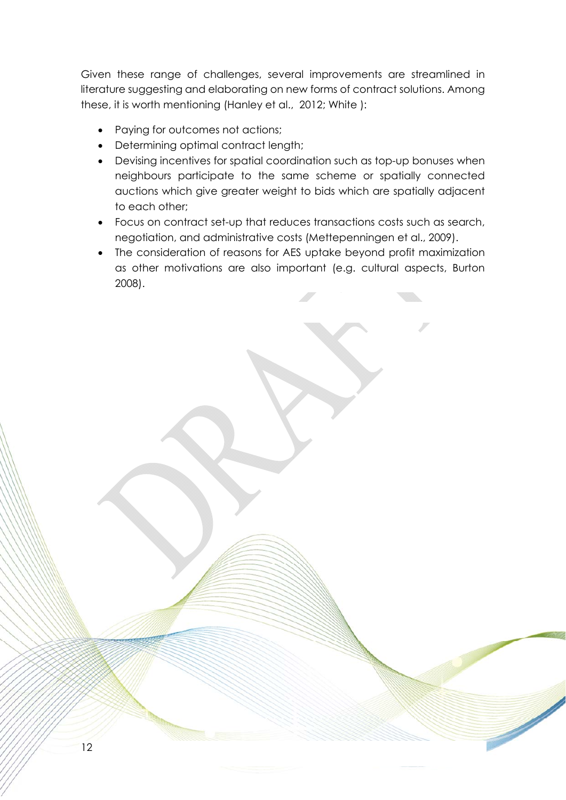Given these range of challenges, several improvements are streamlined in literature suggesting and elaborating on new forms of contract solutions. Among these, it is worth mentioning (Hanley et al., 2012; White ):

• Paying for outcomes not actions;

- Determining optimal contract length;
- Devising incentives for spatial coordination such as top-up bonuses when neighbours participate to the same scheme or spatially connected auctions which give greater weight to bids which are spatially adjacent to each other;
- Focus on contract set-up that reduces transactions costs such as search, negotiation, and administrative costs (Mettepenningen et al., 2009).
- The consideration of reasons for AES uptake beyond profit maximization as other motivations are also important (e.g. cultural aspects, Burton 2008).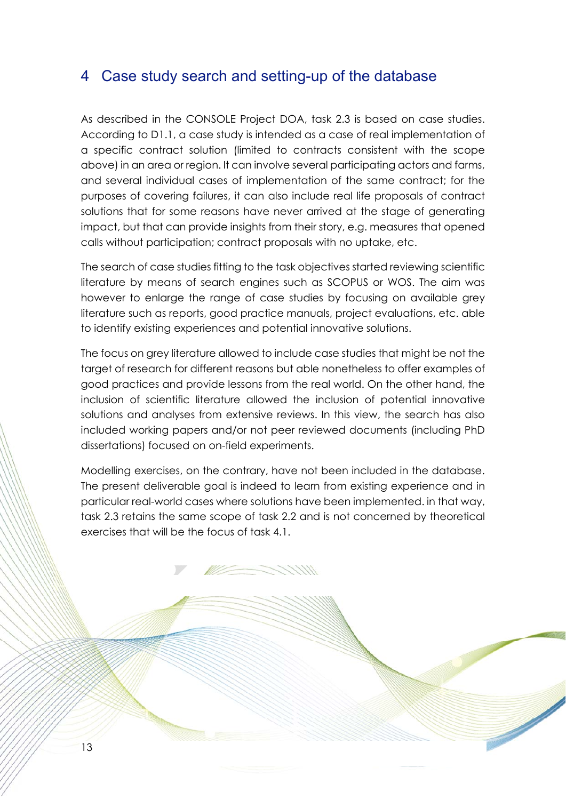## 4 Case study search and setting-up of the database

As described in the CONSOLE Project DOA, task 2.3 is based on case studies. According to D1.1, a case study is intended as a case of real implementation of a specific contract solution (limited to contracts consistent with the scope above) in an area or region. It can involve several participating actors and farms, and several individual cases of implementation of the same contract; for the purposes of covering failures, it can also include real life proposals of contract solutions that for some reasons have never arrived at the stage of generating impact, but that can provide insights from their story, e.g. measures that opened calls without participation; contract proposals with no uptake, etc.

The search of case studies fitting to the task objectives started reviewing scientific literature by means of search engines such as SCOPUS or WOS. The aim was however to enlarge the range of case studies by focusing on available grey literature such as reports, good practice manuals, project evaluations, etc. able to identify existing experiences and potential innovative solutions.

The focus on grey literature allowed to include case studies that might be not the target of research for different reasons but able nonetheless to offer examples of good practices and provide lessons from the real world. On the other hand, the inclusion of scientific literature allowed the inclusion of potential innovative solutions and analyses from extensive reviews. In this view, the search has also included working papers and/or not peer reviewed documents (including PhD dissertations) focused on on-field experiments.

Modelling exercises, on the contrary, have not been included in the database. The present deliverable goal is indeed to learn from existing experience and in particular real-world cases where solutions have been implemented. in that way, task 2.3 retains the same scope of task 2.2 and is not concerned by theoretical exercises that will be the focus of task 4.1.

**MANARIAN STANDARD STANDARD STANDARD STANDARD STANDARD STANDARD STANDARD STANDARD STANDARD STANDARD STANDARD ST**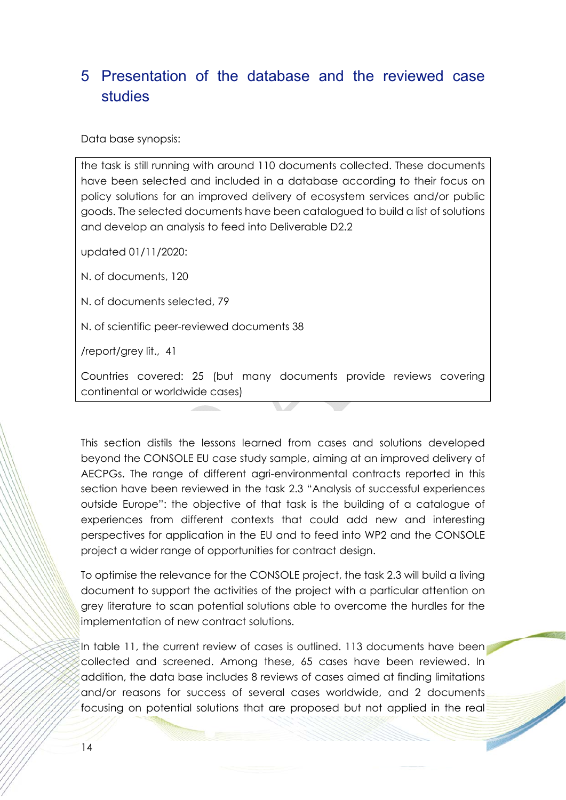# 5 Presentation of the database and the reviewed case studies

Data base synopsis:

the task is still running with around 110 documents collected. These documents have been selected and included in a database according to their focus on policy solutions for an improved delivery of ecosystem services and/or public goods. The selected documents have been catalogued to build a list of solutions and develop an analysis to feed into Deliverable D2.2

updated 01/11/2020:

N. of documents, 120

N. of documents selected, 79

N. of scientific peer-reviewed documents 38

/report/grey lit., 41

Countries covered: 25 (but many documents provide reviews covering continental or worldwide cases)

This section distils the lessons learned from cases and solutions developed beyond the CONSOLE EU case study sample, aiming at an improved delivery of AECPGs. The range of different agri-environmental contracts reported in this section have been reviewed in the task 2.3 "Analysis of successful experiences outside Europe": the objective of that task is the building of a catalogue of experiences from different contexts that could add new and interesting perspectives for application in the EU and to feed into WP2 and the CONSOLE project a wider range of opportunities for contract design.

To optimise the relevance for the CONSOLE project, the task 2.3 will build a living document to support the activities of the project with a particular attention on grey literature to scan potential solutions able to overcome the hurdles for the implementation of new contract solutions.

In table 11, the current review of cases is outlined. 113 documents have been collected and screened. Among these, 65 cases have been reviewed. In addition, the data base includes 8 reviews of cases aimed at finding limitations and/or reasons for success of several cases worldwide, and 2 documents focusing on potential solutions that are proposed but not applied in the real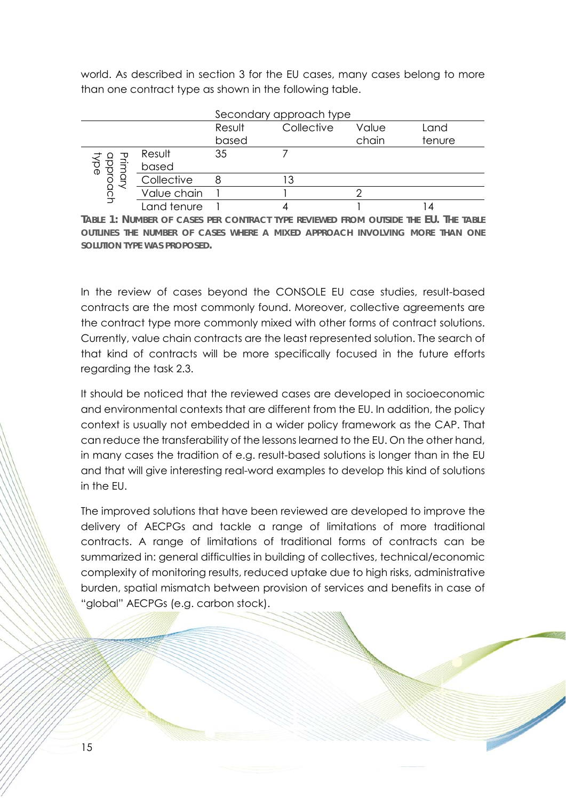world. As described in section 3 for the EU cases, many cases belong to more than one contract type as shown in the following table.

|                  |             | Secondary approach type |            |       |        |  |  |
|------------------|-------------|-------------------------|------------|-------|--------|--|--|
|                  |             | Result                  | Collective | Value | Land   |  |  |
|                  |             | based                   |            | chain | tenure |  |  |
| ᠊᠊ᡆ              | Result      | 35                      |            |       |        |  |  |
| pproac<br>ି<br>ବ | based       |                         |            |       |        |  |  |
|                  | Collective  |                         |            |       |        |  |  |
|                  | Value chain |                         |            |       |        |  |  |
|                  | Land tenure |                         |            |       |        |  |  |

**TABLE 1: NUMBER OF CASES PER CONTRACT TYPE REVIEWED FROM OUTSIDE THE EU. THE TABLE OUTLINES THE NUMBER OF CASES WHERE A MIXED APPROACH INVOLVING MORE THAN ONE SOLUTION TYPE WAS PROPOSED.** 

In the review of cases beyond the CONSOLE EU case studies, result-based contracts are the most commonly found. Moreover, collective agreements are the contract type more commonly mixed with other forms of contract solutions. Currently, value chain contracts are the least represented solution. The search of that kind of contracts will be more specifically focused in the future efforts regarding the task 2.3.

It should be noticed that the reviewed cases are developed in socioeconomic and environmental contexts that are different from the EU. In addition, the policy context is usually not embedded in a wider policy framework as the CAP. That can reduce the transferability of the lessons learned to the EU. On the other hand, in many cases the tradition of e.g. result-based solutions is longer than in the EU and that will give interesting real-word examples to develop this kind of solutions in the EU.

The improved solutions that have been reviewed are developed to improve the delivery of AECPGs and tackle a range of limitations of more traditional contracts. A range of limitations of traditional forms of contracts can be summarized in: general difficulties in building of collectives, technical/economic complexity of monitoring results, reduced uptake due to high risks, administrative burden, spatial mismatch between provision of services and benefits in case of "global" AECPGs (e.g. carbon stock).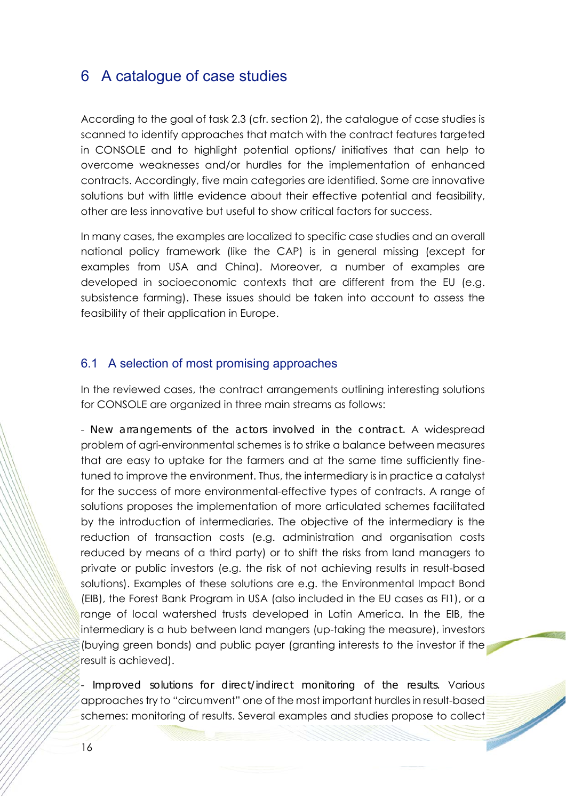### 6 A catalogue of case studies

According to the goal of task 2.3 (cfr. section 2), the catalogue of case studies is scanned to identify approaches that match with the contract features targeted in CONSOLE and to highlight potential options/ initiatives that can help to overcome weaknesses and/or hurdles for the implementation of enhanced contracts. Accordingly, five main categories are identified. Some are innovative solutions but with little evidence about their effective potential and feasibility, other are less innovative but useful to show critical factors for success.

In many cases, the examples are localized to specific case studies and an overall national policy framework (like the CAP) is in general missing (except for examples from USA and China). Moreover, a number of examples are developed in socioeconomic contexts that are different from the EU (e.g. subsistence farming). These issues should be taken into account to assess the feasibility of their application in Europe.

#### 6.1 A selection of most promising approaches

In the reviewed cases, the contract arrangements outlining interesting solutions for CONSOLE are organized in three main streams as follows:

- *New arrangements of the actors involved in the contract.* A widespread problem of agri-environmental schemes is to strike a balance between measures that are easy to uptake for the farmers and at the same time sufficiently finetuned to improve the environment. Thus, the intermediary is in practice a catalyst for the success of more environmental-effective types of contracts. A range of solutions proposes the implementation of more articulated schemes facilitated by the introduction of intermediaries. The objective of the intermediary is the reduction of transaction costs (e.g. administration and organisation costs reduced by means of a third party) or to shift the risks from land managers to private or public investors (e.g. the risk of not achieving results in result-based solutions). Examples of these solutions are e.g. the Environmental Impact Bond (EIB), the Forest Bank Program in USA (also included in the EU cases as FI1), or a range of local watershed trusts developed in Latin America. In the EIB, the intermediary is a hub between land mangers (up-taking the measure), investors (buying green bonds) and public payer (granting interests to the investor if the result is achieved).

- *Improved solutions for direct/indirect monitoring of the results.* Various approaches try to "circumvent" one of the most important hurdles in result-based schemes: monitoring of results. Several examples and studies propose to collect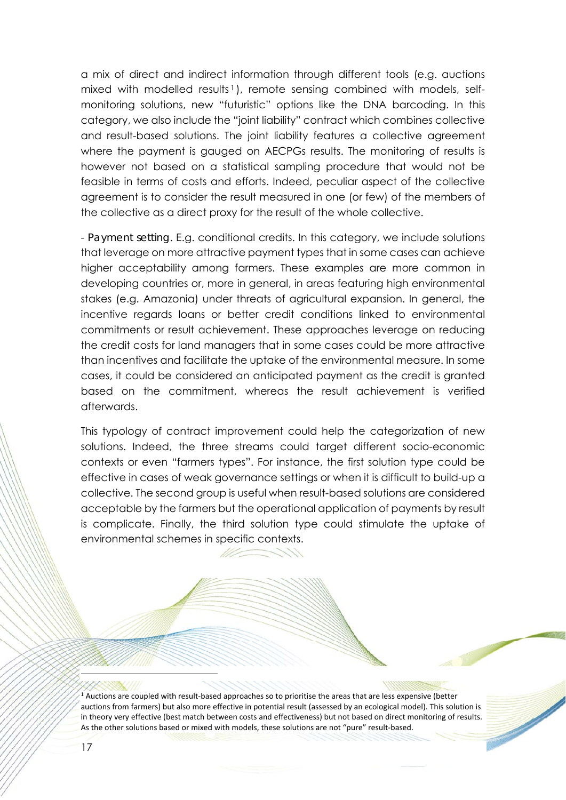a mix of direct and indirect information through different tools (e.g. auctions mixed with modelled results<sup>1</sup>), remote sensing combined with models, selfmonitoring solutions, new "futuristic" options like the DNA barcoding. In this category, we also include the "joint liability" contract which combines collective and result-based solutions. The joint liability features a collective agreement where the payment is gauged on AECPGs results. The monitoring of results is however not based on a statistical sampling procedure that would not be feasible in terms of costs and efforts. Indeed, peculiar aspect of the collective agreement is to consider the result measured in one (or few) of the members of the collective as a direct proxy for the result of the whole collective.

- *Payment setting*. E.g. conditional credits. In this category, we include solutions that leverage on more attractive payment types that in some cases can achieve higher acceptability among farmers. These examples are more common in developing countries or, more in general, in areas featuring high environmental stakes (e.g. Amazonia) under threats of agricultural expansion. In general, the incentive regards loans or better credit conditions linked to environmental commitments or result achievement. These approaches leverage on reducing the credit costs for land managers that in some cases could be more attractive than incentives and facilitate the uptake of the environmental measure. In some cases, it could be considered an anticipated payment as the credit is granted based on the commitment, whereas the result achievement is verified afterwards.

This typology of contract improvement could help the categorization of new solutions. Indeed, the three streams could target different socio-economic contexts or even "farmers types". For instance, the first solution type could be effective in cases of weak governance settings or when it is difficult to build-up a collective. The second group is useful when result-based solutions are considered acceptable by the farmers but the operational application of payments by result is complicate. Finally, the third solution type could stimulate the uptake of environmental schemes in specific contexts.

 $<sup>1</sup>$  Auctions are coupled with result-based approaches so to prioritise the areas that are less expensive (better</sup> auctions from farmers) but also more effective in potential result (assessed by an ecological model). This solution is in theory very effective (best match between costs and effectiveness) but not based on direct monitoring of results. As the other solutions based or mixed with models, these solutions are not "pure" result-based.

-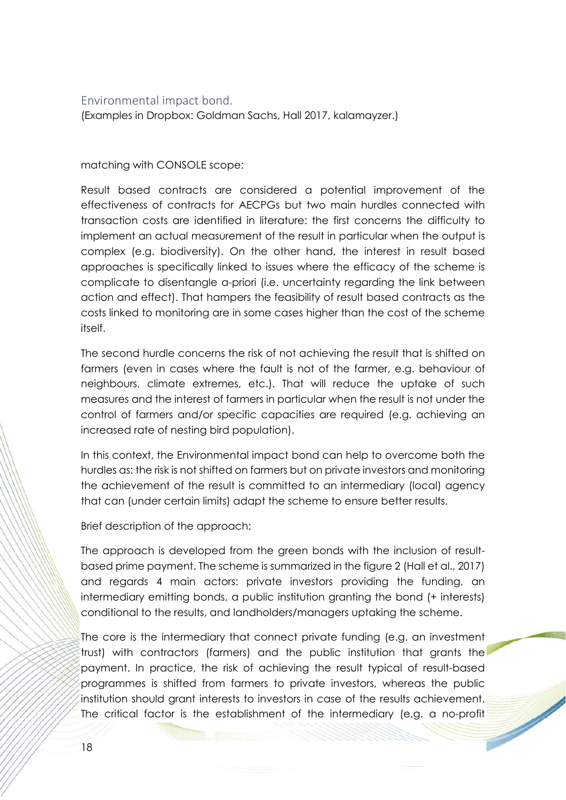#### Environmental impact bond.

(Examples in Dropbox: Goldman Sachs, Hall 2017, kalamayzer.)

matching with CONSOLE scope:

Result based contracts are considered a potential improvement of the effectiveness of contracts for AECPGs but two main hurdles connected with transaction costs are identified in literature: the first concerns the difficulty to implement an actual measurement of the result in particular when the output is complex (e.g. biodiversity). On the other hand, the interest in result based approaches is specifically linked to issues where the efficacy of the scheme is complicate to disentangle a-priori (i.e. uncertainty regarding the link between action and effect). That hampers the feasibility of result based contracts as the costs linked to monitoring are in some cases higher than the cost of the scheme itself.

The second hurdle concerns the risk of not achieving the result that is shifted on farmers (even in cases where the fault is not of the farmer, e.g. behaviour of neighbours, climate extremes, etc.). That will reduce the uptake of such measures and the interest of farmers in particular when the result is not under the control of farmers and/or specific capacities are required (e.g. achieving an increased rate of nesting bird population).

In this context, the Environmental impact bond can help to overcome both the hurdles as: the risk is not shifted on farmers but on private investors and monitoring the achievement of the result is committed to an intermediary (local) agency that can (under certain limits) adapt the scheme to ensure better results.

Brief description of the approach:

The approach is developed from the green bonds with the inclusion of resultbased prime payment. The scheme is summarized in the figure 2 (Hall et al., 2017) and regards 4 main actors: private investors providing the funding, an intermediary emitting bonds, a public institution granting the bond (+ interests) conditional to the results, and landholders/managers uptaking the scheme.

The core is the intermediary that connect private funding (e.g. an investment trust) with contractors (farmers) and the public institution that grants the payment. In practice, the risk of achieving the result typical of result-based programmes is shifted from farmers to private investors, whereas the public institution should grant interests to investors in case of the results achievement. The critical factor is the establishment of the intermediary (e.g. a no-profit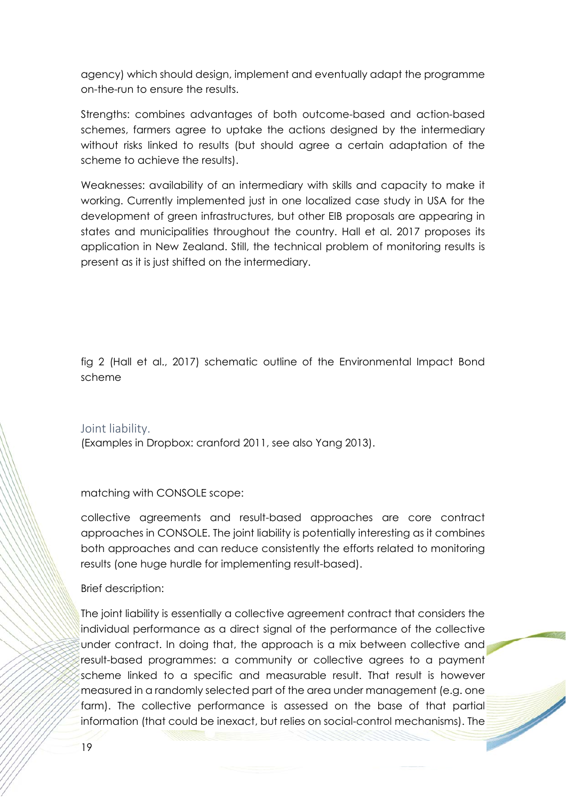agency) which should design, implement and eventually adapt the programme on-the-run to ensure the results.

Strengths: combines advantages of both outcome-based and action-based schemes, farmers agree to uptake the actions designed by the intermediary without risks linked to results (but should agree a certain adaptation of the scheme to achieve the results).

Weaknesses: availability of an intermediary with skills and capacity to make it working. Currently implemented just in one localized case study in USA for the development of green infrastructures, but other EIB proposals are appearing in states and municipalities throughout the country. Hall et al. 2017 proposes its application in New Zealand. Still, the technical problem of monitoring results is present as it is just shifted on the intermediary.

fig 2 (Hall et al., 2017) schematic outline of the Environmental Impact Bond scheme

Joint liability.

(Examples in Dropbox: cranford 2011, see also Yang 2013).

matching with CONSOLE scope:

collective agreements and result-based approaches are core contract approaches in CONSOLE. The joint liability is potentially interesting as it combines both approaches and can reduce consistently the efforts related to monitoring results (one huge hurdle for implementing result-based).

Brief description:

The joint liability is essentially a collective agreement contract that considers the individual performance as a direct signal of the performance of the collective under contract. In doing that, the approach is a mix between collective and result-based programmes: a community or collective agrees to a payment scheme linked to a specific and measurable result. That result is however measured in a randomly selected part of the area under management (e.g. one farm). The collective performance is assessed on the base of that partial information (that could be inexact, but relies on social-control mechanisms). The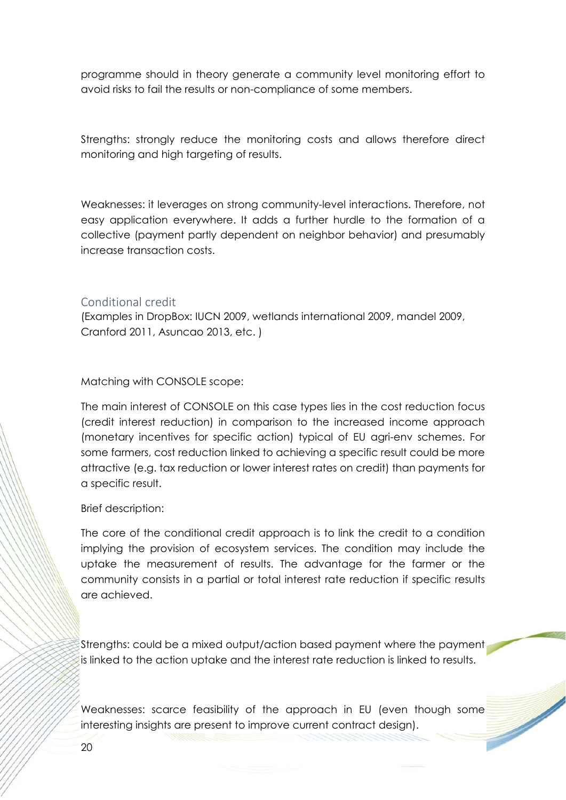programme should in theory generate a community level monitoring effort to avoid risks to fail the results or non-compliance of some members.

Strengths: strongly reduce the monitoring costs and allows therefore direct monitoring and high targeting of results.

Weaknesses: it leverages on strong community-level interactions. Therefore, not easy application everywhere. It adds a further hurdle to the formation of a collective (payment partly dependent on neighbor behavior) and presumably increase transaction costs.

#### Conditional credit

(Examples in DropBox: IUCN 2009, wetlands international 2009, mandel 2009, Cranford 2011, Asuncao 2013, etc. )

Matching with CONSOLE scope:

The main interest of CONSOLE on this case types lies in the cost reduction focus (credit interest reduction) in comparison to the increased income approach (monetary incentives for specific action) typical of EU agri-env schemes. For some farmers, cost reduction linked to achieving a specific result could be more attractive (e.g. tax reduction or lower interest rates on credit) than payments for a specific result.

Brief description:

The core of the conditional credit approach is to link the credit to a condition implying the provision of ecosystem services. The condition may include the uptake the measurement of results. The advantage for the farmer or the community consists in a partial or total interest rate reduction if specific results are achieved.

Strengths: could be a mixed output/action based payment where the payment is linked to the action uptake and the interest rate reduction is linked to results.

Weaknesses: scarce feasibility of the approach in EU (even though some interesting insights are present to improve current contract design).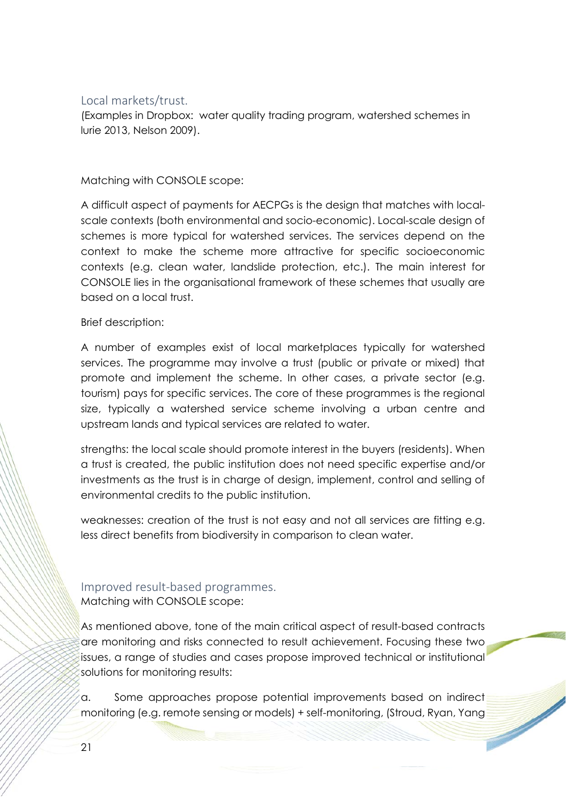### Local markets/trust.

(Examples in Dropbox: water quality trading program, watershed schemes in lurie 2013, Nelson 2009).

Matching with CONSOLE scope:

A difficult aspect of payments for AECPGs is the design that matches with localscale contexts (both environmental and socio-economic). Local-scale design of schemes is more typical for watershed services. The services depend on the context to make the scheme more attractive for specific socioeconomic contexts (e.g. clean water, landslide protection, etc.). The main interest for CONSOLE lies in the organisational framework of these schemes that usually are based on a local trust.

#### Brief description:

A number of examples exist of local marketplaces typically for watershed services. The programme may involve a trust (public or private or mixed) that promote and implement the scheme. In other cases, a private sector (e.g. tourism) pays for specific services. The core of these programmes is the regional size, typically a watershed service scheme involving a urban centre and upstream lands and typical services are related to water.

strengths: the local scale should promote interest in the buyers (residents). When a trust is created, the public institution does not need specific expertise and/or investments as the trust is in charge of design, implement, control and selling of environmental credits to the public institution.

weaknesses: creation of the trust is not easy and not all services are fitting e.g. less direct benefits from biodiversity in comparison to clean water.

### Improved result‐based programmes. Matching with CONSOLE scope:

As mentioned above, tone of the main critical aspect of result-based contracts are monitoring and risks connected to result achievement. Focusing these two issues, a range of studies and cases propose improved technical or institutional solutions for monitoring results:

a. Some approaches propose potential improvements based on indirect monitoring (e.g. remote sensing or models) + self-monitoring, (Stroud, Ryan, Yang

**September 1888**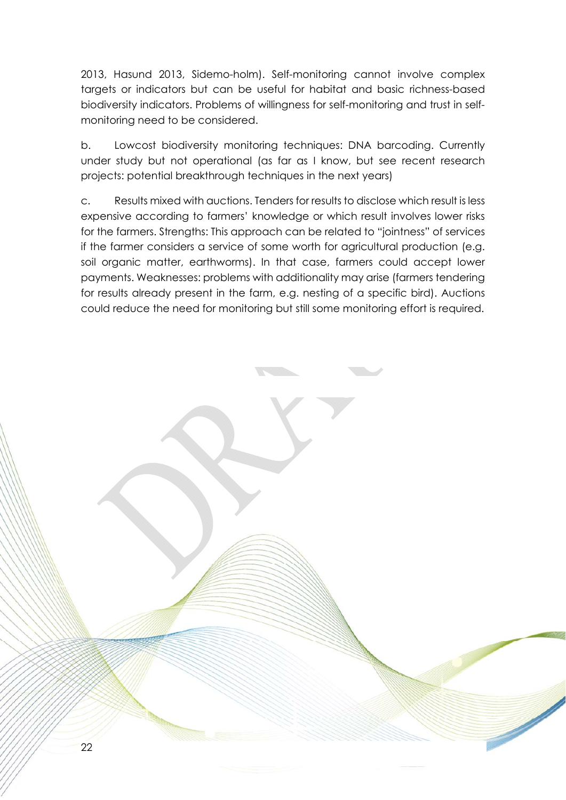2013, Hasund 2013, Sidemo-holm). Self-monitoring cannot involve complex targets or indicators but can be useful for habitat and basic richness-based biodiversity indicators. Problems of willingness for self-monitoring and trust in selfmonitoring need to be considered.

b. Lowcost biodiversity monitoring techniques: DNA barcoding. Currently under study but not operational (as far as I know, but see recent research projects: potential breakthrough techniques in the next years)

c. Results mixed with auctions. Tenders for results to disclose which result is less expensive according to farmers' knowledge or which result involves lower risks for the farmers. Strengths: This approach can be related to "jointness" of services if the farmer considers a service of some worth for agricultural production (e.g. soil organic matter, earthworms). In that case, farmers could accept lower payments. Weaknesses: problems with additionality may arise (farmers tendering for results already present in the farm, e.g. nesting of a specific bird). Auctions could reduce the need for monitoring but still some monitoring effort is required.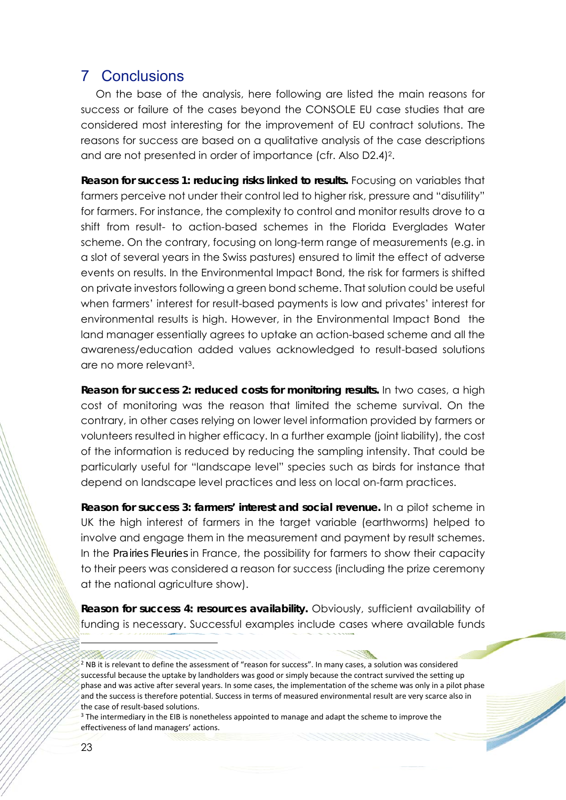### 7 Conclusions

 On the base of the analysis, here following are listed the main reasons for success or failure of the cases beyond the CONSOLE EU case studies that are considered most interesting for the improvement of EU contract solutions. The reasons for success are based on a qualitative analysis of the case descriptions and are not presented in order of importance (cfr. Also D2.4)2.

**Reason for success 1: reducing risks linked to results.** Focusing on variables that farmers perceive not under their control led to higher risk, pressure and "disutility" for farmers. For instance, the complexity to control and monitor results drove to a shift from result- to action-based schemes in the Florida Everglades Water scheme. On the contrary, focusing on long-term range of measurements (e.g. in a slot of several years in the Swiss pastures) ensured to limit the effect of adverse events on results. In the Environmental Impact Bond, the risk for farmers is shifted on private investors following a green bond scheme. That solution could be useful when farmers' interest for result-based payments is low and privates' interest for environmental results is high. However, in the Environmental Impact Bond the land manager essentially agrees to uptake an action-based scheme and all the awareness/education added values acknowledged to result-based solutions are no more relevant3.

**Reason for success 2: reduced costs for monitoring results.** In two cases, a high cost of monitoring was the reason that limited the scheme survival. On the contrary, in other cases relying on lower level information provided by farmers or volunteers resulted in higher efficacy. In a further example (joint liability), the cost of the information is reduced by reducing the sampling intensity. That could be particularly useful for "landscape level" species such as birds for instance that depend on landscape level practices and less on local on-farm practices.

**Reason for success 3: farmers' interest and social revenue.** In a pilot scheme in UK the high interest of farmers in the target variable (earthworms) helped to involve and engage them in the measurement and payment by result schemes. In the *Prairies Fleuries* in France, the possibility for farmers to show their capacity to their peers was considered a reason for success (including the prize ceremony at the national agriculture show).

**Reason for success 4: resources availability.** Obviously, sufficient availability of funding is necessary. Successful examples include cases where available funds

<sup>2</sup> NB it is relevant to define the assessment of "reason for success". In many cases, a solution was considered successful because the uptake by landholders was good or simply because the contract survived the setting up phase and was active after several years. In some cases, the implementation of the scheme was only in a pilot phase and the success is therefore potential. Success in terms of measured environmental result are very scarce also in the case of result‐based solutions.

 $\overline{\phantom{a}}$ 

 $3$  The intermediary in the EIB is nonetheless appointed to manage and adapt the scheme to improve the effectiveness of land managers' actions.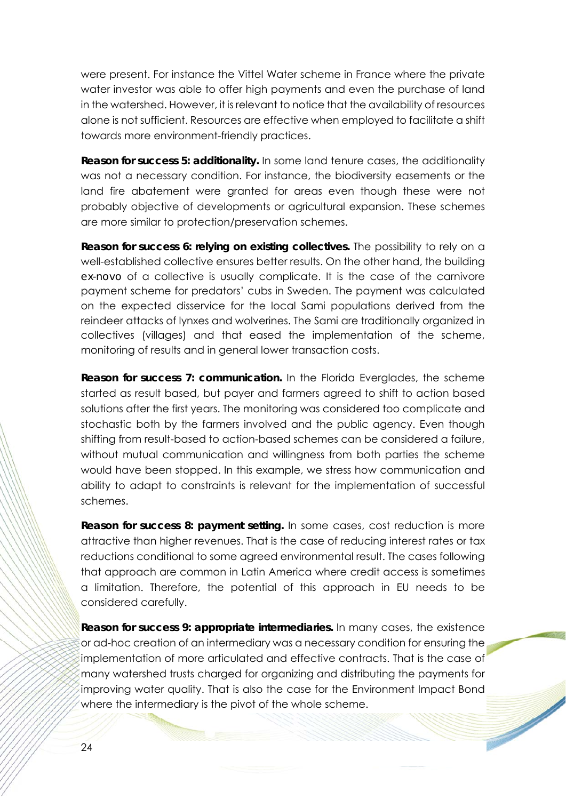were present. For instance the Vittel Water scheme in France where the private water investor was able to offer high payments and even the purchase of land in the watershed. However, it is relevant to notice that the availability of resources alone is not sufficient. Resources are effective when employed to facilitate a shift towards more environment-friendly practices.

**Reason for success 5: additionality.** In some land tenure cases, the additionality was not a necessary condition. For instance, the biodiversity easements or the land fire abatement were granted for areas even though these were not probably objective of developments or agricultural expansion. These schemes are more similar to protection/preservation schemes.

**Reason for success 6: relying on existing collectives.** The possibility to rely on a well-established collective ensures better results. On the other hand, the building *ex-novo* of a collective is usually complicate. It is the case of the carnivore payment scheme for predators' cubs in Sweden. The payment was calculated on the expected disservice for the local Sami populations derived from the reindeer attacks of lynxes and wolverines. The Sami are traditionally organized in collectives (villages) and that eased the implementation of the scheme, monitoring of results and in general lower transaction costs.

**Reason for success 7: communication.** In the Florida Everglades, the scheme started as result based, but payer and farmers agreed to shift to action based solutions after the first years. The monitoring was considered too complicate and stochastic both by the farmers involved and the public agency. Even though shifting from result-based to action-based schemes can be considered a failure, without mutual communication and willingness from both parties the scheme would have been stopped. In this example, we stress how communication and ability to adapt to constraints is relevant for the implementation of successful schemes.

**Reason for success 8: payment setting.** In some cases, cost reduction is more attractive than higher revenues. That is the case of reducing interest rates or tax reductions conditional to some agreed environmental result. The cases following that approach are common in Latin America where credit access is sometimes a limitation. Therefore, the potential of this approach in EU needs to be considered carefully.

**Reason for success 9: appropriate intermediaries.** In many cases, the existence or ad-hoc creation of an intermediary was a necessary condition for ensuring the implementation of more articulated and effective contracts. That is the case of many watershed trusts charged for organizing and distributing the payments for improving water quality. That is also the case for the Environment Impact Bond where the intermediary is the pivot of the whole scheme.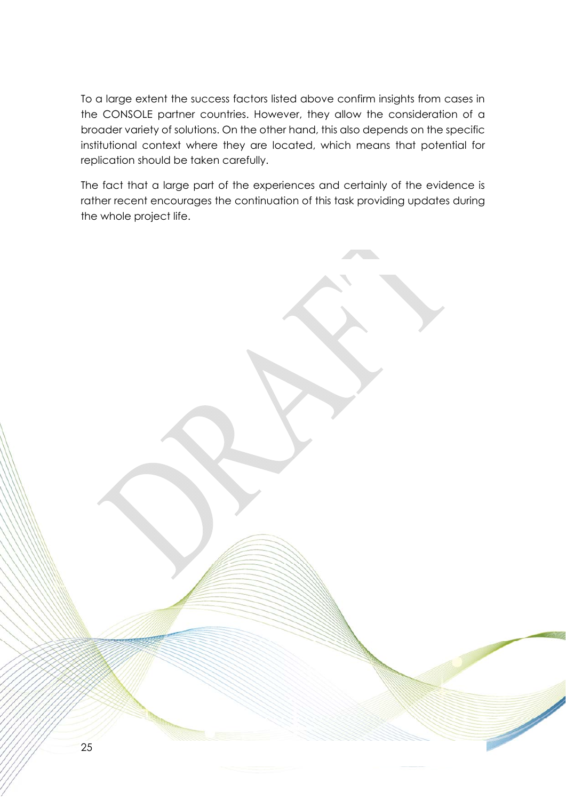To a large extent the success factors listed above confirm insights from cases in the CONSOLE partner countries. However, they allow the consideration of a broader variety of solutions. On the other hand, this also depends on the specific institutional context where they are located, which means that potential for replication should be taken carefully.

The fact that a large part of the experiences and certainly of the evidence is rather recent encourages the continuation of this task providing updates during the whole project life.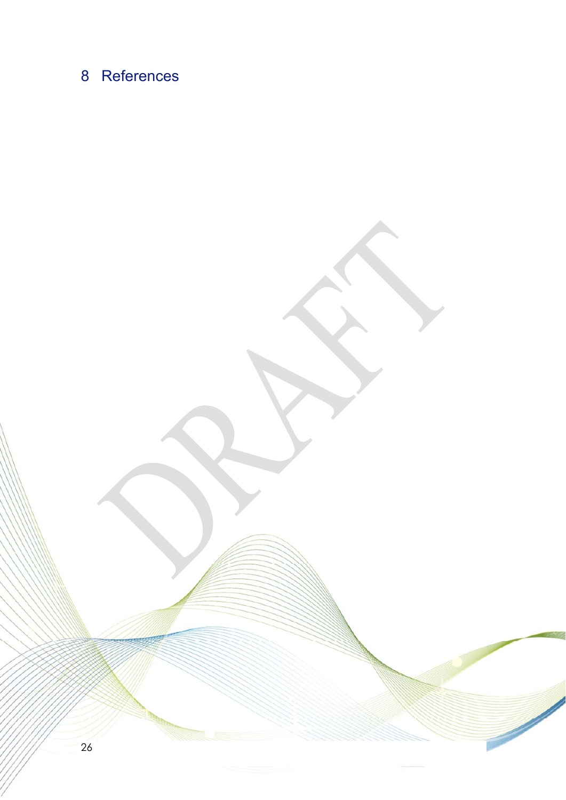# 8 References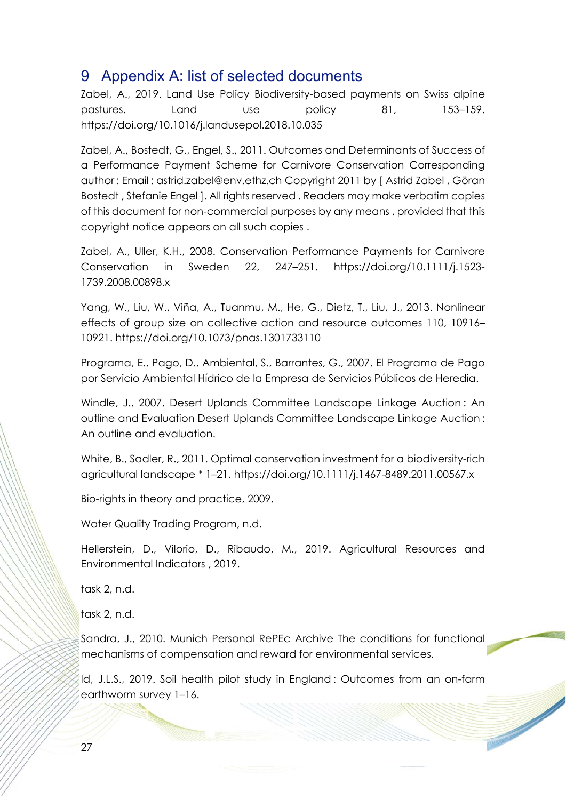## 9 Appendix A: list of selected documents

Zabel, A., 2019. Land Use Policy Biodiversity-based payments on Swiss alpine pastures. Land use policy 81, 153–159. https://doi.org/10.1016/j.landusepol.2018.10.035

Zabel, A., Bostedt, G., Engel, S., 2011. Outcomes and Determinants of Success of a Performance Payment Scheme for Carnivore Conservation Corresponding author : Email : astrid.zabel@env.ethz.ch Copyright 2011 by [ Astrid Zabel , Göran Bostedt , Stefanie Engel ]. All rights reserved . Readers may make verbatim copies of this document for non-commercial purposes by any means , provided that this copyright notice appears on all such copies .

Zabel, A., Uller, K.H., 2008. Conservation Performance Payments for Carnivore Conservation in Sweden 22, 247–251. https://doi.org/10.1111/j.1523- 1739.2008.00898.x

Yang, W., Liu, W., Viña, A., Tuanmu, M., He, G., Dietz, T., Liu, J., 2013. Nonlinear effects of group size on collective action and resource outcomes 110, 10916– 10921. https://doi.org/10.1073/pnas.1301733110

Programa, E., Pago, D., Ambiental, S., Barrantes, G., 2007. El Programa de Pago por Servicio Ambiental Hídrico de la Empresa de Servicios Públicos de Heredia.

Windle, J., 2007. Desert Uplands Committee Landscape Linkage Auction : An outline and Evaluation Desert Uplands Committee Landscape Linkage Auction : An outline and evaluation.

White, B., Sadler, R., 2011. Optimal conservation investment for a biodiversity-rich agricultural landscape \* 1–21. https://doi.org/10.1111/j.1467-8489.2011.00567.x

Bio-rights in theory and practice, 2009.

Water Quality Trading Program, n.d.

Hellerstein, D., Vilorio, D., Ribaudo, M., 2019. Agricultural Resources and Environmental Indicators , 2019.

task 2, n.d.

task 2, n.d.

Sandra, J., 2010. Munich Personal RePEc Archive The conditions for functional mechanisms of compensation and reward for environmental services.

Id, J.L.S., 2019. Soil health pilot study in England : Outcomes from an on-farm earthworm survey 1–16.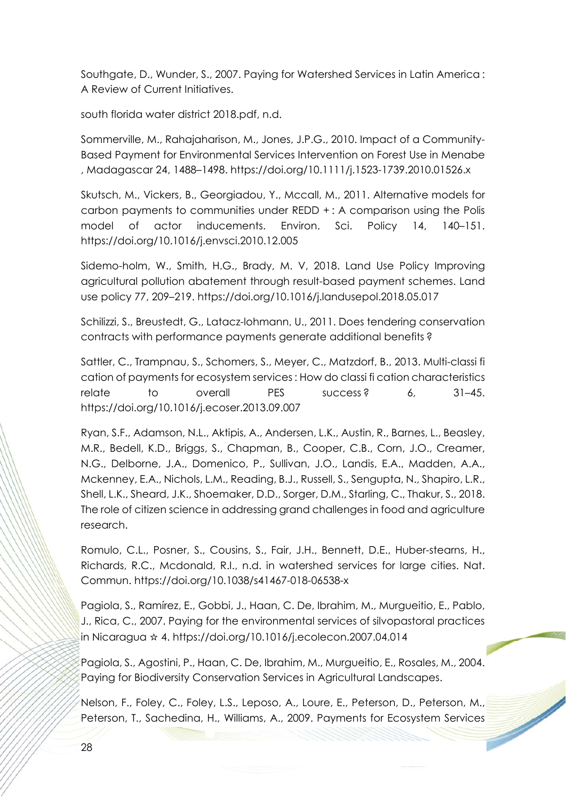Southgate, D., Wunder, S., 2007. Paying for Watershed Services in Latin America : A Review of Current Initiatives.

south florida water district 2018.pdf, n.d.

Sommerville, M., Rahajaharison, M., Jones, J.P.G., 2010. Impact of a Community-Based Payment for Environmental Services Intervention on Forest Use in Menabe , Madagascar 24, 1488–1498. https://doi.org/10.1111/j.1523-1739.2010.01526.x

Skutsch, M., Vickers, B., Georgiadou, Y., Mccall, M., 2011. Alternative models for carbon payments to communities under REDD + : A comparison using the Polis model of actor inducements. Environ. Sci. Policy 14, 140–151. https://doi.org/10.1016/j.envsci.2010.12.005

Sidemo-holm, W., Smith, H.G., Brady, M. V, 2018. Land Use Policy Improving agricultural pollution abatement through result-based payment schemes. Land use policy 77, 209–219. https://doi.org/10.1016/j.landusepol.2018.05.017

Schilizzi, S., Breustedt, G., Latacz-lohmann, U., 2011. Does tendering conservation contracts with performance payments generate additional benefits ?

Sattler, C., Trampnau, S., Schomers, S., Meyer, C., Matzdorf, B., 2013. Multi-classi fi cation of payments for ecosystem services : How do classi fi cation characteristics relate to overall PES success ? 6, 31–45. https://doi.org/10.1016/j.ecoser.2013.09.007

Ryan, S.F., Adamson, N.L., Aktipis, A., Andersen, L.K., Austin, R., Barnes, L., Beasley, M.R., Bedell, K.D., Briggs, S., Chapman, B., Cooper, C.B., Corn, J.O., Creamer, N.G., Delborne, J.A., Domenico, P., Sullivan, J.O., Landis, E.A., Madden, A.A., Mckenney, E.A., Nichols, L.M., Reading, B.J., Russell, S., Sengupta, N., Shapiro, L.R., Shell, L.K., Sheard, J.K., Shoemaker, D.D., Sorger, D.M., Starling, C., Thakur, S., 2018. The role of citizen science in addressing grand challenges in food and agriculture research.

Romulo, C.L., Posner, S., Cousins, S., Fair, J.H., Bennett, D.E., Huber-stearns, H., Richards, R.C., Mcdonald, R.I., n.d. in watershed services for large cities. Nat. Commun. https://doi.org/10.1038/s41467-018-06538-x

Pagiola, S., Ramírez, E., Gobbi, J., Haan, C. De, Ibrahim, M., Murgueitio, E., Pablo, J., Rica, C., 2007. Paying for the environmental services of silvopastoral practices in Nicaragua ☆ 4. https://doi.org/10.1016/j.ecolecon.2007.04.014

Pagiola, S., Agostini, P., Haan, C. De, Ibrahim, M., Murgueitio, E., Rosales, M., 2004. Paying for Biodiversity Conservation Services in Agricultural Landscapes.

Nelson, F., Foley, C., Foley, L.S., Leposo, A., Loure, E., Peterson, D., Peterson, M., Peterson, T., Sachedina, H., Williams, A., 2009. Payments for Ecosystem Services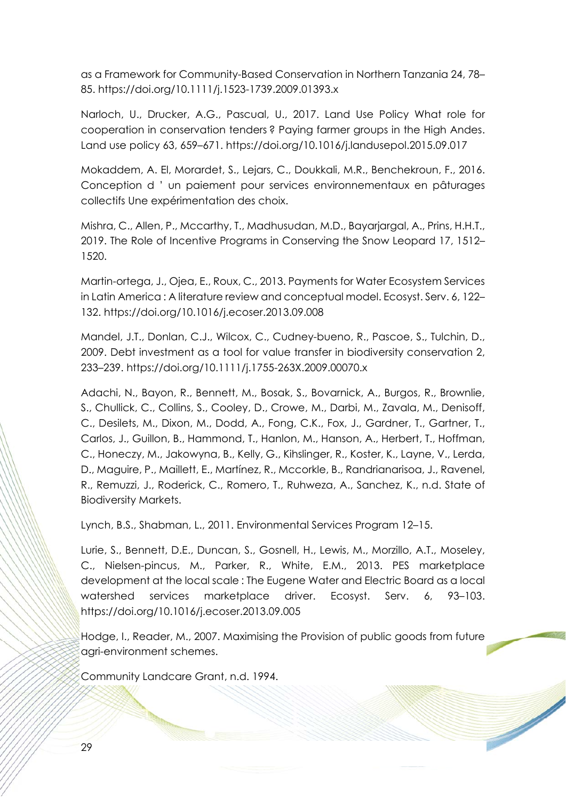as a Framework for Community-Based Conservation in Northern Tanzania 24, 78– 85. https://doi.org/10.1111/j.1523-1739.2009.01393.x

Narloch, U., Drucker, A.G., Pascual, U., 2017. Land Use Policy What role for cooperation in conservation tenders ? Paying farmer groups in the High Andes. Land use policy 63, 659–671. https://doi.org/10.1016/j.landusepol.2015.09.017

Mokaddem, A. El, Morardet, S., Lejars, C., Doukkali, M.R., Benchekroun, F., 2016. Conception d ' un paiement pour services environnementaux en pâturages collectifs Une expérimentation des choix.

Mishra, C., Allen, P., Mccarthy, T., Madhusudan, M.D., Bayarjargal, A., Prins, H.H.T., 2019. The Role of Incentive Programs in Conserving the Snow Leopard 17, 1512– 1520.

Martin-ortega, J., Ojea, E., Roux, C., 2013. Payments for Water Ecosystem Services in Latin America : A literature review and conceptual model. Ecosyst. Serv. 6, 122– 132. https://doi.org/10.1016/j.ecoser.2013.09.008

Mandel, J.T., Donlan, C.J., Wilcox, C., Cudney-bueno, R., Pascoe, S., Tulchin, D., 2009. Debt investment as a tool for value transfer in biodiversity conservation 2, 233–239. https://doi.org/10.1111/j.1755-263X.2009.00070.x

Adachi, N., Bayon, R., Bennett, M., Bosak, S., Bovarnick, A., Burgos, R., Brownlie, S., Chullick, C., Collins, S., Cooley, D., Crowe, M., Darbi, M., Zavala, M., Denisoff, C., Desilets, M., Dixon, M., Dodd, A., Fong, C.K., Fox, J., Gardner, T., Gartner, T., Carlos, J., Guillon, B., Hammond, T., Hanlon, M., Hanson, A., Herbert, T., Hoffman, C., Honeczy, M., Jakowyna, B., Kelly, G., Kihslinger, R., Koster, K., Layne, V., Lerda, D., Maguire, P., Maillett, E., Martínez, R., Mccorkle, B., Randrianarisoa, J., Ravenel, R., Remuzzi, J., Roderick, C., Romero, T., Ruhweza, A., Sanchez, K., n.d. State of Biodiversity Markets.

Lynch, B.S., Shabman, L., 2011. Environmental Services Program 12–15.

Lurie, S., Bennett, D.E., Duncan, S., Gosnell, H., Lewis, M., Morzillo, A.T., Moseley, C., Nielsen-pincus, M., Parker, R., White, E.M., 2013. PES marketplace development at the local scale : The Eugene Water and Electric Board as a local watershed services marketplace driver. Ecosyst. Serv. 6, 93–103. https://doi.org/10.1016/j.ecoser.2013.09.005

Hodge, I., Reader, M., 2007. Maximising the Provision of public goods from future agri-environment schemes.

Community Landcare Grant, n.d. 1994.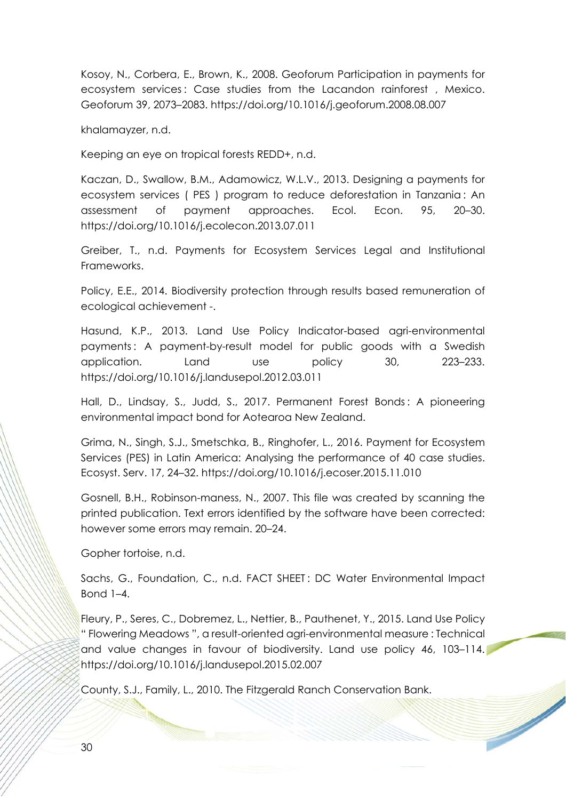Kosoy, N., Corbera, E., Brown, K., 2008. Geoforum Participation in payments for ecosystem services : Case studies from the Lacandon rainforest , Mexico. Geoforum 39, 2073–2083. https://doi.org/10.1016/j.geoforum.2008.08.007

khalamayzer, n.d.

Keeping an eye on tropical forests REDD+, n.d.

Kaczan, D., Swallow, B.M., Adamowicz, W.L.V., 2013. Designing a payments for ecosystem services ( PES ) program to reduce deforestation in Tanzania : An assessment of payment approaches. Ecol. Econ. 95, 20–30. https://doi.org/10.1016/j.ecolecon.2013.07.011

Greiber, T., n.d. Payments for Ecosystem Services Legal and Institutional Frameworks.

Policy, E.E., 2014. Biodiversity protection through results based remuneration of ecological achievement -.

Hasund, K.P., 2013. Land Use Policy Indicator-based agri-environmental payments : A payment-by-result model for public goods with a Swedish application. Land use policy 30, 223–233. https://doi.org/10.1016/j.landusepol.2012.03.011

Hall, D., Lindsay, S., Judd, S., 2017. Permanent Forest Bonds : A pioneering environmental impact bond for Aotearoa New Zealand.

Grima, N., Singh, S.J., Smetschka, B., Ringhofer, L., 2016. Payment for Ecosystem Services (PES) in Latin America: Analysing the performance of 40 case studies. Ecosyst. Serv. 17, 24–32. https://doi.org/10.1016/j.ecoser.2015.11.010

Gosnell, B.H., Robinson-maness, N., 2007. This file was created by scanning the printed publication. Text errors identified by the software have been corrected: however some errors may remain. 20–24.

Gopher tortoise, n.d.

Sachs, G., Foundation, C., n.d. FACT SHEET : DC Water Environmental Impact Bond 1–4.

Fleury, P., Seres, C., Dobremez, L., Nettier, B., Pauthenet, Y., 2015. Land Use Policy " Flowering Meadows ", a result-oriented agri-environmental measure : Technical and value changes in favour of biodiversity. Land use policy 46, 103–114. https://doi.org/10.1016/j.landusepol.2015.02.007

County, S.J., Family, L., 2010. The Fitzgerald Ranch Conservation Bank.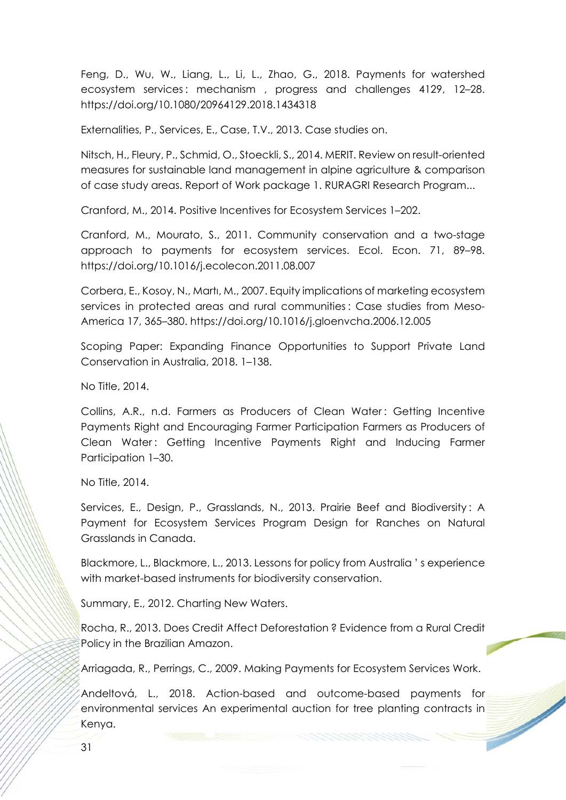Feng, D., Wu, W., Liang, L., Li, L., Zhao, G., 2018. Payments for watershed ecosystem services: mechanism, progress and challenges 4129, 12-28. https://doi.org/10.1080/20964129.2018.1434318

Externalities, P., Services, E., Case, T.V., 2013. Case studies on.

Nitsch, H., Fleury, P., Schmid, O., Stoeckli, S., 2014. MERIT. Review on result-oriented measures for sustainable land management in alpine agriculture & comparison of case study areas. Report of Work package 1. RURAGRI Research Program...

Cranford, M., 2014. Positive Incentives for Ecosystem Services 1–202.

Cranford, M., Mourato, S., 2011. Community conservation and a two-stage approach to payments for ecosystem services. Ecol. Econ. 71, 89–98. https://doi.org/10.1016/j.ecolecon.2011.08.007

Corbera, E., Kosoy, N., Martı, M., 2007. Equity implications of marketing ecosystem services in protected areas and rural communities : Case studies from Meso-America 17, 365–380. https://doi.org/10.1016/j.gloenvcha.2006.12.005

Scoping Paper: Expanding Finance Opportunities to Support Private Land Conservation in Australia, 2018. 1–138.

No Title, 2014.

Collins, A.R., n.d. Farmers as Producers of Clean Water: Getting Incentive Payments Right and Encouraging Farmer Participation Farmers as Producers of Clean Water: Getting Incentive Payments Right and Inducing Farmer Participation 1–30.

No Title, 2014.

Services, E., Design, P., Grasslands, N., 2013. Prairie Beef and Biodiversity : A Payment for Ecosystem Services Program Design for Ranches on Natural Grasslands in Canada.

Blackmore, L., Blackmore, L., 2013. Lessons for policy from Australia ' s experience with market-based instruments for biodiversity conservation.

Summary, E., 2012. Charting New Waters.

Rocha, R., 2013. Does Credit Affect Deforestation ? Evidence from a Rural Credit Policy in the Brazilian Amazon.

Arriagada, R., Perrings, C., 2009. Making Payments for Ecosystem Services Work.

Andeltová, L., 2018. Action-based and outcome-based payments for environmental services An experimental auction for tree planting contracts in Kenya.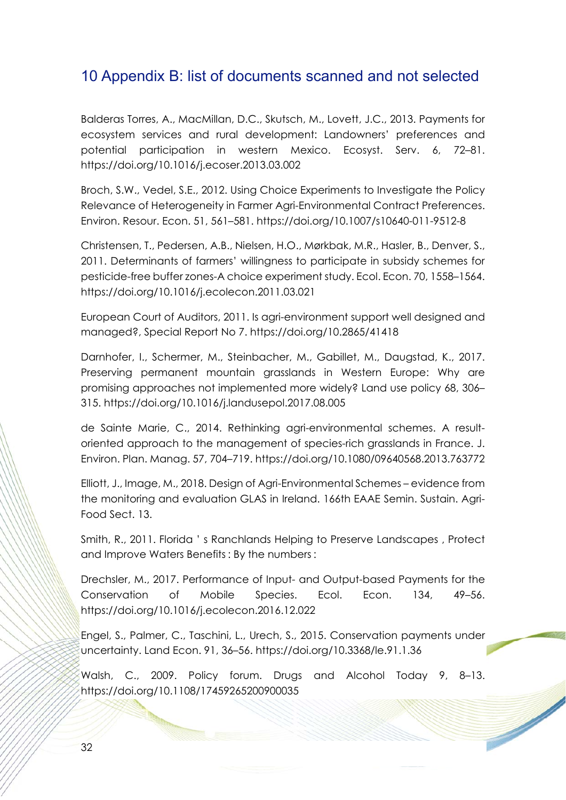## 10 Appendix B: list of documents scanned and not selected

Balderas Torres, A., MacMillan, D.C., Skutsch, M., Lovett, J.C., 2013. Payments for ecosystem services and rural development: Landowners' preferences and potential participation in western Mexico. Ecosyst. Serv. 6, 72–81. https://doi.org/10.1016/j.ecoser.2013.03.002

Broch, S.W., Vedel, S.E., 2012. Using Choice Experiments to Investigate the Policy Relevance of Heterogeneity in Farmer Agri-Environmental Contract Preferences. Environ. Resour. Econ. 51, 561–581. https://doi.org/10.1007/s10640-011-9512-8

Christensen, T., Pedersen, A.B., Nielsen, H.O., Mørkbak, M.R., Hasler, B., Denver, S., 2011. Determinants of farmers' willingness to participate in subsidy schemes for pesticide-free buffer zones-A choice experiment study. Ecol. Econ. 70, 1558–1564. https://doi.org/10.1016/j.ecolecon.2011.03.021

European Court of Auditors, 2011. Is agri-environment support well designed and managed?, Special Report No 7. https://doi.org/10.2865/41418

Darnhofer, I., Schermer, M., Steinbacher, M., Gabillet, M., Daugstad, K., 2017. Preserving permanent mountain grasslands in Western Europe: Why are promising approaches not implemented more widely? Land use policy 68, 306– 315. https://doi.org/10.1016/j.landusepol.2017.08.005

de Sainte Marie, C., 2014. Rethinking agri-environmental schemes. A resultoriented approach to the management of species-rich grasslands in France. J. Environ. Plan. Manag. 57, 704–719. https://doi.org/10.1080/09640568.2013.763772

Elliott, J., Image, M., 2018. Design of Agri-Environmental Schemes – evidence from the monitoring and evaluation GLAS in Ireland. 166th EAAE Semin. Sustain. Agri-Food Sect. 13.

Smith, R., 2011. Florida ' s Ranchlands Helping to Preserve Landscapes , Protect and Improve Waters Benefits : By the numbers :

Drechsler, M., 2017. Performance of Input- and Output-based Payments for the Conservation of Mobile Species. Ecol. Econ. 134, 49–56. https://doi.org/10.1016/j.ecolecon.2016.12.022

Engel, S., Palmer, C., Taschini, L., Urech, S., 2015. Conservation payments under uncertainty. Land Econ. 91, 36–56. https://doi.org/10.3368/le.91.1.36

Walsh, C., 2009. Policy forum. Drugs and Alcohol Today 9, 8–13. https://doi.org/10.1108/17459265200900035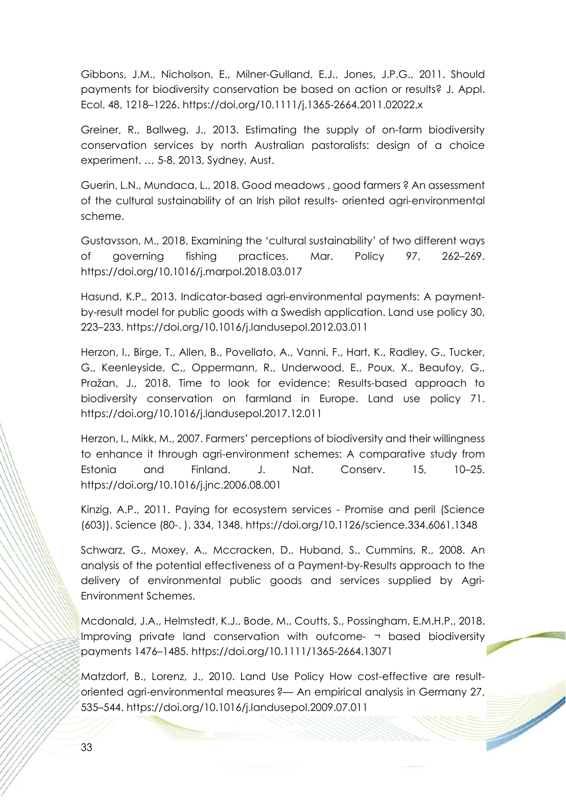Gibbons, J.M., Nicholson, E., Milner-Gulland, E.J., Jones, J.P.G., 2011. Should payments for biodiversity conservation be based on action or results? J. Appl. Ecol. 48, 1218–1226. https://doi.org/10.1111/j.1365-2664.2011.02022.x

Greiner, R., Ballweg, J., 2013. Estimating the supply of on-farm biodiversity conservation services by north Australian pastoralists: design of a choice experiment. … 5-8, 2013, Sydney, Aust.

Guerin, L.N., Mundaca, L., 2018. Good meadows , good farmers ? An assessment of the cultural sustainability of an Irish pilot results- oriented agri-environmental scheme.

Gustavsson, M., 2018. Examining the 'cultural sustainability' of two different ways of governing fishing practices. Mar. Policy 97, 262–269. https://doi.org/10.1016/j.marpol.2018.03.017

Hasund, K.P., 2013. Indicator-based agri-environmental payments: A paymentby-result model for public goods with a Swedish application. Land use policy 30, 223–233. https://doi.org/10.1016/j.landusepol.2012.03.011

Herzon, I., Birge, T., Allen, B., Povellato, A., Vanni, F., Hart, K., Radley, G., Tucker, G., Keenleyside, C., Oppermann, R., Underwood, E., Poux, X., Beaufoy, G., Pražan, J., 2018. Time to look for evidence: Results-based approach to biodiversity conservation on farmland in Europe. Land use policy 71. https://doi.org/10.1016/j.landusepol.2017.12.011

Herzon, I., Mikk, M., 2007. Farmers' perceptions of biodiversity and their willingness to enhance it through agri-environment schemes: A comparative study from Estonia and Finland. J. Nat. Conserv. 15, 10–25. https://doi.org/10.1016/j.jnc.2006.08.001

Kinzig, A.P., 2011. Paying for ecosystem services - Promise and peril (Science (603)). Science (80-. ). 334, 1348. https://doi.org/10.1126/science.334.6061.1348

Schwarz, G., Moxey, A., Mccracken, D., Huband, S., Cummins, R., 2008. An analysis of the potential effectiveness of a Payment-by-Results approach to the delivery of environmental public goods and services supplied by Agri-Environment Schemes.

Mcdonald, J.A., Helmstedt, K.J., Bode, M., Coutts, S., Possingham, E.M.H.P., 2018. Improving private land conservation with outcome- ¬ based biodiversity payments 1476–1485. https://doi.org/10.1111/1365-2664.13071

Matzdorf, B., Lorenz, J., 2010. Land Use Policy How cost-effective are resultoriented agri-environmental measures ?— An empirical analysis in Germany 27, 535–544. https://doi.org/10.1016/j.landusepol.2009.07.011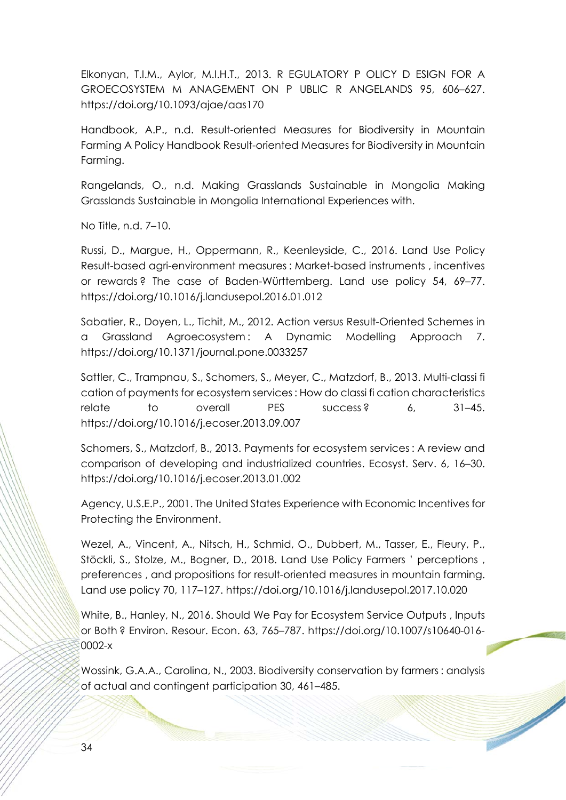Elkonyan, T.I.M., Aylor, M.I.H.T., 2013. R EGULATORY P OLICY D ESIGN FOR A GROECOSYSTEM M ANAGEMENT ON P UBLIC R ANGELANDS 95, 606–627. https://doi.org/10.1093/ajae/aas170

Handbook, A.P., n.d. Result-oriented Measures for Biodiversity in Mountain Farming A Policy Handbook Result-oriented Measures for Biodiversity in Mountain Farming.

Rangelands, O., n.d. Making Grasslands Sustainable in Mongolia Making Grasslands Sustainable in Mongolia International Experiences with.

No Title, n.d. 7–10.

Russi, D., Margue, H., Oppermann, R., Keenleyside, C., 2016. Land Use Policy Result-based agri-environment measures : Market-based instruments , incentives or rewards ? The case of Baden-Württemberg. Land use policy 54, 69–77. https://doi.org/10.1016/j.landusepol.2016.01.012

Sabatier, R., Doyen, L., Tichit, M., 2012. Action versus Result-Oriented Schemes in a Grassland Agroecosystem : A Dynamic Modelling Approach 7. https://doi.org/10.1371/journal.pone.0033257

Sattler, C., Trampnau, S., Schomers, S., Meyer, C., Matzdorf, B., 2013. Multi-classi fi cation of payments for ecosystem services : How do classi fi cation characteristics relate to overall PES success? 6, 31–45. https://doi.org/10.1016/j.ecoser.2013.09.007

Schomers, S., Matzdorf, B., 2013. Payments for ecosystem services : A review and comparison of developing and industrialized countries. Ecosyst. Serv. 6, 16–30. https://doi.org/10.1016/j.ecoser.2013.01.002

Agency, U.S.E.P., 2001. The United States Experience with Economic Incentives for Protecting the Environment.

Wezel, A., Vincent, A., Nitsch, H., Schmid, O., Dubbert, M., Tasser, E., Fleury, P., Stöckli, S., Stolze, M., Bogner, D., 2018. Land Use Policy Farmers ' perceptions , preferences , and propositions for result-oriented measures in mountain farming. Land use policy 70, 117–127. https://doi.org/10.1016/j.landusepol.2017.10.020

White, B., Hanley, N., 2016. Should We Pay for Ecosystem Service Outputs , Inputs or Both ? Environ. Resour. Econ. 63, 765–787. https://doi.org/10.1007/s10640-016- 0002-x

Wossink, G.A.A., Carolina, N., 2003. Biodiversity conservation by farmers : analysis of actual and contingent participation 30, 461–485.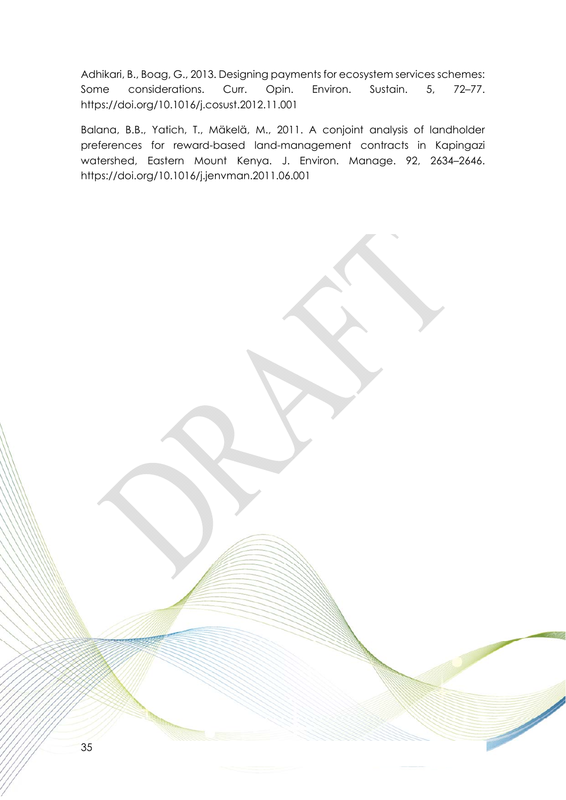Adhikari, B., Boag, G., 2013. Designing payments for ecosystem services schemes: Some considerations. Curr. Opin. Environ. Sustain. 5, 72-77. https://doi.org/10.1016/j.cosust.2012.11.001

Balana, B.B., Yatich, T., Mäkelä, M., 2011. A conjoint analysis of landholder preferences for reward-based land-management contracts in Kapingazi watershed, Eastern Mount Kenya. J. Environ. Manage. 92, 2634–2646. https://doi.org/10.1016/j.jenvman.2011.06.001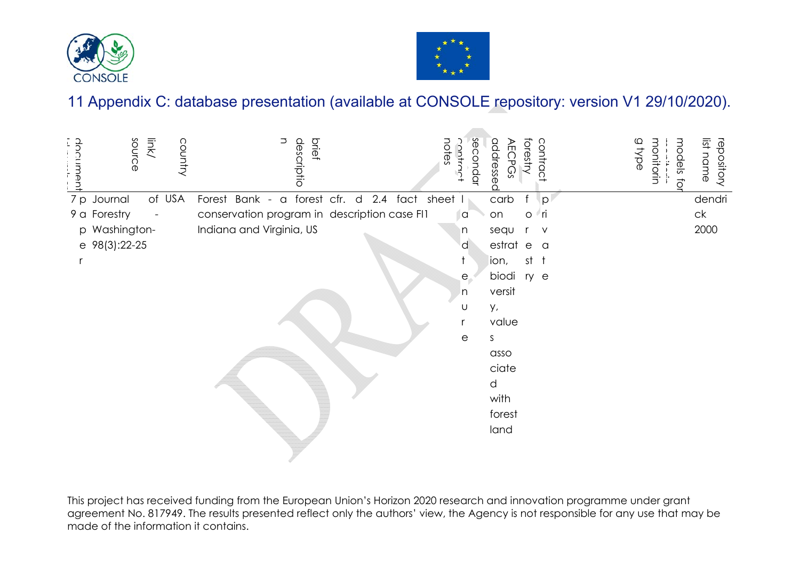



**All Colors** 

# 11 Appendix C: database presentation (available at CONSOLE repository: version V1 29/10/2020).

| Imant<br>÷ | source        | link/                    | country | descriptio<br>brief                          | notes<br><b>Ontro</b> | secondar              | addressec<br>ECPGS | contrac<br>forestry | a type | monitorin<br>models<br>ਹੌ | list name<br>repository |
|------------|---------------|--------------------------|---------|----------------------------------------------|-----------------------|-----------------------|--------------------|---------------------|--------|---------------------------|-------------------------|
|            | 7 p Journal   |                          | of USA  | Forest Bank - a forest cfr. d 2.4 fact       | sheet                 |                       | carb               | p                   |        |                           | dendri                  |
|            | 9 a Forestry  | $\overline{\phantom{a}}$ |         | conservation program in description case FI1 |                       | a                     | on                 | i∕ ri<br>$\circ$    |        |                           | ck                      |
|            | p Washington- |                          |         | Indiana and Virginia, US                     |                       | n                     | sequ               | $\vee$              |        |                           | 2000                    |
|            | e 98(3):22-25 |                          |         |                                              |                       | d                     | estrat e a         |                     |        |                           |                         |
|            |               |                          |         |                                              |                       |                       | ion,               | $st$ $t$            |        |                           |                         |
|            |               |                          |         |                                              |                       | $\epsilon$            | biodi              | ry e                |        |                           |                         |
|            |               |                          |         |                                              |                       | n                     | versit             |                     |        |                           |                         |
|            |               |                          |         |                                              |                       | U                     | у,                 |                     |        |                           |                         |
|            |               |                          |         |                                              |                       |                       | value              |                     |        |                           |                         |
|            |               |                          |         |                                              |                       | $\mathop{\mathrm{e}}$ | S.                 |                     |        |                           |                         |
|            |               |                          |         |                                              |                       |                       | asso               |                     |        |                           |                         |
|            |               |                          |         |                                              |                       |                       | ciate              |                     |        |                           |                         |
|            |               |                          |         |                                              |                       |                       | d                  |                     |        |                           |                         |
|            |               |                          |         |                                              |                       |                       | with               |                     |        |                           |                         |
|            |               |                          |         |                                              |                       |                       | forest             |                     |        |                           |                         |
|            |               |                          |         |                                              |                       |                       | land               |                     |        |                           |                         |
|            |               |                          |         |                                              |                       |                       |                    |                     |        |                           |                         |

This project has received funding from the European Union's Horizon 2020 research and innovation programme under grant agreement No. 817949. The results presented reflect only the authors' view, the Agency is not responsible for any use that may be made of the information it contains.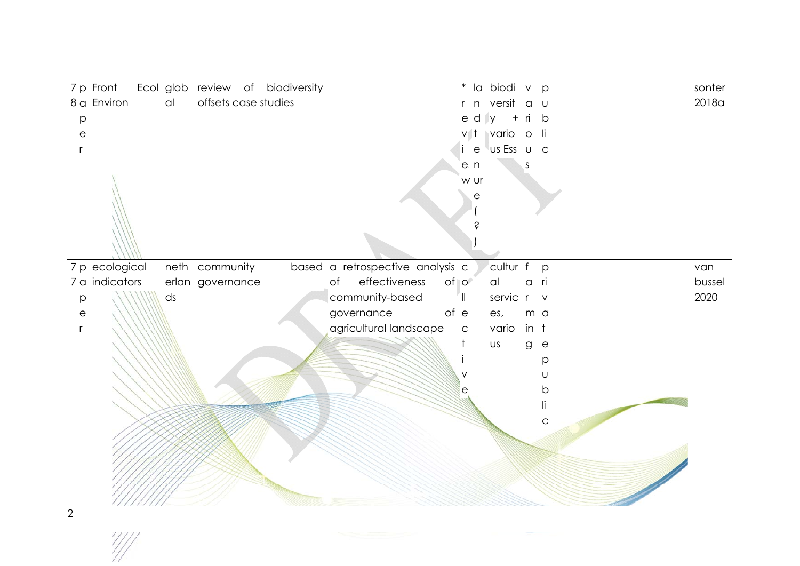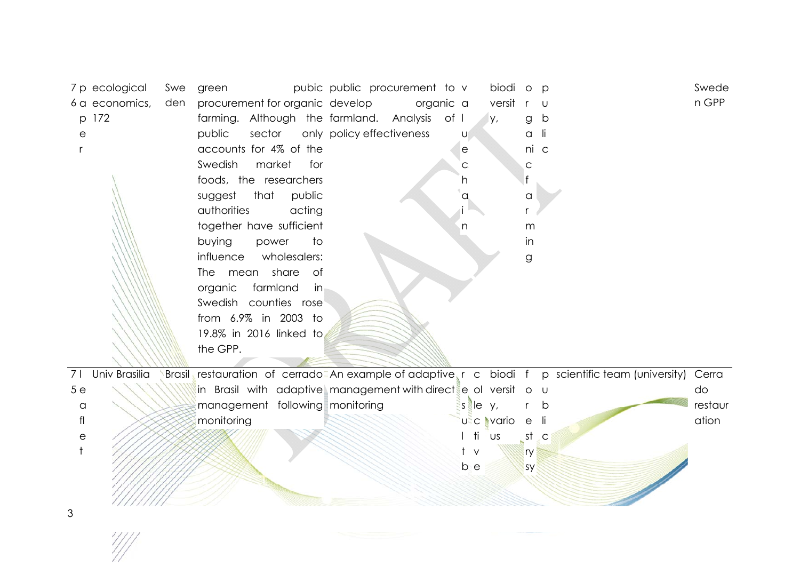76p ap er ecological economics, 172 Sweden green pubic procurement for organic farming. Although the public sector only accounts for 4% of the Swedish market for foods, the researchers suggest that public authorities acting together have sufficient buying power to influence wholesalers: The mean share of organic farmland in Swedish counties rose from 6.9% in 2003 to 19.8% in 2016 linked to the GPP. public procurement to develop organic farmland. Analysis of policy effectiveness vauechain biodiversity, org anic farming p ublicSweden GPP 75leaflet Univ Brasilia Brasil restauration of cerrado in Brasil with adaptive management following monitoring An example of adaptive management with direct monitoring resut bcollective biodiversity, various forestry sy p ublicscientific team (university) Cerra do restauration

3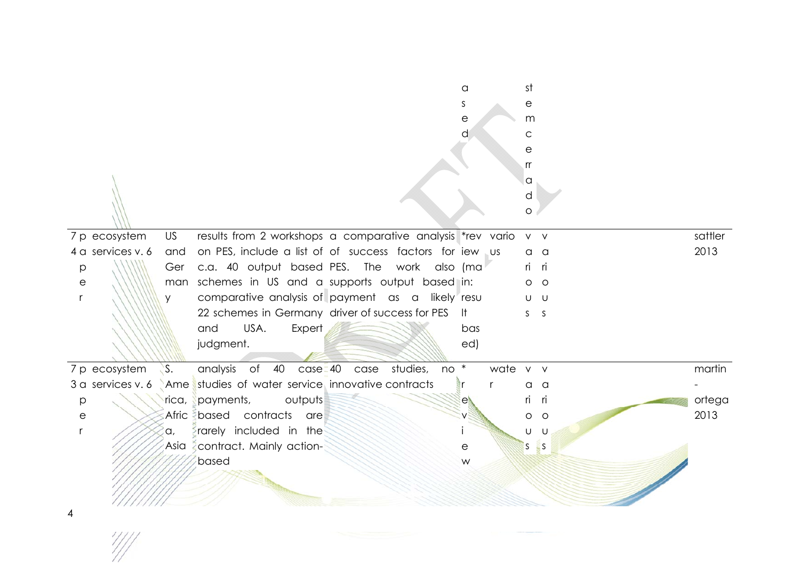|                       |            |                                                            |                            | a<br>S<br>е<br>d      |              | st<br>е<br>m<br>C<br>е<br>rr<br>a<br>d |          |         |
|-----------------------|------------|------------------------------------------------------------|----------------------------|-----------------------|--------------|----------------------------------------|----------|---------|
|                       |            |                                                            |                            |                       |              | $\circ$                                |          |         |
| 7 p ecosystem         | <b>US</b>  | results from 2 workshops a comparative analysis *rev vario |                            |                       |              | $V$ V                                  |          | sattler |
| 4 a services v. 6     | and        | on PES, include a list of of success factors for iew us    |                            |                       |              | O                                      | a        | 2013    |
| p                     | Ger        | c.a. 40 output based PES. The work also (ma                |                            |                       |              | <u>ri</u>                              | ri       |         |
| $\mathop{\mathrm{e}}$ | man        | schemes in US and a supports output based in:              |                            |                       |              | $\circ$                                | $\circ$  |         |
|                       | V          | comparative analysis of payment as a likely resu           |                            |                       |              | U                                      | <b>U</b> |         |
|                       |            | 22 schemes in Germany driver of success for PES            |                            |                       |              | S.                                     | S        |         |
|                       |            | USA.<br>Expert<br>and                                      |                            | bas                   |              |                                        |          |         |
|                       |            | judgment.                                                  |                            | ed)                   |              |                                        |          |         |
|                       |            |                                                            |                            |                       |              |                                        |          |         |
| 7 p ecosystem         | S.         | analysis of 40 case 40                                     | studies,<br>$no *$<br>case |                       | wate v v     |                                        |          | martin  |
| 3 a services v. 6     | <b>Ame</b> | studies of water service, innovative contracts             |                            | r                     | $\mathsf{r}$ | a                                      | a        |         |
| p                     | rica,      | outputs<br>payments,                                       |                            | е                     |              | ri                                     | ri       | ortega  |
| $\mathop{\mathrm{e}}$ |            | Afric based contracts<br>are                               |                            |                       |              | O                                      | $\circ$  | 2013    |
|                       | ίa,        | rarely included in the                                     |                            |                       |              | U                                      | U        |         |
|                       |            | Asia <i>contract</i> . Mainly action-                      |                            | $\mathop{\mathrm{e}}$ |              | S.                                     | ES.      |         |
|                       |            | based                                                      |                            | W                     |              |                                        |          |         |
|                       |            |                                                            |                            |                       |              |                                        |          |         |
|                       |            |                                                            |                            |                       |              |                                        |          |         |
|                       |            |                                                            |                            |                       |              |                                        |          |         |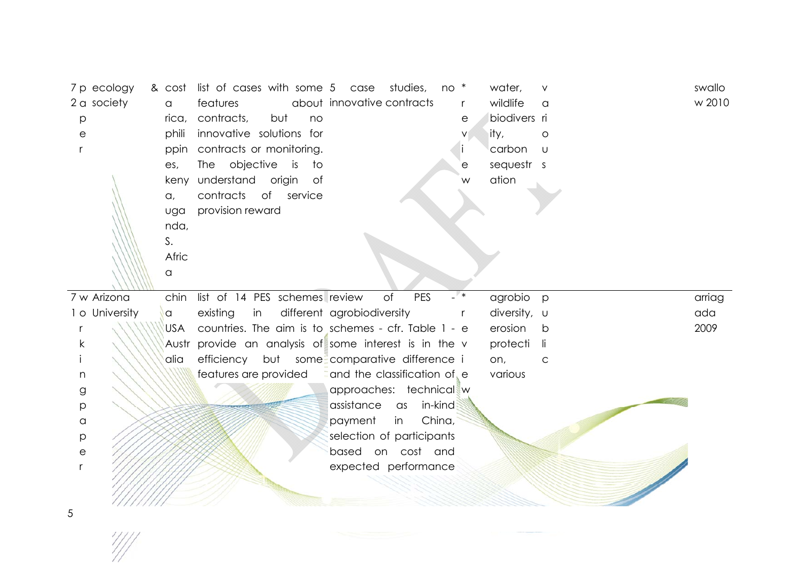| 7 p ecology    | & cost     | list of cases with some 5 case                   | studies,<br>$no*$                                   |              | water,       | $\vee$       | swallo |
|----------------|------------|--------------------------------------------------|-----------------------------------------------------|--------------|--------------|--------------|--------|
| 2 a society    | $\alpha$   | features                                         | about innovative contracts                          | $\mathsf{r}$ | wildlife     | a            | w 2010 |
| p              | rica,      | contracts,<br>but<br>no                          |                                                     | е            | biodivers ri |              |        |
| е              | phili      | innovative solutions for                         |                                                     |              | ity,         | $\circ$      |        |
|                | ppin       | contracts or monitoring.                         |                                                     |              | carbon       | $\cup$       |        |
|                | es,        | The objective<br>is<br>to                        |                                                     | е            | sequestr s   |              |        |
|                |            | keny understand origin of                        |                                                     | W            | ation        |              |        |
|                | $\alpha$ , | of service<br>contracts                          |                                                     |              |              |              |        |
|                | uga        | provision reward                                 |                                                     |              |              |              |        |
|                | nda,       |                                                  |                                                     |              |              |              |        |
|                | S.         |                                                  |                                                     |              |              |              |        |
|                | Afric      |                                                  |                                                     |              |              |              |        |
|                | a          |                                                  |                                                     |              |              |              |        |
| 7 w Arizona    | chin       | list of 14 PES schemes review                    | PES<br>$-$ *<br>of                                  |              | agrobio      | $\mathsf{p}$ | arriag |
| 1 o University | $\alpha$   | existing<br>in                                   | different agrobiodiversity                          | r            | diversity, u |              | ada    |
|                | <b>USA</b> |                                                  | countries. The aim is to schemes - cfr. Table 1 - e |              | erosion      | b            | 2009   |
| k              | Austr      | provide an analysis of some interest is in the v |                                                     |              | protecti     | -li          |        |
|                | alia       |                                                  | efficiency but some comparative difference i        |              | on,          | C            |        |
| n              |            | features are provided                            | and the classification of e                         |              | various      |              |        |
| g              |            |                                                  | approaches: technical w                             |              |              |              |        |
| р              |            |                                                  | assistance<br>in-kind<br>as                         |              |              |              |        |
| $\hbox{\tt C}$ |            |                                                  | China,<br>payment<br>in                             |              |              |              |        |
| $\mathsf{p}$   |            |                                                  | selection of participants                           |              |              |              |        |
| е              |            |                                                  | based on cost and                                   |              |              |              |        |
|                |            |                                                  | expected performance                                |              |              |              |        |
|                |            |                                                  |                                                     |              |              |              |        |
|                |            |                                                  |                                                     |              |              |              |        |

5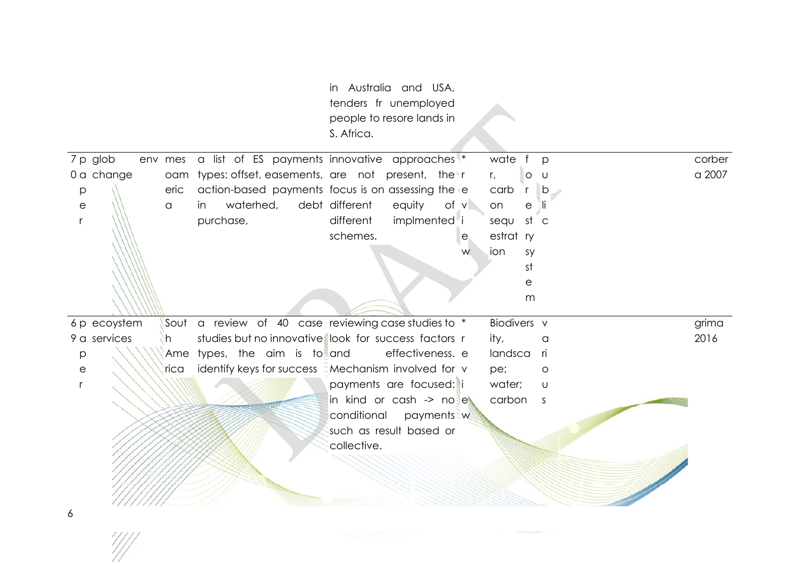|                       |         |                                                           | in Australia and USA,<br>tenders fr unemployed<br>people to resore lands in<br>S. Africa. |                  |   |             |                              |        |
|-----------------------|---------|-----------------------------------------------------------|-------------------------------------------------------------------------------------------|------------------|---|-------------|------------------------------|--------|
| 7 p glob              | env mes | a list of ES payments innovative approaches               |                                                                                           |                  |   | wate        | $\mathsf{f}$<br>$\mathsf{p}$ | corber |
| 0 a change            |         | oam types: offset, easements, are not present, the r      |                                                                                           |                  |   | $r_{\iota}$ | $\circ$<br>U                 | a 2007 |
| p                     | eric    | action-based payments focus is on assessing the           |                                                                                           |                  |   | carb        | $r$ b                        |        |
| $\mathop{\mathrm{e}}$ | a       | waterhed,<br>in                                           | debt different                                                                            | equity<br>of v   |   | on          | е<br>ЛГ                      |        |
| $\mathsf{r}$          |         | purchase,                                                 | different                                                                                 | implmented i     |   | sequ st c   |                              |        |
|                       |         |                                                           | schemes.                                                                                  |                  | e | estrat ry   |                              |        |
|                       |         |                                                           |                                                                                           |                  | W | ion         | sy                           |        |
|                       |         |                                                           |                                                                                           |                  |   |             | st                           |        |
|                       |         |                                                           |                                                                                           |                  |   |             | е                            |        |
|                       |         |                                                           |                                                                                           |                  |   |             | m                            |        |
| 6 p ecoystem          |         | Sout a review of 40 case reviewing case studies to *      |                                                                                           |                  |   | Biodivers v |                              | grima  |
| 9 a services          | h.      | studies but no innovative look for success factors r      |                                                                                           |                  |   | ity,        | a                            | 2016   |
| p                     |         | Ame types, the aim is to and                              |                                                                                           | effectiveness. e |   | landsca     | - ri                         |        |
| е                     | rica    | identify keys for success <i>Mechanism</i> involved for v |                                                                                           |                  |   | pe;         | O                            |        |
| r                     |         |                                                           | payments are focused: i                                                                   |                  |   | water;      | U                            |        |
|                       |         |                                                           | in kind or cash -> nose                                                                   |                  |   | carbon s    |                              |        |
|                       |         |                                                           | conditional                                                                               | payments w       |   |             |                              |        |
|                       |         |                                                           | such as result based or                                                                   |                  |   |             |                              |        |
|                       |         |                                                           | collective.                                                                               |                  |   |             |                              |        |
|                       |         |                                                           |                                                                                           |                  |   |             |                              |        |
|                       |         |                                                           |                                                                                           |                  |   |             |                              |        |
|                       |         |                                                           |                                                                                           |                  |   |             |                              |        |
| 6                     |         |                                                           |                                                                                           |                  |   |             |                              |        |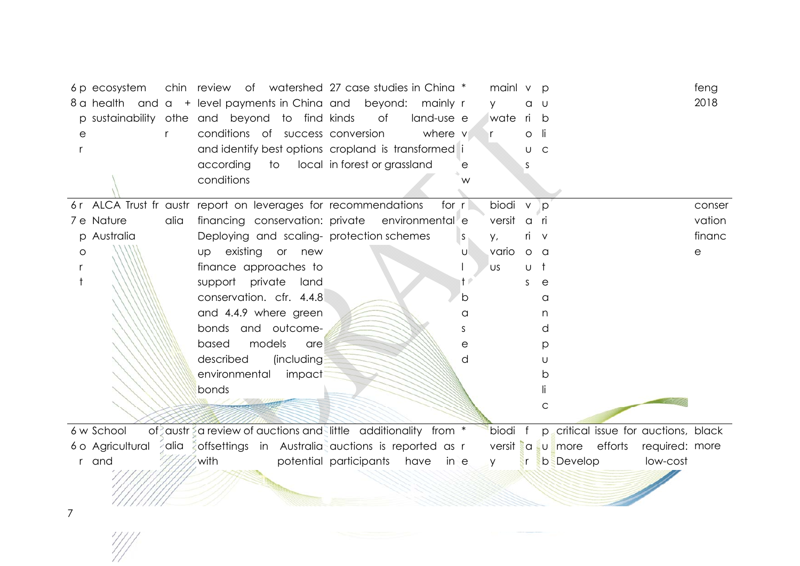| 6 p ecosystem<br>8 a health and a + level payments in China and<br>p sustainability othe and beyond to find kinds<br>$\mathsf{r}$<br>е |      | chin review of watershed 27 case studies in China *<br>conditions of success conversion<br>and identify best options cropland is transformed i<br>according<br>to<br>conditions |                   | of<br>local in forest or grassland | beyond: mainly r<br>land-use e<br>where v | е       | mainl v<br>V<br>wate<br>r | a<br>ri<br>O<br>U | $\circ$<br>-U<br>b<br>-li<br>$\mathsf{C}$ |                  |                         |                                      | feng<br>2018 |
|----------------------------------------------------------------------------------------------------------------------------------------|------|---------------------------------------------------------------------------------------------------------------------------------------------------------------------------------|-------------------|------------------------------------|-------------------------------------------|---------|---------------------------|-------------------|-------------------------------------------|------------------|-------------------------|--------------------------------------|--------------|
| 6r ALCA Trust fr austr report on leverages for recommendations                                                                         |      |                                                                                                                                                                                 |                   |                                    |                                           | for $r$ | biodi v                   |                   | <b>p</b>                                  |                  |                         |                                      | conser       |
| 7 e Nature                                                                                                                             | alia | financing conservation: private environmental e                                                                                                                                 |                   |                                    |                                           |         | versit                    | $\alpha$          | - ri                                      |                  |                         |                                      | vation       |
| p Australia                                                                                                                            |      | Deploying and scaling- protection schemes                                                                                                                                       |                   |                                    |                                           | S.      | у,                        | rı.               | $\vee$                                    |                  |                         |                                      | financ       |
| O                                                                                                                                      |      | existing or new<br>UD                                                                                                                                                           |                   |                                    |                                           | U       | vario                     | $\circ$           | - a                                       |                  |                         |                                      | е            |
|                                                                                                                                        |      | finance approaches to                                                                                                                                                           |                   |                                    |                                           |         | US                        | U                 | t                                         |                  |                         |                                      |              |
|                                                                                                                                        |      | support private                                                                                                                                                                 | land              |                                    |                                           |         |                           | S                 | е                                         |                  |                         |                                      |              |
|                                                                                                                                        |      | conservation. cfr. 4.4.8                                                                                                                                                        |                   |                                    |                                           | b       |                           |                   | a                                         |                  |                         |                                      |              |
|                                                                                                                                        |      | and 4.4.9 where green                                                                                                                                                           |                   |                                    |                                           | a       |                           |                   | n                                         |                  |                         |                                      |              |
|                                                                                                                                        |      | bonds and outcome-                                                                                                                                                              |                   |                                    |                                           | S.      |                           |                   | d                                         |                  |                         |                                      |              |
|                                                                                                                                        |      | models<br>based                                                                                                                                                                 | are               |                                    |                                           | e       |                           |                   | p                                         |                  |                         |                                      |              |
|                                                                                                                                        |      | described                                                                                                                                                                       | <i>(including</i> |                                    |                                           | d       |                           |                   | U                                         |                  |                         |                                      |              |
|                                                                                                                                        |      | environmental                                                                                                                                                                   | impact            |                                    |                                           |         |                           |                   | b                                         |                  |                         |                                      |              |
|                                                                                                                                        |      | bonds                                                                                                                                                                           |                   |                                    |                                           |         |                           |                   |                                           |                  |                         |                                      |              |
|                                                                                                                                        |      |                                                                                                                                                                                 |                   |                                    |                                           |         |                           |                   | C                                         |                  |                         |                                      |              |
| 6 w School                                                                                                                             |      | of austr a review of auctions and little additionality from *                                                                                                                   |                   |                                    |                                           |         | biodi f                   |                   |                                           |                  |                         | p critical issue for auctions, black |              |
| 6 o Agricultural                                                                                                                       |      | alia a offsettings in Australia auctions is reported as r                                                                                                                       |                   |                                    |                                           |         |                           |                   |                                           |                  | versit a u more efforts | required: more                       |              |
| r and                                                                                                                                  |      | with                                                                                                                                                                            |                   | potential participants have        | in e                                      |         | <b>Y</b>                  |                   |                                           | <b>b</b> Develop |                         | low-cost                             |              |
|                                                                                                                                        |      |                                                                                                                                                                                 |                   |                                    |                                           |         |                           |                   |                                           |                  |                         |                                      |              |
|                                                                                                                                        |      |                                                                                                                                                                                 |                   |                                    |                                           |         |                           |                   |                                           |                  |                         |                                      |              |
|                                                                                                                                        |      |                                                                                                                                                                                 |                   |                                    |                                           |         |                           |                   |                                           |                  |                         |                                      |              |

7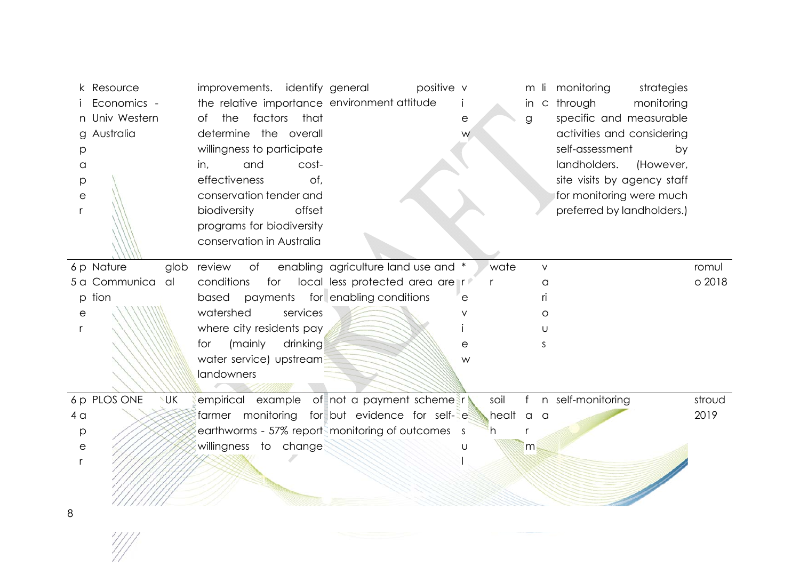|                       | k Resource                  | improvements. identify general               | positive v                                        |           |        | m li monitoring<br>strategies |        |
|-----------------------|-----------------------------|----------------------------------------------|---------------------------------------------------|-----------|--------|-------------------------------|--------|
|                       | Economics -                 | the relative importance environment attitude |                                                   |           |        | in c through<br>monitoring    |        |
|                       | n Univ Western              | factors<br>that<br>the<br>of                 |                                                   | е         | g      | specific and measurable       |        |
|                       | g Australia                 | determine the overall                        |                                                   | W         |        | activities and considering    |        |
| р                     |                             | willingness to participate                   |                                                   |           |        | self-assessment<br>by         |        |
| a                     |                             | and<br>cost-<br>in,                          |                                                   |           |        | landholders.<br>(However,     |        |
| р                     |                             | effectiveness<br>of,                         |                                                   |           |        | site visits by agency staff   |        |
| е                     |                             | conservation tender and                      |                                                   |           |        | for monitoring were much      |        |
|                       |                             | biodiversity<br>offset                       |                                                   |           |        | preferred by landholders.)    |        |
|                       |                             | programs for biodiversity                    |                                                   |           |        |                               |        |
|                       |                             | conservation in Australia                    |                                                   |           |        |                               |        |
|                       | 6 p Nature<br>glob          | review<br>of                                 | enabling agriculture land use and *               | wate      | $\vee$ |                               | romul  |
|                       | 5 a Communica<br>al         | conditions<br>for                            | local less protected area are r                   | r         | a      |                               | o 2018 |
|                       | p tion                      | based payments for enabling conditions       |                                                   |           | ri.    |                               |        |
| е                     |                             | watershed<br>services                        |                                                   |           | O      |                               |        |
|                       |                             | where city residents pay                     |                                                   |           | U      |                               |        |
|                       |                             | for<br>(mainly<br>drinking                   |                                                   | е         | S      |                               |        |
|                       |                             | water service) upstream                      |                                                   | W         |        |                               |        |
|                       |                             | landowners                                   |                                                   |           |        |                               |        |
|                       | 6 p PLOS ONE<br><b>I</b> UK |                                              | empirical example of not a payment schemes r      | soil      | f      | n self-monitoring             | stroud |
| 4 <sub>a</sub>        |                             |                                              | farmer monitoring for but evidence for self-e     | healt a a |        |                               | 2019   |
| р                     |                             |                                              | earthworms - 57% reports monitoring of outcomes s | h.        |        |                               |        |
| $\mathop{\mathrm{e}}$ |                             | willingness to change                        |                                                   |           | m      |                               |        |
|                       |                             |                                              |                                                   |           |        |                               |        |
|                       |                             |                                              |                                                   |           |        |                               |        |
|                       |                             |                                              |                                                   |           |        |                               |        |
| 8                     |                             |                                              |                                                   |           |        |                               |        |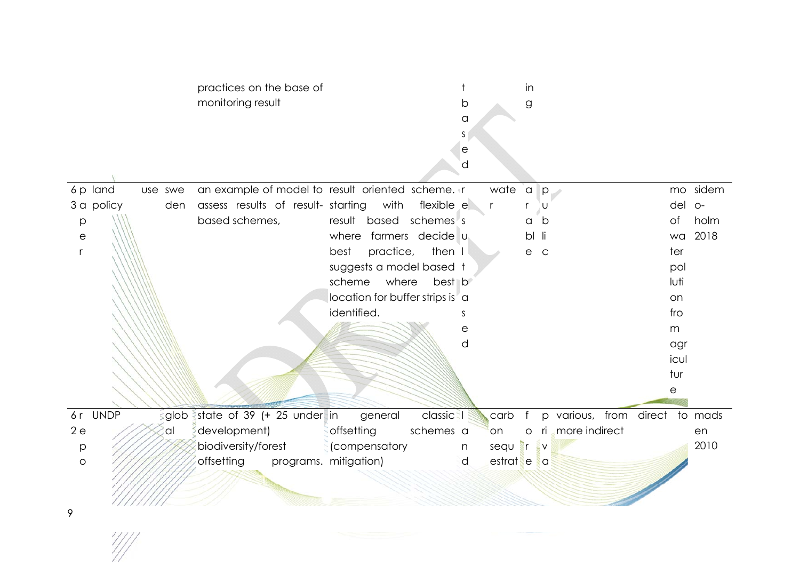|                       |      | practices on the base of                |                                                   |         |              | in                 |                                |      |          |
|-----------------------|------|-----------------------------------------|---------------------------------------------------|---------|--------------|--------------------|--------------------------------|------|----------|
|                       |      | monitoring result                       |                                                   | b       |              | $\mathsf g$        |                                |      |          |
|                       |      |                                         |                                                   | a       |              |                    |                                |      |          |
|                       |      |                                         |                                                   | S.<br>e |              |                    |                                |      |          |
|                       |      |                                         |                                                   | d       |              |                    |                                |      |          |
|                       |      |                                         |                                                   |         |              |                    |                                |      |          |
| 6p land<br>use swe    |      |                                         | an example of model to result oriented scheme. In |         | wate         | $\alpha$<br>$ p -$ |                                |      | mo sidem |
| 3 a policy            | den  | assess results of result- starting with | flexible e                                        |         | $\mathsf{r}$ | U                  |                                | del  | $O-$     |
| p                     |      | based schemes,                          | result based schemes's                            |         |              | b<br>a             |                                | of   | holm     |
| $\mathop{\mathrm{e}}$ |      |                                         | where farmers decide u                            |         |              | bl<br>-li          |                                | wa   | 2018     |
| r                     |      |                                         | practice,<br>then I<br>best                       |         |              | $\mathsf{C}$<br>е  |                                | ter  |          |
|                       |      |                                         | suggests a model based t                          |         |              |                    |                                | pol  |          |
|                       |      |                                         | scheme<br>where<br>best b                         |         |              |                    |                                | luti |          |
|                       |      |                                         | location for buffer strips is a                   |         |              |                    |                                | on   |          |
|                       |      |                                         | identified.                                       | S       |              |                    |                                | fro  |          |
|                       |      |                                         |                                                   | е       |              |                    |                                | m    |          |
|                       |      |                                         |                                                   | d       |              |                    |                                | agr  |          |
|                       |      |                                         |                                                   |         |              |                    |                                | icul |          |
|                       |      |                                         |                                                   |         |              |                    |                                | tur  |          |
|                       |      |                                         |                                                   |         |              |                    |                                | е    |          |
| 6r UNDP               | glob | state of 39 (+ 25 under in              | classic <sup>3</sup><br>general                   |         | carb<br>$-f$ |                    | p various, from direct to mads |      |          |
| 2e                    | al   | development)                            | offsetting<br>schemes a                           |         | on           | $\circ$            | ri more indirect               |      | en       |
| $\mathsf{p}$          |      | biodiversity/forest                     | (compensatory                                     | n       | sequer       | EV.                |                                |      | 2010     |
| $\circ$               |      | offsetting                              | programs. mitigation)                             | d       | estrat e a   |                    |                                |      |          |
|                       |      |                                         |                                                   |         |              |                    |                                |      |          |
|                       |      |                                         |                                                   |         |              |                    |                                |      |          |
| 9                     |      |                                         |                                                   |         |              |                    |                                |      |          |
|                       |      |                                         |                                                   |         |              |                    |                                |      |          |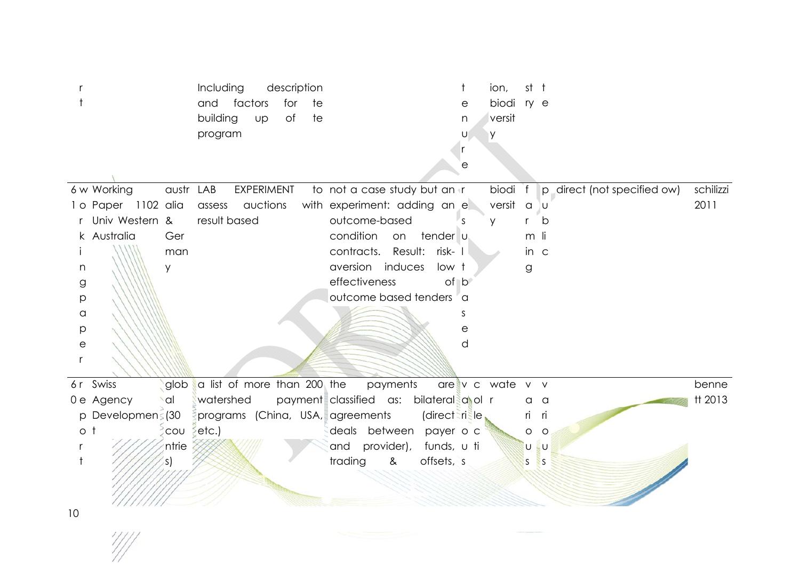|                            | Including<br>description<br>and<br>factors<br>for<br>te t<br>building<br>of<br>Up<br>te t<br>program |                                        | t<br>ion,<br>biodi<br>е<br>versit<br>n<br>y<br>U<br>r<br>e | st t<br>ry e                |           |
|----------------------------|------------------------------------------------------------------------------------------------------|----------------------------------------|------------------------------------------------------------|-----------------------------|-----------|
| 6 w Working<br>austr LAB   | EXPERIMENT                                                                                           | to not a case study but an in          | biodi f                                                    | p direct (not specified ow) | schilizzi |
| 1 o Paper 1102 alia        | assess auctions                                                                                      | with experiment: adding an e           | versit a u                                                 |                             | 2011      |
| Univ Western &             | result based                                                                                         | outcome-based                          | $\varsigma$<br>V                                           | b<br>r                      |           |
| k Australia<br>Ger         |                                                                                                      | condition on<br>tender u               |                                                            | m li                        |           |
| man                        |                                                                                                      | contracts. Result: risk- I             |                                                            | in $\epsilon$               |           |
| y<br>n                     |                                                                                                      | aversion induces<br>low t              |                                                            | g                           |           |
| g                          |                                                                                                      | effectiveness<br>of b                  |                                                            |                             |           |
| р                          |                                                                                                      | outcome based tenders a                |                                                            |                             |           |
| $\alpha$                   |                                                                                                      |                                        | S                                                          |                             |           |
| р                          |                                                                                                      |                                        | e                                                          |                             |           |
| $\mathop{\mathrm{e}}$      |                                                                                                      |                                        | d                                                          |                             |           |
| r                          |                                                                                                      |                                        |                                                            |                             |           |
| 6r Swiss<br>glob           | a list of more than 200 the                                                                          | payments                               | are v c wate v v                                           |                             | benne     |
| 0 e Agency<br><b>Scotl</b> | watershed                                                                                            | payment classified as: bilateral and r |                                                            | $a \, a$                    | tt 2013   |
| p Developmens (30          | programs (China, USA, agreements                                                                     | (directerisle                          |                                                            | ri<br>ri                    |           |
| $\circ$ t<br>$\sim$ COU    | $\epsilon$ etc.)                                                                                     | deals between payer o c                |                                                            | $\circ$<br>$\circ$          |           |
| ntrie                      |                                                                                                      | provider),<br>funds, u ti<br>and       |                                                            | ξυ<br>U                     |           |
|                            |                                                                                                      | trading<br>offsets, s<br>$\&$          |                                                            | S.<br><sub>S</sub>          |           |
|                            |                                                                                                      |                                        |                                                            |                             |           |
| 10                         |                                                                                                      |                                        |                                                            |                             |           |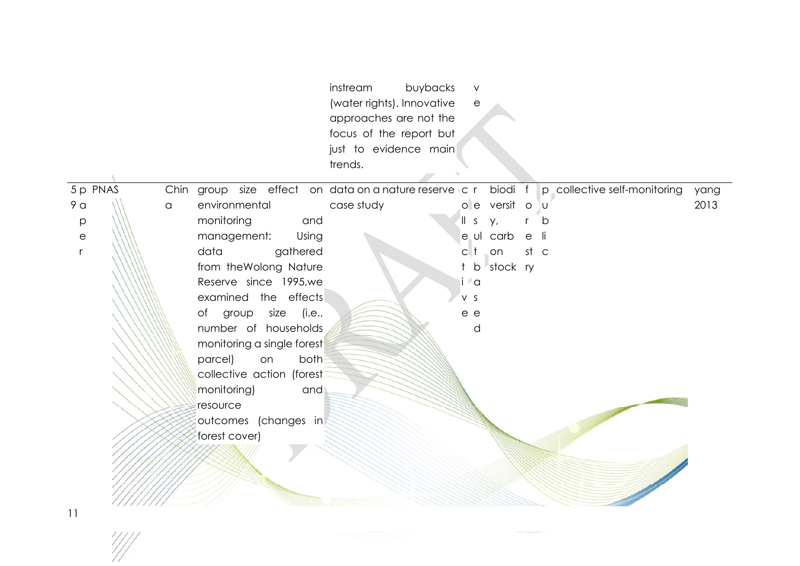|                       |          |      |                            | instream<br>buybacks<br>(water rights). Innovative<br>approaches are not the<br>focus of the report but<br>just to evidence main<br>trends. | $\vee$<br>$\mathop{\mathrm{e}}$ |                |      |                              |      |
|-----------------------|----------|------|----------------------------|---------------------------------------------------------------------------------------------------------------------------------------------|---------------------------------|----------------|------|------------------------------|------|
|                       | 5 p PNAS | Chin |                            | group size effect on data on a nature reserve c r                                                                                           |                                 | biodi f        |      | p collective self-monitoring | yang |
| 9 <sub>a</sub>        |          | a    | environmental              | case study                                                                                                                                  |                                 | o e versit o u |      |                              | 2013 |
| p                     |          |      | monitoring<br>and          |                                                                                                                                             | $\parallel$ s                   | у,             |      | b                            |      |
| $\mathop{\mathrm{e}}$ |          |      | management:<br>Using       |                                                                                                                                             |                                 | e ul carb      | e    | - li                         |      |
| $\mathsf{r}$          |          |      | data<br>gathered           |                                                                                                                                             | $c$   $\dagger$                 | $\Box$ on      | st c |                              |      |
|                       |          |      | from the Wolong Nature     |                                                                                                                                             |                                 | b stock ry     |      |                              |      |
|                       |          |      | Reserve since 1995, we     |                                                                                                                                             | i l'a                           |                |      |                              |      |
|                       |          |      | examined the effects       |                                                                                                                                             | V S                             |                |      |                              |      |
|                       |          |      | of group<br>size (i.e.,    |                                                                                                                                             | e e                             |                |      |                              |      |
|                       |          |      | number of households       |                                                                                                                                             | d                               |                |      |                              |      |
|                       |          |      | monitoring a single forest |                                                                                                                                             |                                 |                |      |                              |      |
|                       |          |      | parcel)<br>both<br>on      |                                                                                                                                             |                                 |                |      |                              |      |
|                       |          |      | collective action (forest  |                                                                                                                                             |                                 |                |      |                              |      |
|                       |          |      | monitoring)<br>and         |                                                                                                                                             |                                 |                |      |                              |      |
|                       |          |      | resource                   |                                                                                                                                             |                                 |                |      |                              |      |
|                       |          |      | outcomes (changes in       |                                                                                                                                             |                                 |                |      |                              |      |
|                       |          |      | forest cover)              |                                                                                                                                             |                                 |                |      |                              |      |
|                       |          |      |                            |                                                                                                                                             |                                 |                |      |                              |      |
|                       |          |      |                            |                                                                                                                                             |                                 |                |      |                              |      |
|                       |          |      |                            |                                                                                                                                             |                                 |                |      |                              |      |
|                       |          |      |                            |                                                                                                                                             |                                 |                |      |                              |      |

11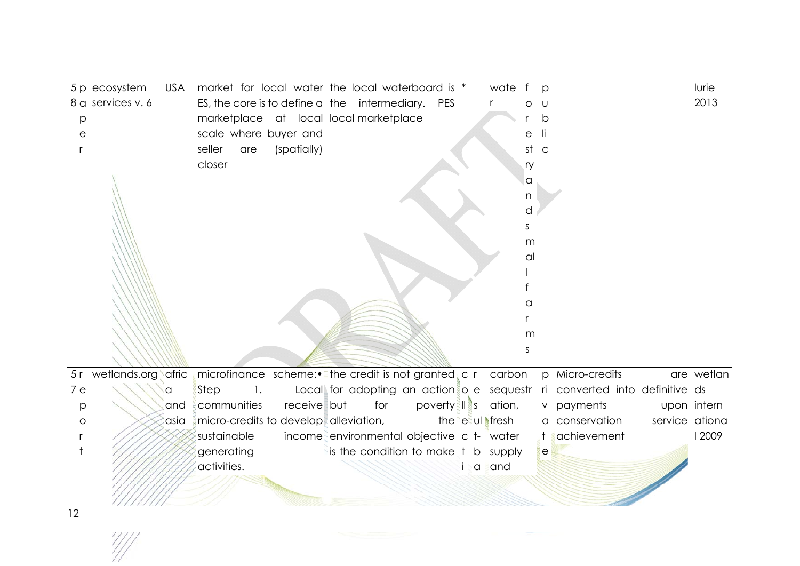| p<br>е | 5 p ecosystem<br>8 a services v. 6 | USA  | market for local water the local waterboard is *<br>ES, the core is to define a the intermediary. PES<br>marketplace at local local marketplace<br>scale where buyer and<br>seller<br>are<br>closer | (spatially) |                                           |                     |    | wate<br>r      | е<br>st<br>$\mathsf{C}$<br>ry<br>a<br>n<br>d<br>S<br>m | D<br>U<br>b                                                               |                | lurie<br>2013 |
|--------|------------------------------------|------|-----------------------------------------------------------------------------------------------------------------------------------------------------------------------------------------------------|-------------|-------------------------------------------|---------------------|----|----------------|--------------------------------------------------------|---------------------------------------------------------------------------|----------------|---------------|
|        |                                    |      |                                                                                                                                                                                                     |             |                                           |                     |    |                | al<br>а<br>m<br>S                                      |                                                                           |                |               |
|        | 5r wetlands.org afric              |      | microfinance scheme:• The credit is not granted, c r carbon                                                                                                                                         |             |                                           |                     |    |                |                                                        | p Micro-credits                                                           |                | are wetlan    |
| 7e     |                                    | a    | Step<br>$\mathbf{1}$ .                                                                                                                                                                              |             |                                           |                     |    |                |                                                        | Local for adopting an action o e sequestr ri converted into definitive ds |                |               |
| p      |                                    | and  | communities                                                                                                                                                                                         | receive but | for                                       | poverty II s ation, |    |                |                                                        | v payments                                                                |                | upon intern   |
| O      |                                    | asia | micro-credits to develop alleviation,                                                                                                                                                               |             |                                           |                     |    | the e ul fresh |                                                        | a conservation                                                            | service ationa |               |
|        |                                    |      | sustainable                                                                                                                                                                                         |             | income environmental objective c t- water |                     |    |                |                                                        | achievement                                                               |                | 12009         |
|        |                                    |      | generating                                                                                                                                                                                          |             | is the condition to make t b supply       |                     |    |                |                                                        | le                                                                        |                |               |
|        |                                    |      | activities.                                                                                                                                                                                         |             |                                           |                     | Ť. | a and          |                                                        |                                                                           |                |               |
| 12     |                                    |      |                                                                                                                                                                                                     |             |                                           |                     |    |                |                                                        |                                                                           |                |               |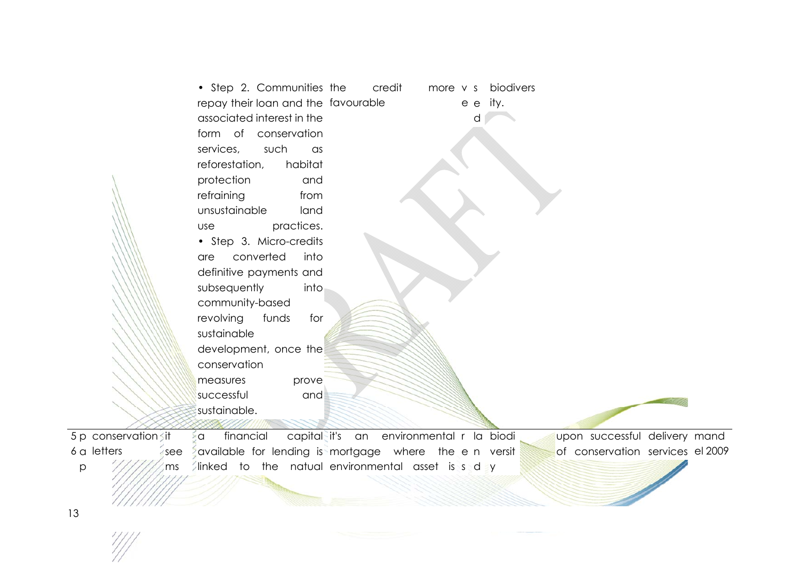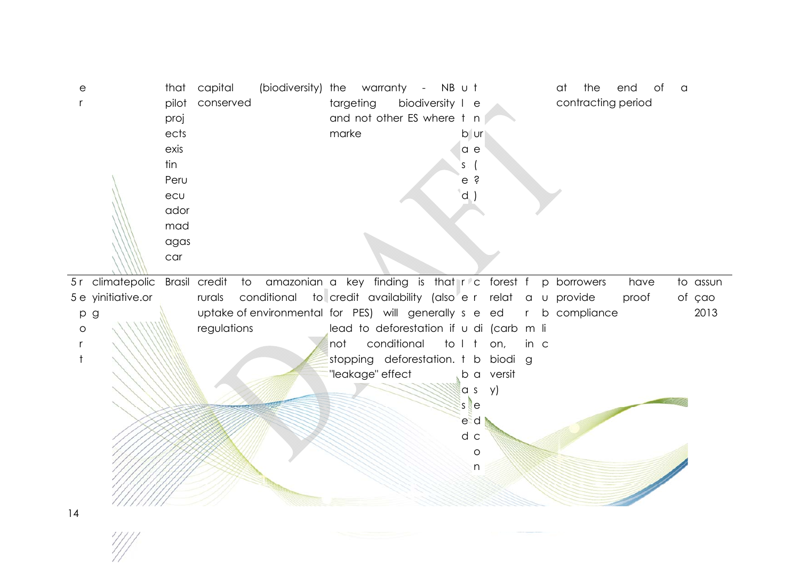er that pilot conserved proj ects exis tin Peru ecuador mad agas car capital (biodiversity) the warranty - NB u t targeting biodiversity I e and not other ES where t n marke b ur a e s ( e?d ) at the end of a contracting period 5 r climatepolic Brasil credit to amazonian a key finding is that r c forest f p borrowers have to 5 e yinitiative.or p g o r t rurals conditional to\_credit availability (also<sup>r</sup>e r relat a u provide proof of uptake of environmental for PES) will generally s e ed r b compliance regulations lead to deforestation if u di (carb m li not conditional to I t on, in c stopping deforestation. t b biodi g "leakage" effect lba versit a s y) s e e d d c o n assun of çao 2013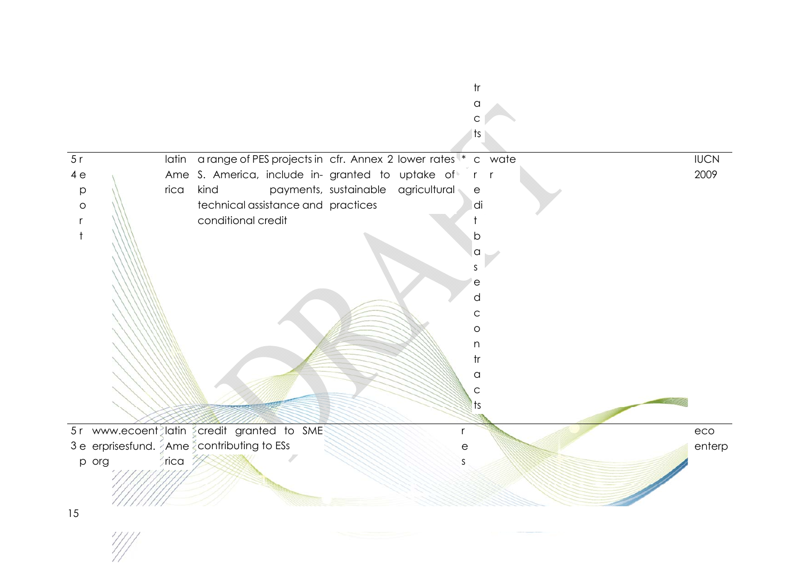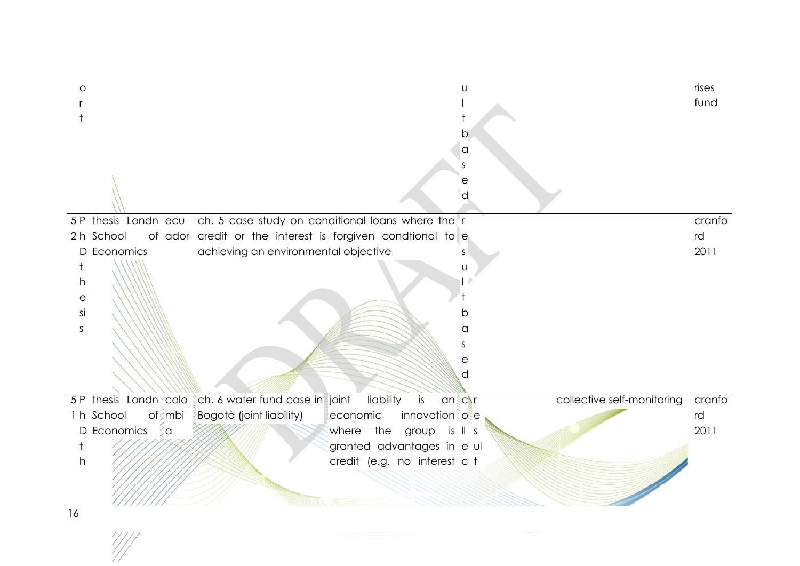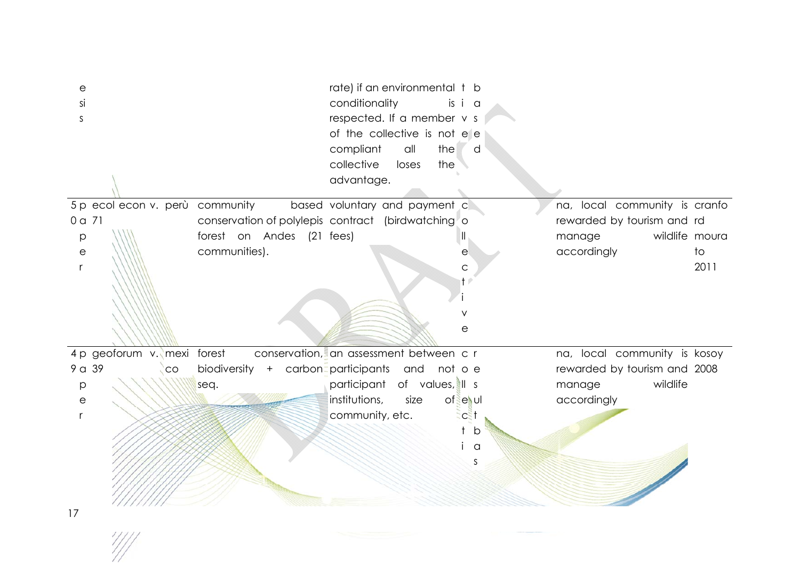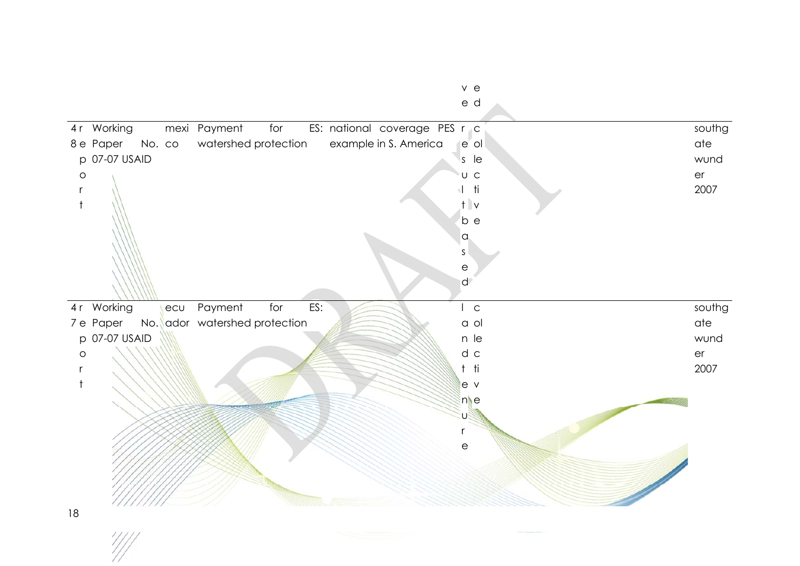|         | 4r Working          |     | mexi Payment<br>for           |     | ES: national coverage PES r c |                           | southg |
|---------|---------------------|-----|-------------------------------|-----|-------------------------------|---------------------------|--------|
|         | 8 e Paper<br>No. co |     | watershed protection          |     | example in S. America         | e ol                      | ate    |
|         | p 07-07 USAID       |     |                               |     |                               | $s$ le                    | wund   |
| $\circ$ |                     |     |                               |     |                               | U C                       | er     |
| r       |                     |     |                               |     |                               | $+1$ ti                   | 2007   |
|         |                     |     |                               |     |                               | $t$ v                     |        |
|         |                     |     |                               |     |                               | b e                       |        |
|         |                     |     |                               |     |                               | $\alpha$                  |        |
|         |                     |     |                               |     |                               | $\sf S$                   |        |
|         |                     |     |                               |     |                               | $\mathop{\rm e}\nolimits$ |        |
|         |                     |     |                               |     |                               | $\mathsf{d}$              |        |
|         |                     |     |                               |     |                               |                           |        |
|         | 4r Working          | ecu | Payment<br>for                | ES: |                               | $ $ c                     | southg |
|         | 7 e Paper           |     | No. ador watershed protection |     |                               | a ol                      | ate    |
|         | p 07-07 USAID       |     |                               |     |                               | n le                      | wund   |
| $\circ$ |                     |     |                               |     |                               | d c                       | er     |
|         |                     |     |                               |     |                               | $t$ ti                    | 2007   |
|         |                     |     |                               |     |                               | le v                      |        |
|         |                     |     |                               |     |                               | $n$ e                     |        |
|         |                     |     |                               |     |                               | U                         |        |
|         |                     |     |                               |     |                               | r                         |        |
|         |                     |     |                               |     |                               | $\mathsf{e}$              |        |
|         |                     |     |                               |     |                               |                           |        |
|         |                     |     |                               |     |                               |                           |        |
|         |                     |     |                               |     |                               |                           |        |
| 18      |                     |     |                               |     |                               |                           |        |

 $\frac{1}{2}$ 

e d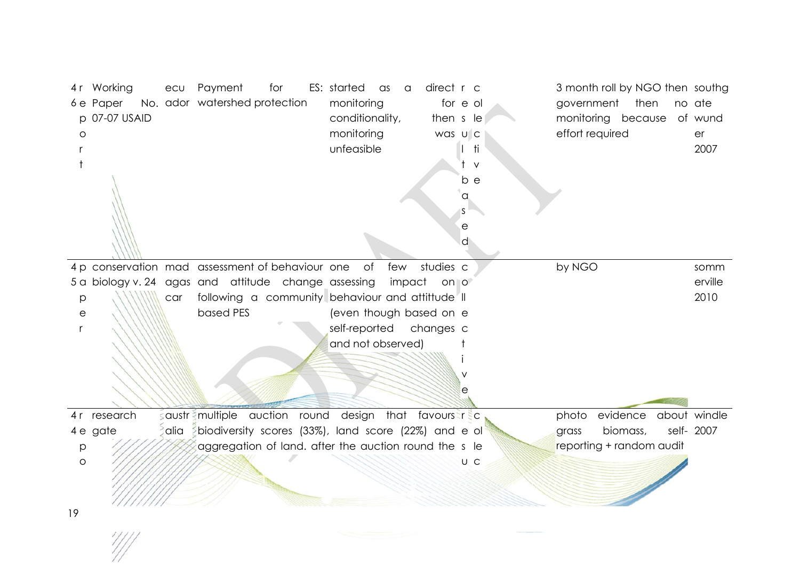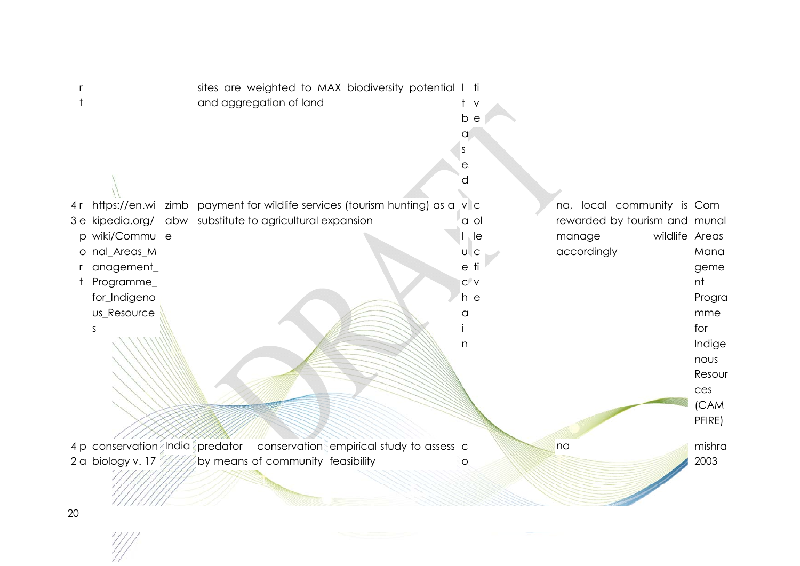|                         | sites are weighted to MAX biodiversity potential I ti<br>and aggregation of land | t.<br>$\vee$<br>b e<br>a<br>S<br>е<br>a |                               |        |
|-------------------------|----------------------------------------------------------------------------------|-----------------------------------------|-------------------------------|--------|
| 4 r                     | https://en.wi zimb payment for wildlife services (tourism hunting) as a          | $V$ C                                   | na, local community is Com    |        |
|                         | 3 e kipedia.org/ abw substitute to agricultural expansion                        | a ol                                    | rewarded by tourism and munal |        |
| wiki/Commu e<br>$\circ$ |                                                                                  | le                                      | wildlife Areas<br>manage      |        |
| nal_Areas_M<br>$\circ$  |                                                                                  | $U \, C$                                | accordingly                   | Mana   |
| anagement_              |                                                                                  | e ti                                    |                               | geme   |
| Programme_              |                                                                                  | $C^{\prime}$ V                          |                               | nt     |
| for_Indigeno            |                                                                                  | h e                                     |                               | Progra |
| us_Resource             |                                                                                  | a                                       |                               | mme    |
| S                       |                                                                                  |                                         |                               | for    |
|                         |                                                                                  | n                                       |                               | Indige |
|                         |                                                                                  |                                         |                               | nous   |
|                         |                                                                                  |                                         |                               | Resour |
|                         |                                                                                  |                                         |                               | ces    |
|                         |                                                                                  |                                         |                               | (CAM   |
|                         |                                                                                  |                                         |                               | PFIRE) |
|                         |                                                                                  |                                         |                               |        |
|                         | 4 p conservation India predator conservation empirical study to assess c         |                                         | na                            | mishra |
|                         | 2 a biology v. 17 $\mathbb{Z}/\mathbb{Z}$ by means of community feasibility      | O                                       |                               | 2003   |
|                         |                                                                                  |                                         |                               |        |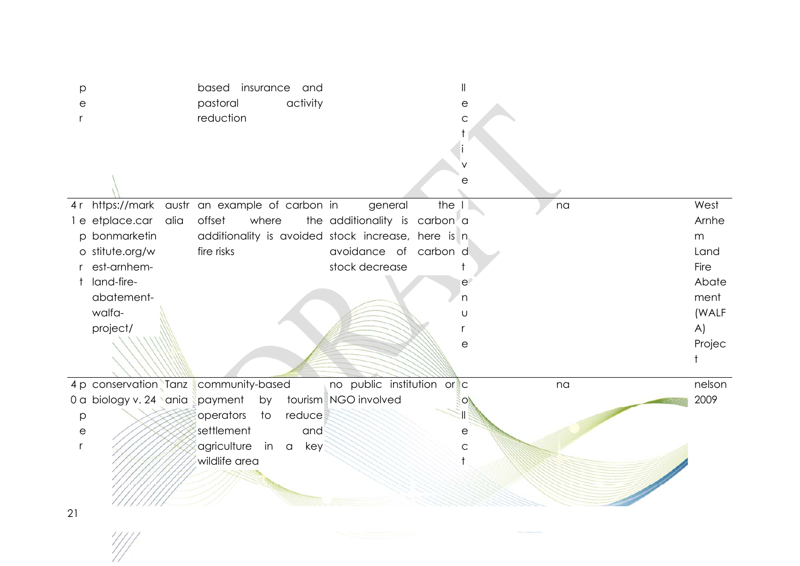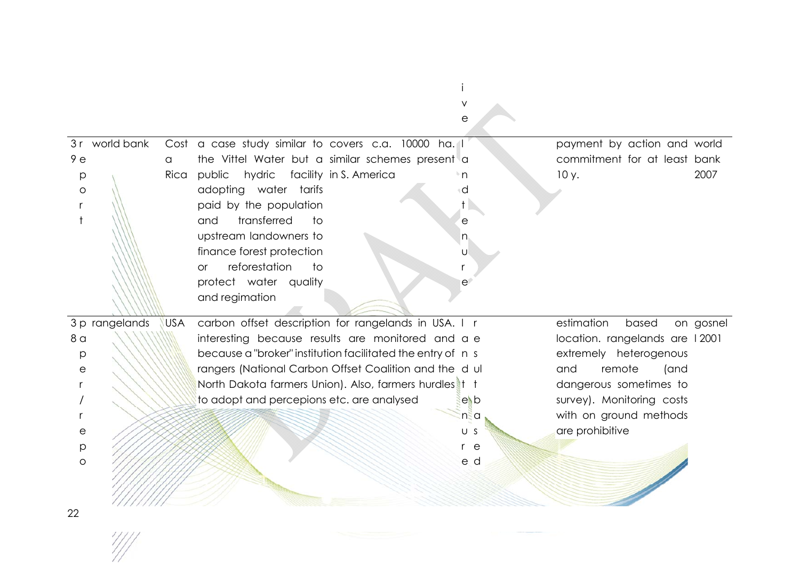|                       |                |            |                                                             | е           |                                |           |
|-----------------------|----------------|------------|-------------------------------------------------------------|-------------|--------------------------------|-----------|
|                       | 3r world bank  |            | Cost a case study similar to covers c.a. 10000 ha. I        |             | payment by action and world    |           |
| 9e                    |                | a          | the Vittel Water but a similar schemes present a            |             | commitment for at least bank   |           |
| p                     |                | Rica       | public<br>hydric facility in S. America                     | 'n          | 10y.                           | 2007      |
| $\circ$               |                |            | adopting water tarifs                                       | d           |                                |           |
| r                     |                |            | paid by the population                                      |             |                                |           |
| $\ddagger$            |                |            | transferred<br>to<br>and                                    | e           |                                |           |
|                       |                |            | upstream landowners to                                      | $n_{\rm h}$ |                                |           |
|                       |                |            | finance forest protection                                   | U           |                                |           |
|                       |                |            | reforestation<br>to<br>or                                   |             |                                |           |
|                       |                |            | protect water quality                                       | e           |                                |           |
|                       |                |            | and regimation                                              |             |                                |           |
|                       |                |            |                                                             |             |                                |           |
|                       | 3 p rangelands | <b>USA</b> | carbon offset description for rangelands in USA. I r        |             | estimation<br>based            | on gosnel |
| 8 <sub>a</sub>        |                |            | interesting because results are monitored and a e           |             | location. rangelands are 12001 |           |
| p                     |                |            | because a "broker" institution facilitated the entry of n s |             | extremely heterogenous         |           |
| $\mathop{\mathrm{e}}$ |                |            | rangers (National Carbon Offset Coalition and the dul       |             | remote<br>(and<br>and          |           |
|                       |                |            | North Dakota farmers Union). Also, farmers hurdles t t      |             | dangerous sometimes to         |           |
|                       |                |            | to adopt and percepions etc. are analysed                   | $e$ b       | survey). Monitoring costs      |           |
|                       |                |            |                                                             | ∣n≷a        | with on ground methods         |           |
| е                     |                |            |                                                             | U S         | are prohibitive                |           |
| р                     |                |            |                                                             | r e         |                                |           |
| $\circ$               |                |            |                                                             | e d         |                                |           |
|                       |                |            |                                                             |             |                                |           |
|                       |                |            |                                                             |             |                                |           |
|                       |                |            |                                                             |             |                                |           |

i $\mathbf{i}$ 

22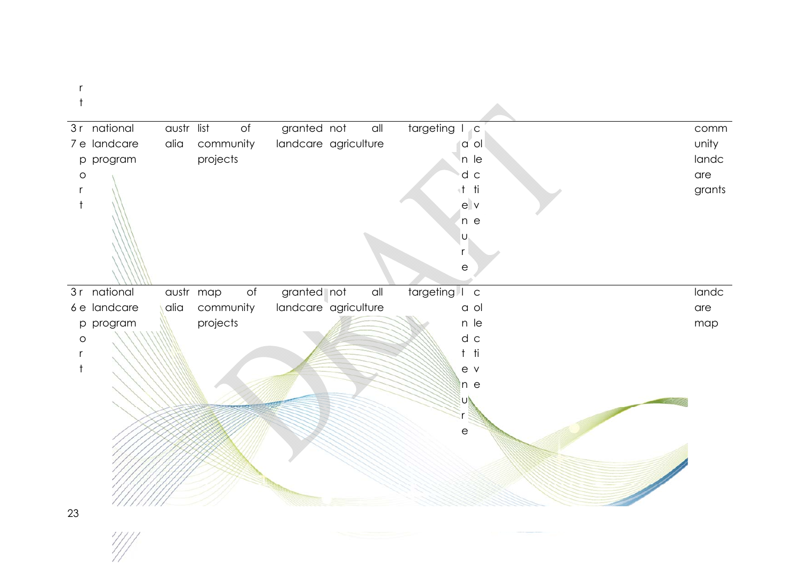r t

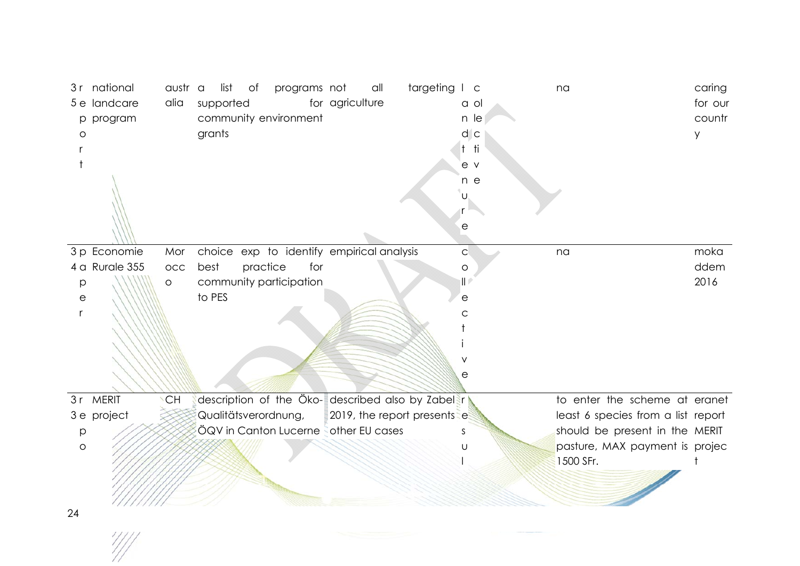|         | 3r national    | austr a   |        | list      | of       | programs not                                      |                 | all | targeting I c                |                        |      | na                                 | caring  |
|---------|----------------|-----------|--------|-----------|----------|---------------------------------------------------|-----------------|-----|------------------------------|------------------------|------|------------------------------------|---------|
|         | 5 e landcare   | alia      |        | supported |          |                                                   | for agriculture |     |                              |                        | a ol |                                    | for our |
| p       | program        |           |        |           |          | community environment                             |                 |     |                              |                        | n le |                                    | countr  |
| O       |                |           | grants |           |          |                                                   |                 |     |                              | $d$ $c$                |      |                                    | y       |
|         |                |           |        |           |          |                                                   |                 |     |                              | t ti                   |      |                                    |         |
|         |                |           |        |           |          |                                                   |                 |     |                              | e v                    |      |                                    |         |
|         |                |           |        |           |          |                                                   |                 |     |                              | n e                    |      |                                    |         |
|         |                |           |        |           |          |                                                   |                 |     |                              | U                      |      |                                    |         |
|         |                |           |        |           |          |                                                   |                 |     |                              |                        |      |                                    |         |
|         |                |           |        |           |          |                                                   |                 |     |                              | $\mathop{\mathrm{e}}$  |      |                                    |         |
|         | 3 p Economie   | Mor       |        |           |          | choice exp to identify empirical analysis         |                 |     |                              | $\mathsf C$            |      | na                                 | moka    |
|         | 4 a Rurale 355 | OCC       | best   |           | practice | for                                               |                 |     |                              | $\circ$                |      |                                    | ddem    |
| p       |                | $\circ$   |        |           |          | community participation                           |                 |     |                              | $\parallel$ $^{\circ}$ |      |                                    | 2016    |
| е       |                |           | to PES |           |          |                                                   |                 |     |                              | $\mathop{\mathrm{e}}$  |      |                                    |         |
| r       |                |           |        |           |          |                                                   |                 |     |                              | С                      |      |                                    |         |
|         |                |           |        |           |          |                                                   |                 |     |                              |                        |      |                                    |         |
|         |                |           |        |           |          |                                                   |                 |     |                              |                        |      |                                    |         |
|         |                |           |        |           |          |                                                   |                 |     |                              | ٧                      |      |                                    |         |
|         |                |           |        |           |          |                                                   |                 |     |                              | е                      |      |                                    |         |
| 3r      | <b>MERIT</b>   | <b>CH</b> |        |           |          | description of the Öko- described also by Zabel r |                 |     |                              |                        |      | to enter the scheme at eranet      |         |
|         | 3 e project    |           |        |           |          | Qualitätsverordnung,                              |                 |     | 2019, the report presents es |                        |      | least 6 species from a list report |         |
| p       |                |           |        |           |          | ÖQV in Canton Lucerne other EU cases              |                 |     |                              | S                      |      | should be present in the MERIT     |         |
| $\circ$ |                |           |        |           |          |                                                   |                 |     |                              | U                      |      | pasture, MAX payment is projec     |         |
|         |                |           |        |           |          |                                                   |                 |     |                              |                        |      | 1500 SFr.                          |         |
|         |                |           |        |           |          |                                                   |                 |     |                              |                        |      |                                    |         |
|         |                |           |        |           |          |                                                   |                 |     |                              |                        |      |                                    |         |
| 24      |                |           |        |           |          |                                                   |                 |     |                              |                        |      |                                    |         |
|         |                |           |        |           |          |                                                   |                 |     |                              |                        |      |                                    |         |
|         |                |           |        |           |          |                                                   |                 |     |                              |                        |      |                                    |         |
|         |                |           |        |           |          |                                                   |                 |     |                              |                        |      |                                    |         |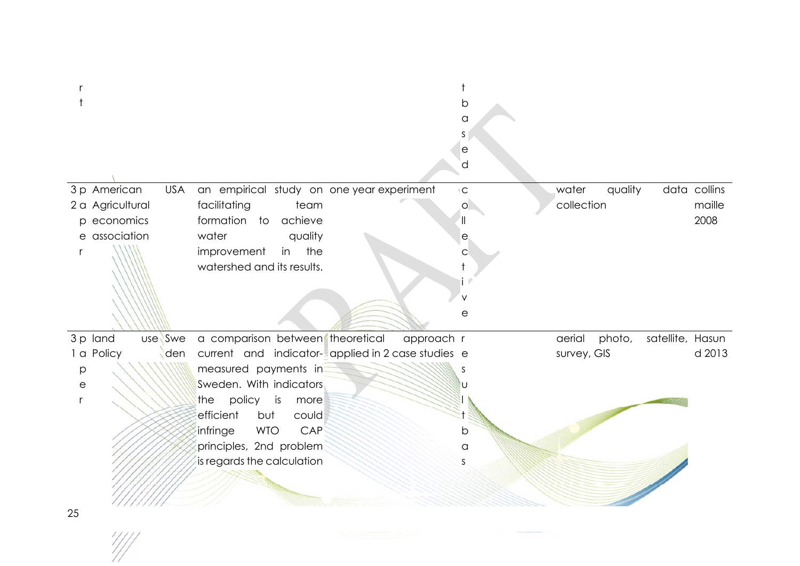|                            |                                                   |            | b                 |             |         |                  |              |
|----------------------------|---------------------------------------------------|------------|-------------------|-------------|---------|------------------|--------------|
|                            |                                                   |            | a                 |             |         |                  |              |
|                            |                                                   |            | S                 |             |         |                  |              |
|                            |                                                   |            | е                 |             |         |                  |              |
|                            |                                                   |            | d                 |             |         |                  |              |
| 3 p American<br><b>USA</b> | an empirical study on one year experiment         |            | ${}^+ \mathbf{C}$ | water       | quality |                  | data collins |
| 2 a Agricultural           | facilitating<br>team                              |            | $\circ$           | collection  |         |                  | maille       |
| p economics                | formation to achieve                              |            | $\parallel$       |             |         |                  | 2008         |
| e association              | quality<br>water                                  |            | e                 |             |         |                  |              |
| r                          | improvement<br>in the                             |            | C                 |             |         |                  |              |
|                            | watershed and its results.                        |            |                   |             |         |                  |              |
|                            |                                                   |            |                   |             |         |                  |              |
|                            |                                                   |            |                   |             |         |                  |              |
|                            |                                                   |            | е                 |             |         |                  |              |
|                            |                                                   |            |                   |             |         |                  |              |
| 3 p land<br>use Swe        | a comparison between theoretical                  | approach r |                   | aerial      | photo,  | satellite, Hasun |              |
| 1 a Policy<br>den          | current and indicator-applied in 2 case studies e |            |                   | survey, GIS |         |                  | d 2013       |
| $\mathsf{p}$               | measured payments in                              |            |                   |             |         |                  |              |
| $\mathop{\mathrm{e}}$      | Sweden. With indicators                           |            |                   |             |         |                  |              |
| $\mathsf{r}$               | policy<br>the<br>is<br>more                       |            |                   |             |         |                  |              |
|                            | efficient<br>but<br>could                         |            |                   |             |         |                  |              |
|                            | <b>WTO</b><br>CAP<br>infringe                     |            | b                 |             |         |                  |              |
|                            | principles, 2nd problem                           |            | a                 |             |         |                  |              |
|                            | is regards the calculation                        |            | S                 |             |         |                  |              |
|                            |                                                   |            |                   |             |         |                  |              |
|                            |                                                   |            |                   |             |         |                  |              |
|                            |                                                   |            |                   |             |         |                  |              |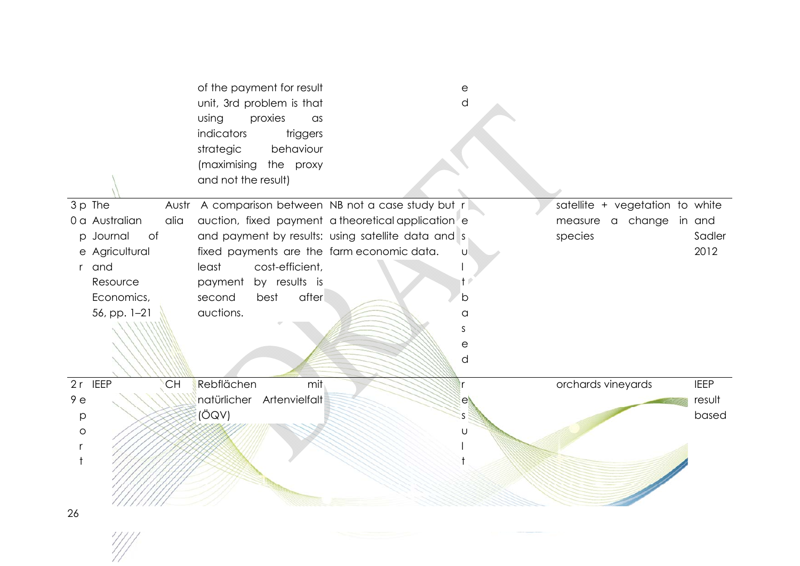|                        | of the payment for result<br>unit, 3rd problem is that<br>proxies<br>using<br>$\alpha$ s<br>indicators<br>triggers<br>strategic<br>behaviour<br>(maximising<br>the proxy<br>and not the result) |                                                    | е<br>d |                                 |             |
|------------------------|-------------------------------------------------------------------------------------------------------------------------------------------------------------------------------------------------|----------------------------------------------------|--------|---------------------------------|-------------|
| 3 p The                | Austr A comparison between NB not a case study but r                                                                                                                                            |                                                    |        | satellite + vegetation to white |             |
| 0 a Australian<br>alia |                                                                                                                                                                                                 | auction, fixed payment a theoretical application e |        | measure a change in and         |             |
| of<br>p Journal        |                                                                                                                                                                                                 | and payment by results: using satellite data and s |        | species                         | Sadler      |
| e Agricultural         | fixed payments are the farm economic data.                                                                                                                                                      |                                                    | U      |                                 | 2012        |
| and<br>r               | least<br>cost-efficient,                                                                                                                                                                        |                                                    |        |                                 |             |
| Resource               | payment by results is                                                                                                                                                                           |                                                    |        |                                 |             |
| Economics,             | after<br>second<br>best                                                                                                                                                                         |                                                    | b      |                                 |             |
| 56, pp. 1-21           | auctions.                                                                                                                                                                                       |                                                    | a      |                                 |             |
|                        |                                                                                                                                                                                                 |                                                    | S      |                                 |             |
|                        |                                                                                                                                                                                                 |                                                    | е      |                                 |             |
|                        |                                                                                                                                                                                                 |                                                    | d      |                                 |             |
| 2r IEEP<br><b>CH</b>   | Rebflächen<br>mit                                                                                                                                                                               |                                                    |        | orchards vineyards              | <b>IEEP</b> |
| 9e                     | natürlicher Artenvielfalt                                                                                                                                                                       |                                                    | e      |                                 | result      |
| p                      | (ÖQV)                                                                                                                                                                                           |                                                    |        |                                 | based       |
| $\circ$                |                                                                                                                                                                                                 |                                                    | U      |                                 |             |
|                        |                                                                                                                                                                                                 |                                                    |        |                                 |             |
|                        |                                                                                                                                                                                                 |                                                    |        |                                 |             |
|                        |                                                                                                                                                                                                 |                                                    |        |                                 |             |
|                        |                                                                                                                                                                                                 |                                                    |        |                                 |             |
| 26                     |                                                                                                                                                                                                 |                                                    |        |                                 |             |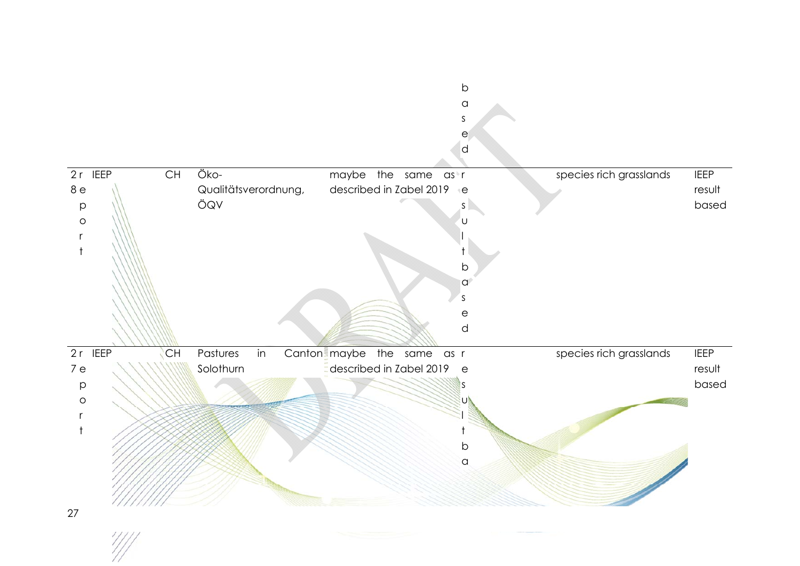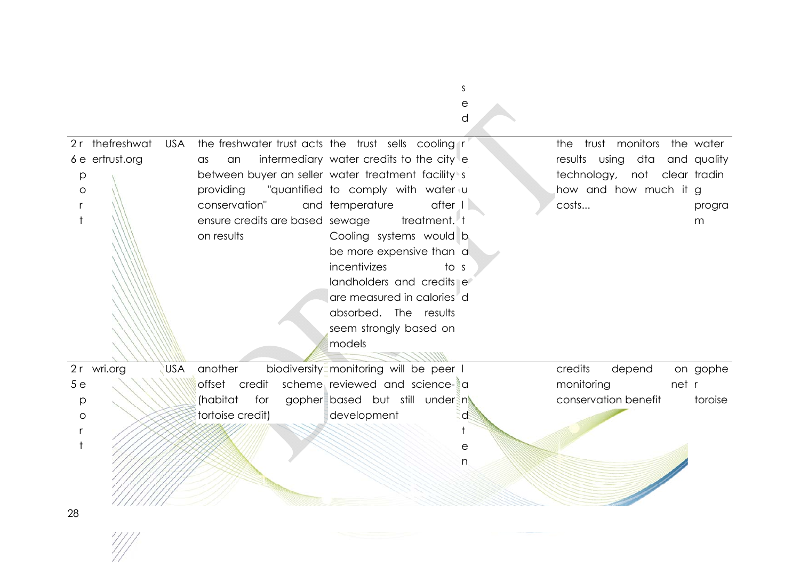|                                                           |                                                                            |                                                                                                                                                                                                                                                                                                                                                                                                                                                                         | е<br>d |                                                                                                                                 |             |
|-----------------------------------------------------------|----------------------------------------------------------------------------|-------------------------------------------------------------------------------------------------------------------------------------------------------------------------------------------------------------------------------------------------------------------------------------------------------------------------------------------------------------------------------------------------------------------------------------------------------------------------|--------|---------------------------------------------------------------------------------------------------------------------------------|-------------|
| 2r thefreshwat<br><b>USA</b><br>6 e ertrust.org<br>p<br>O | an<br>as<br>conservation"<br>ensure credits are based sewage<br>on results | the freshwater trust acts the trust sells cooling r<br>intermediary water credits to the city<br>between buyer an seller water treatment facility s<br>providing "quantified to comply with water u<br>$after$ $ $<br>and temperature<br>treatment. t<br>Cooling systems would b<br>be more expensive than a<br>incentivizes<br>to s<br>landholders and credits e<br>are measured in calories <sup>d</sup><br>absorbed. The results<br>seem strongly based on<br>models |        | the trust monitors the water<br>results using dta and quality<br>technology, not clear tradin<br>how and how much it g<br>costs | progra<br>m |
| USA<br>2 r wri.org                                        | another                                                                    | biodiversity <sup>-</sup> monitoring will be peer I                                                                                                                                                                                                                                                                                                                                                                                                                     |        | credits<br>depend                                                                                                               | on gophe    |
| 5e                                                        | offset credit                                                              | scheme reviewed and science- a                                                                                                                                                                                                                                                                                                                                                                                                                                          |        | monitoring                                                                                                                      | net r       |
| p                                                         | (habitat<br>for                                                            | gopher based but still under n                                                                                                                                                                                                                                                                                                                                                                                                                                          |        | conservation benefit                                                                                                            | toroise     |
| $\circ$                                                   | tortoise credit)                                                           | development                                                                                                                                                                                                                                                                                                                                                                                                                                                             | ď      |                                                                                                                                 |             |
|                                                           |                                                                            |                                                                                                                                                                                                                                                                                                                                                                                                                                                                         | ŧ      |                                                                                                                                 |             |
|                                                           |                                                                            |                                                                                                                                                                                                                                                                                                                                                                                                                                                                         | е<br>n |                                                                                                                                 |             |
| 28                                                        |                                                                            |                                                                                                                                                                                                                                                                                                                                                                                                                                                                         |        |                                                                                                                                 |             |

s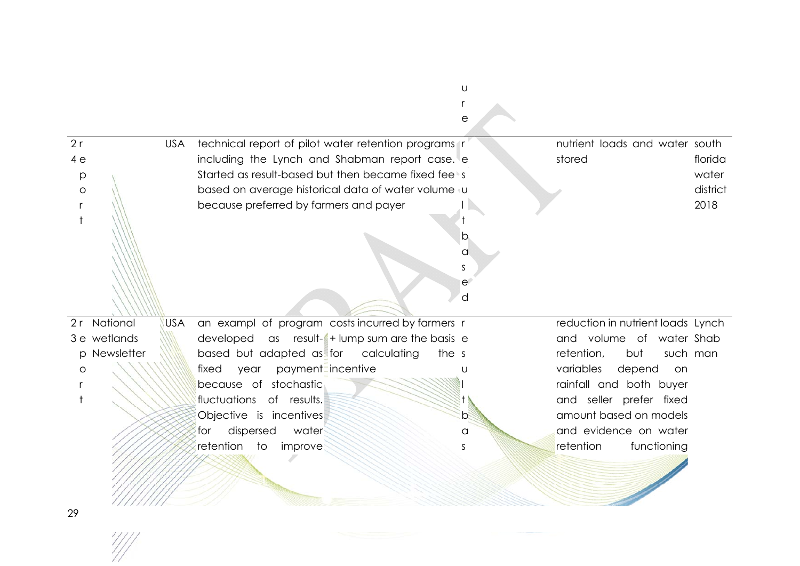|         |              |            |                                                      | е            |                                   |          |
|---------|--------------|------------|------------------------------------------------------|--------------|-----------------------------------|----------|
| 2r      |              | <b>USA</b> | technical report of pilot water retention programs r |              | nutrient loads and water south    |          |
| 4e      |              |            | including the Lynch and Shabman report case. e       |              | stored                            | florida  |
| p       |              |            | Started as result-based but then became fixed feets  |              |                                   | water    |
| O       |              |            | based on average historical data of water volume vu  |              |                                   | district |
|         |              |            | because preferred by farmers and payer               |              |                                   | 2018     |
|         |              |            |                                                      |              |                                   |          |
|         |              |            |                                                      | b            |                                   |          |
|         |              |            |                                                      | a            |                                   |          |
|         |              |            |                                                      | <sub>S</sub> |                                   |          |
|         |              |            |                                                      | $\mathsf{e}$ |                                   |          |
|         |              |            |                                                      | d            |                                   |          |
| 2r      | National     | <b>USA</b> | an exampl of program costs incurred by farmers r     |              | reduction in nutrient loads Lynch |          |
|         | 3 e wetlands |            |                                                      |              | and volume of water Shab          |          |
|         |              |            | developed as result-1+ lump sum are the basis e      |              |                                   |          |
|         | p Newsletter |            | based but adapted as for calculating<br>the s        |              | retention,<br>but<br>such man     |          |
| $\circ$ |              |            | payment=incentive<br>fixed<br>year                   |              | variables<br>depend<br>on         |          |
|         |              |            | because of stochastic                                |              | rainfall and both buyer           |          |
|         |              |            | fluctuations of results.                             |              | and seller prefer fixed           |          |
|         |              |            | Objective is incentives                              | b.           | amount based on models            |          |
|         |              |            | dispersed<br>water<br>for                            | a            | and evidence on water             |          |
|         |              |            | retention<br>to<br>improve                           | S            | retention<br>functioning          |          |
|         |              |            |                                                      |              |                                   |          |
|         |              |            |                                                      |              |                                   |          |
|         |              |            |                                                      |              |                                   |          |
|         |              |            |                                                      |              |                                   |          |

u r

29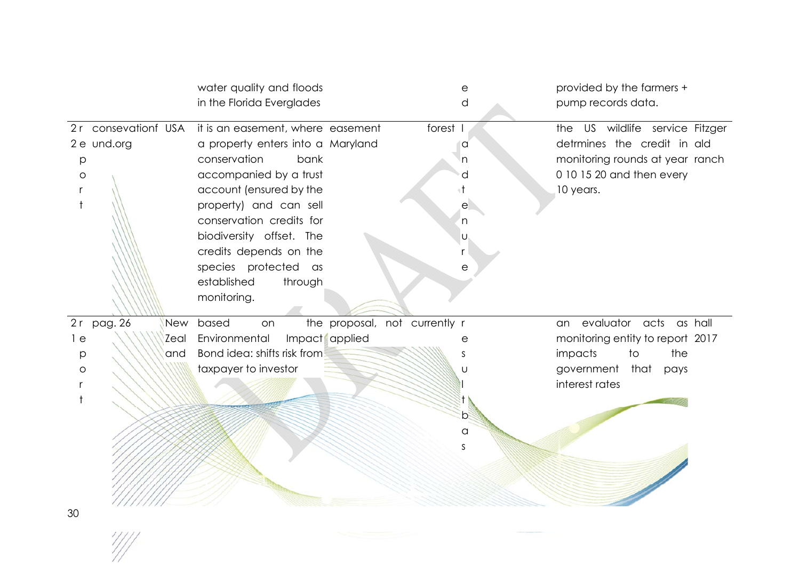|                                                                  | water quality and floods<br>in the Florida Everglades                                                                                                                                                                                                                                                                            |                               | е<br>d                                  | provided by the farmers +<br>pump records data.                                                                                                |
|------------------------------------------------------------------|----------------------------------------------------------------------------------------------------------------------------------------------------------------------------------------------------------------------------------------------------------------------------------------------------------------------------------|-------------------------------|-----------------------------------------|------------------------------------------------------------------------------------------------------------------------------------------------|
| 2r consevationf USA<br>2 e und.org<br>р<br>$\circ$               | it is an easement, where easement<br>a property enters into a Maryland<br>conservation<br>bank<br>accompanied by a trust<br>account (ensured by the<br>property) and can sell<br>conservation credits for<br>biodiversity offset. The<br>credits depends on the<br>species protected as<br>established<br>through<br>monitoring. |                               | forest I<br>a<br>n<br>е<br>'n<br>U<br>е | US wildlife service Fitzger<br>the<br>detrmines the credit in ald<br>monitoring rounds at year ranch<br>0 10 15 20 and then every<br>10 years. |
| 2r<br>pag. 26<br>New<br>1 e<br>Zeal<br>and<br>р<br>$\circ$<br>ว∩ | based<br>on<br>Impact applied<br>Environmental<br>Bond idea: shifts risk from<br>taxpayer to investor                                                                                                                                                                                                                            | the proposal, not currently r | е<br>S<br>U<br>b<br>$\alpha$<br>S       | evaluator acts as hall<br>an<br>monitoring entity to report 2017<br>impacts<br>the<br>to<br>that<br>government<br>pays<br>interest rates       |

 $\frac{1}{2}$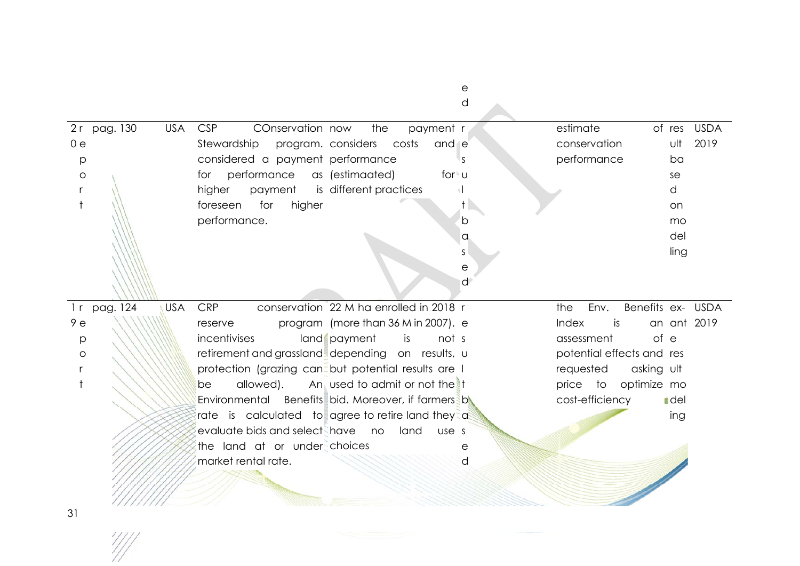e d

 $\Delta \mathbf{r}$ 

|              |                                                                                                                       |                                                                                                                                                                                                                                                                                                                                                                                                                                                                                                                                                             | of res USDA                                            |
|--------------|-----------------------------------------------------------------------------------------------------------------------|-------------------------------------------------------------------------------------------------------------------------------------------------------------------------------------------------------------------------------------------------------------------------------------------------------------------------------------------------------------------------------------------------------------------------------------------------------------------------------------------------------------------------------------------------------------|--------------------------------------------------------|
|              |                                                                                                                       |                                                                                                                                                                                                                                                                                                                                                                                                                                                                                                                                                             | ult<br>2019                                            |
|              | IS.                                                                                                                   |                                                                                                                                                                                                                                                                                                                                                                                                                                                                                                                                                             | ba                                                     |
|              | for ⊎                                                                                                                 |                                                                                                                                                                                                                                                                                                                                                                                                                                                                                                                                                             | se                                                     |
|              |                                                                                                                       |                                                                                                                                                                                                                                                                                                                                                                                                                                                                                                                                                             | d                                                      |
|              |                                                                                                                       |                                                                                                                                                                                                                                                                                                                                                                                                                                                                                                                                                             | on.                                                    |
|              | b                                                                                                                     |                                                                                                                                                                                                                                                                                                                                                                                                                                                                                                                                                             | mo                                                     |
|              | <b>a</b>                                                                                                              |                                                                                                                                                                                                                                                                                                                                                                                                                                                                                                                                                             | del                                                    |
|              | S.                                                                                                                    |                                                                                                                                                                                                                                                                                                                                                                                                                                                                                                                                                             | ling                                                   |
|              | е                                                                                                                     |                                                                                                                                                                                                                                                                                                                                                                                                                                                                                                                                                             |                                                        |
|              | ď                                                                                                                     |                                                                                                                                                                                                                                                                                                                                                                                                                                                                                                                                                             |                                                        |
|              |                                                                                                                       |                                                                                                                                                                                                                                                                                                                                                                                                                                                                                                                                                             |                                                        |
|              |                                                                                                                       |                                                                                                                                                                                                                                                                                                                                                                                                                                                                                                                                                             | Benefits ex- USDA                                      |
|              |                                                                                                                       | Index<br>is                                                                                                                                                                                                                                                                                                                                                                                                                                                                                                                                                 | an ant 2019                                            |
| land payment | is<br>not s                                                                                                           | assessment                                                                                                                                                                                                                                                                                                                                                                                                                                                                                                                                                  | of e                                                   |
|              |                                                                                                                       | potential effects and res                                                                                                                                                                                                                                                                                                                                                                                                                                                                                                                                   |                                                        |
|              |                                                                                                                       | requested                                                                                                                                                                                                                                                                                                                                                                                                                                                                                                                                                   | asking ult                                             |
|              |                                                                                                                       | price to optimize mo                                                                                                                                                                                                                                                                                                                                                                                                                                                                                                                                        |                                                        |
|              |                                                                                                                       | cost-efficiency                                                                                                                                                                                                                                                                                                                                                                                                                                                                                                                                             | <b>I</b> del                                           |
|              |                                                                                                                       |                                                                                                                                                                                                                                                                                                                                                                                                                                                                                                                                                             | ing                                                    |
|              |                                                                                                                       |                                                                                                                                                                                                                                                                                                                                                                                                                                                                                                                                                             |                                                        |
|              |                                                                                                                       |                                                                                                                                                                                                                                                                                                                                                                                                                                                                                                                                                             |                                                        |
|              |                                                                                                                       |                                                                                                                                                                                                                                                                                                                                                                                                                                                                                                                                                             |                                                        |
|              |                                                                                                                       |                                                                                                                                                                                                                                                                                                                                                                                                                                                                                                                                                             |                                                        |
|              |                                                                                                                       |                                                                                                                                                                                                                                                                                                                                                                                                                                                                                                                                                             |                                                        |
|              |                                                                                                                       |                                                                                                                                                                                                                                                                                                                                                                                                                                                                                                                                                             |                                                        |
| allowed).    | COnservation now<br>higher<br>evaluate bids and select have no<br>the land at or under choices<br>market rental rate. | the<br>payment r<br>Stewardship program. considers costs<br>and e<br>considered a payment performance<br>for performance as (estimaated)<br>payment is different practices<br>conservation 22 M ha enrolled in 2018 r<br>program (more than 36 M in 2007). e<br>retirement and grassland depending on results, u<br>protection (grazing can but potential results are I<br>An, used to admit or not the $\uparrow$ t<br>Environmental Benefits bid. Moreover, if farmers by<br>rate is calculated to agree to retire land they a<br>land<br>use s<br>е<br>d | estimate<br>conservation<br>performance<br>the<br>Env. |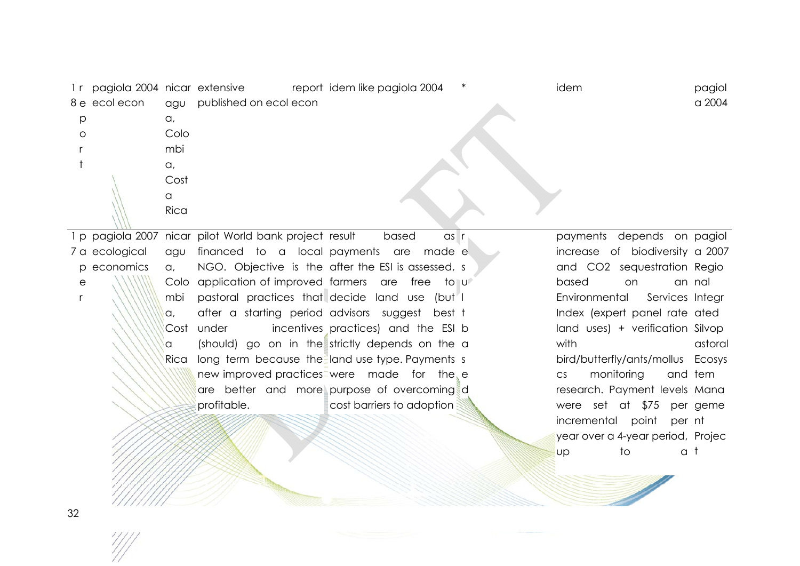1 r pagiola 2004 nicar extensive report 8 e ecol econ l p or t agu published on ecol econ a, Colombi a, Costa Rica idem like pagiola 2004 \* idem pagiol a 2004

1 p pagiola 2007 nicar pilot World bank project 7 a ecological p economics agu a, Colo application of improved farmers are free to u mbi a, Cost under a Rica long term because the land use type. Payments s financed to a local payments are made e NGO. Objective is the after the ESI is assessed, s pastoral practices that decide land use (but after a starting period advisors suggest best t under incentives practices) and the ESI b (should) go on in the strictly depends on the a new improved practices were made for the e are better and more purpose of overcoming d profitable. based r cost barriers to adoption

payments depends on pagiol increase of biodiversity a 2007 and CO2 sequestration Regio based on an Environmental Integr Index (expert panel rate ated land uses) + verification Silvop with bird/butterfly/ants/mollus Ecosys cs monitoring research. Payment levels Mana were set at \$75 per geme incremental point per nt year over a 4-year period, Projec up to an nal astoral tem a t

er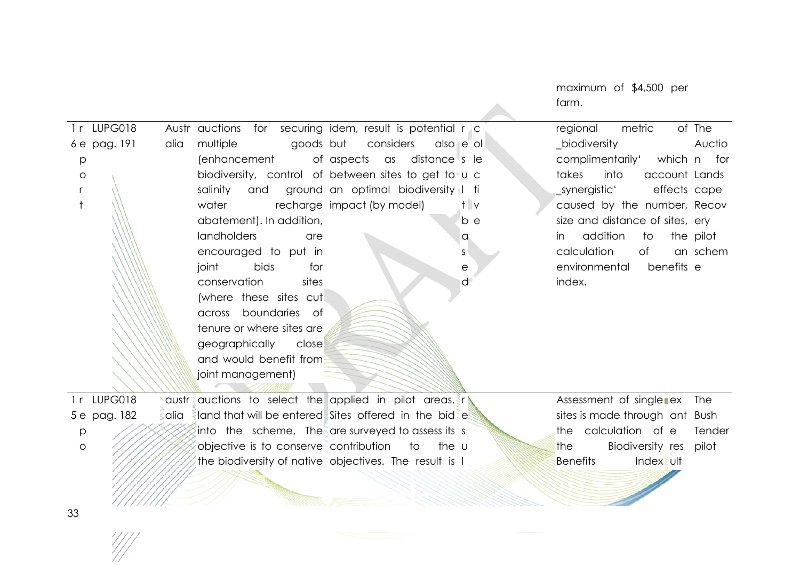farm. 1rLUPG018 6 e pag. 191 p or t Austr auctions for securing idem, result is potential r c alia multiple goods (enhancement biodiversity, control of between sites to get to u c salinity and ground-an-optimal biodiversity I ti water recharge impact (by model) abatement). In addition, landholders are encouraged to put in joint bids for conservation sites (where these sites cut across boundaries of tenure or where sites are geographically close and would benefit from joint management) goods but considers aspects as distance s le e ol t vb e asedregional metric \_biodiversity complimentarily' takes into account Landssynergistic' caused by the number, Recov size and distance of sites, ery in addition to pilot calculation of environmental index. of The Auction for effects cape schembenefits e 1r LUPG018 5 e pag. 182 p oaustr auctions to select the applied in pilot areas. In alia eland that will be entered Sites offered in the bidee into the scheme, The are surveyed to assess its s objective is to conserve contribution to the u the biodiversity of native objectives. The result is lAssessment of single ex The sites is made through ant Bush the calculation of e the Biodiversity res **Benefits**  ult Tender pilot

maximum of \$4,500 per

33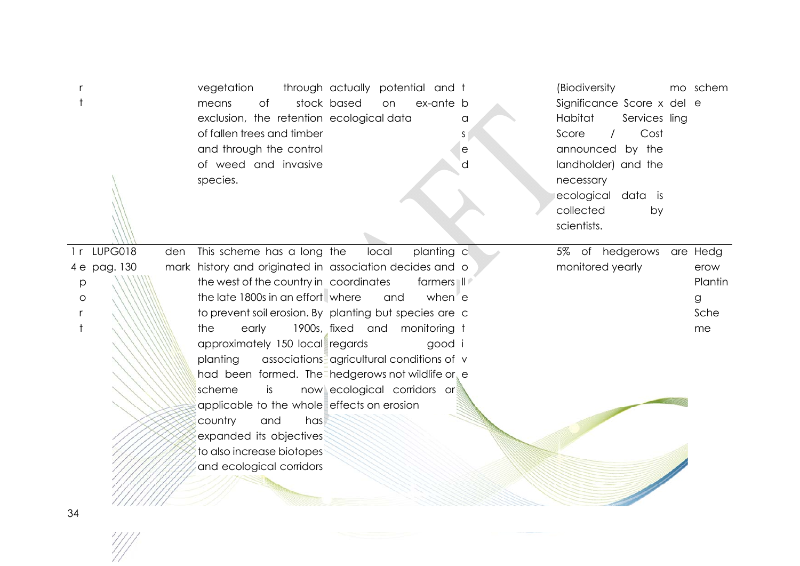|         |              |     | vegetation<br>stock based<br>means<br>of<br>exclusion, the retention ecological data<br>of fallen trees and timber<br>and through the control<br>of weed and invasive<br>species. | through actually potential and t<br>ex-ante b<br>on | a<br>S<br>е<br>d | (Biodiversity<br>Significance Score x del e<br>Habitat<br>Services ling<br>Cost<br>Score<br>$\prime$<br>announced by the<br>landholder) and the<br>necessary<br>ecological data is<br>collected<br>by<br>scientists. | mo schem |
|---------|--------------|-----|-----------------------------------------------------------------------------------------------------------------------------------------------------------------------------------|-----------------------------------------------------|------------------|----------------------------------------------------------------------------------------------------------------------------------------------------------------------------------------------------------------------|----------|
| 1r      | LUPG018      | den | This scheme has a long the                                                                                                                                                        | planting c<br>local                                 |                  | 5% of hedgerows                                                                                                                                                                                                      | are Hedg |
|         | 4 e pag. 130 |     | mark history and originated in association decides and o                                                                                                                          |                                                     |                  | monitored yearly                                                                                                                                                                                                     | erow     |
| p       |              |     | the west of the country in coordinates                                                                                                                                            | farmers II                                          |                  |                                                                                                                                                                                                                      | Plantin  |
| $\circ$ |              |     | the late 1800s in an effort where                                                                                                                                                 | when e<br>and                                       |                  |                                                                                                                                                                                                                      | g        |
|         |              |     | to prevent soil erosion. By planting but species are c                                                                                                                            |                                                     |                  |                                                                                                                                                                                                                      | Sche     |
|         |              |     | the<br>early                                                                                                                                                                      | 1900s, fixed and monitoring t                       |                  |                                                                                                                                                                                                                      | me       |
|         |              |     | approximately 150 local regards                                                                                                                                                   | good i                                              |                  |                                                                                                                                                                                                                      |          |
|         |              |     | planting                                                                                                                                                                          | associations agricultural conditions of v           |                  |                                                                                                                                                                                                                      |          |
|         |              |     | had been formed. The hedgerows not wildlife or e                                                                                                                                  |                                                     |                  |                                                                                                                                                                                                                      |          |
|         |              |     | scheme<br>is                                                                                                                                                                      | now ecological corridors or                         |                  |                                                                                                                                                                                                                      |          |
|         |              |     | applicable to the whole effects on erosion                                                                                                                                        |                                                     |                  |                                                                                                                                                                                                                      |          |
|         |              |     | country<br>and<br>has                                                                                                                                                             |                                                     |                  |                                                                                                                                                                                                                      |          |
|         |              |     | expanded its objectives                                                                                                                                                           |                                                     |                  |                                                                                                                                                                                                                      |          |
|         |              |     | to also increase biotopes                                                                                                                                                         |                                                     |                  |                                                                                                                                                                                                                      |          |
|         |              |     | and ecological corridors                                                                                                                                                          |                                                     |                  |                                                                                                                                                                                                                      |          |
|         |              |     |                                                                                                                                                                                   |                                                     |                  |                                                                                                                                                                                                                      |          |

 $\frac{\frac{1}{2}}{\frac{1}{2}}$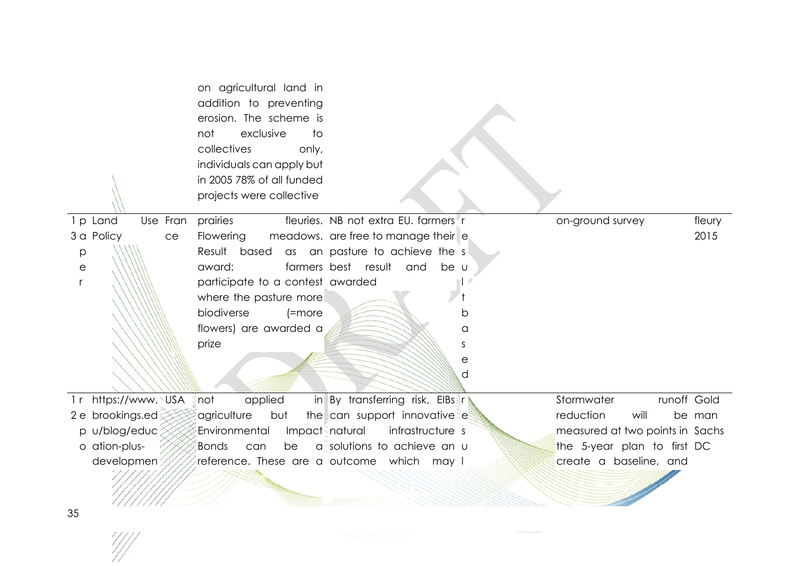|                         | on agricultural land in<br>addition to preventing<br>erosion. The scheme is<br>exclusive<br>not<br>to<br>collectives<br>only,<br>individuals can apply but<br>in 2005 78% of all funded |                                      |    |                                 |        |
|-------------------------|-----------------------------------------------------------------------------------------------------------------------------------------------------------------------------------------|--------------------------------------|----|---------------------------------|--------|
|                         | projects were collective                                                                                                                                                                |                                      |    |                                 |        |
| Use Fran<br>1 p Land    | prairies                                                                                                                                                                                | fleuries. NB not extra EU, farmers r |    | on-ground survey                | fleury |
| 3 a Policy<br>ce        | <b>Flowering</b>                                                                                                                                                                        | meadows. are free to manage their e  |    |                                 | 2015   |
| p                       | Result                                                                                                                                                                                  | based as an pasture to achieve the s |    |                                 |        |
| $\mathop{\mathrm{e}}$   | award:                                                                                                                                                                                  | farmers best result and<br>be u      |    |                                 |        |
|                         | participate to a contest awarded                                                                                                                                                        |                                      |    |                                 |        |
|                         | where the pasture more                                                                                                                                                                  |                                      |    |                                 |        |
|                         | biodiverse<br>$[=more]$                                                                                                                                                                 |                                      | b  |                                 |        |
|                         | flowers) are awarded a                                                                                                                                                                  |                                      | a  |                                 |        |
|                         | prize                                                                                                                                                                                   |                                      | S. |                                 |        |
|                         |                                                                                                                                                                                         |                                      | е  |                                 |        |
|                         |                                                                                                                                                                                         |                                      | d  |                                 |        |
| https://www. USA<br>l r | applied<br>not                                                                                                                                                                          | in By transferring risk, EIBs r      |    | Stormwater<br>runoff Gold       |        |
| 2 e brookings.ed        | agriculture<br>but                                                                                                                                                                      | the can support innovative e         |    | reduction<br>will               | be man |
| p u/blog/educ           | Environmental<br>Impact natural                                                                                                                                                         | infrastructure s                     |    | measured at two points in Sachs |        |
| o ation-plus-           | <b>Bonds</b><br>can<br>be                                                                                                                                                               | assolutions to achieve an u          |    | the 5-year plan to first DC     |        |
| developmen              | reference. These are a outcome which may I                                                                                                                                              |                                      |    | create a baseline, and          |        |
|                         |                                                                                                                                                                                         |                                      |    |                                 |        |

 $\frac{\frac{1}{2}}{\frac{1}{2}}$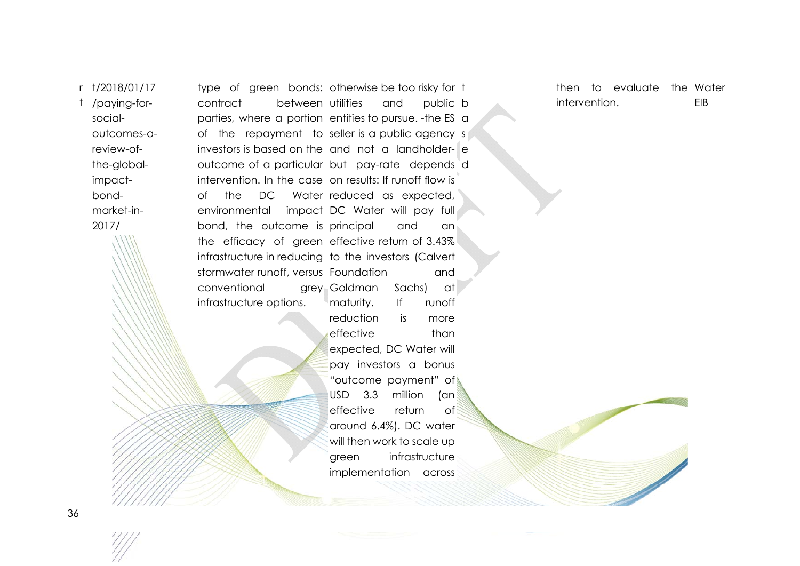r t/2018/01/17

t /paying-forsocialoutcomes-areview-ofthe-globalimpactbondmarket-in-2017/

type of green bonds: otherwise.be.too.risky.for t contract between parties, where a portion entities to pursue. -the ES a of the repayment to seller is a public agency s investors is based on the and not a landholder-eoutcome of a particular but pay-rate depends d intervention. In the case on results: If runoff flow is of the DC Water reduced as expected, environmental impact DC Water will pay full bond, the outcome is principal and an the efficacy of green effective return of 3.43%! infrastructure in reducing to the investors (Calvert stormwater runoff, versus Foundation and conventional infrastructure options. utilities and public bGoldman Sachs) at maturity. If runoff

reduction is more effective than expected, DC Water will pay investors a bonus "outcome payment" of USD 3.3 million (an effective return  $\circ$  f around 6.4%). DC water will then work to scale up areen infrastructure implementation across

then to evaluate the Water intervention. EIB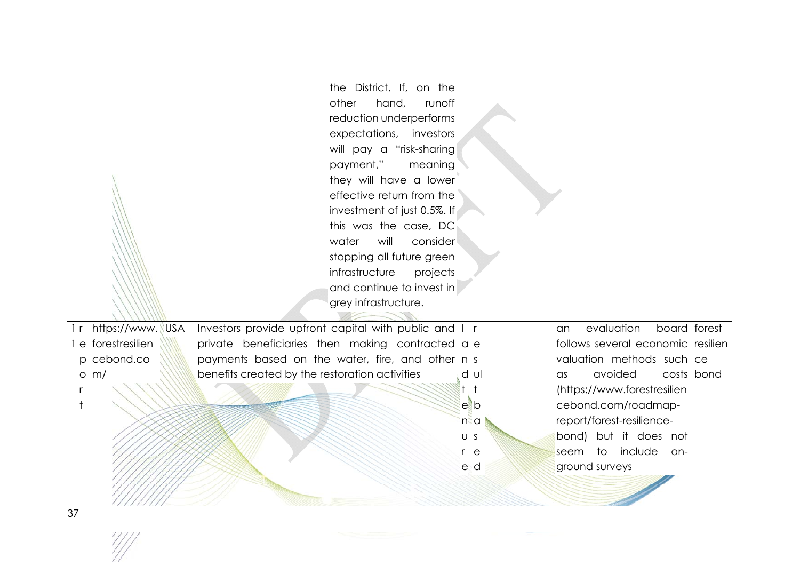the District. If, on the other hand, runoff reduction underperforms expectations, investors will pay a "risk-sharing payment," meaning they will have a lower effective return from the investment of just 0.5%. If this was the case, DC water will consider stopping all future green infrastructure projects and continue to invest in grey infrastructure. 1 r https://www. 1 e forestresilien p cebond.co o m/ rt USA Investors provide upfront capital with public and I r private beneficiaries then making contracted a e payments based on the water, fire, and other n s benefits created by the restoration activities dul t t e b n a usr e e d an evaluation board forest follows several economic resilien valuation methods such ce as avoided (https://www.forestresilien cebond.com/roadmapreport/forest-resiliencebond) but it does not seem to include onground surveys costs bond

37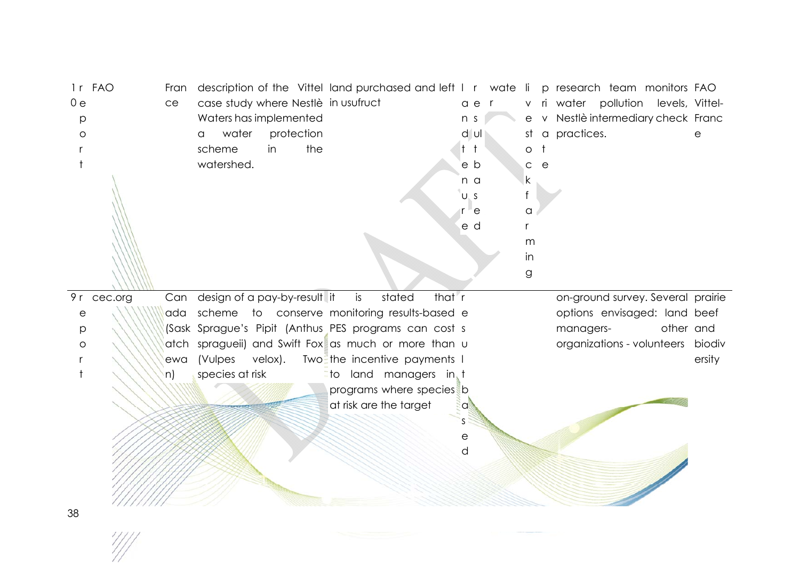| 1r FAO |            | Fran |                                  |    |         |            |                                     | description of the Vittel land purchased and left I r wate li p research team monitors FAO |        |                |       |         |              |                                      |  |           |
|--------|------------|------|----------------------------------|----|---------|------------|-------------------------------------|--------------------------------------------------------------------------------------------|--------|----------------|-------|---------|--------------|--------------------------------------|--|-----------|
| 0e     |            | ce   |                                  |    |         |            | case study where Nestlè in usufruct |                                                                                            |        |                | a e r |         |              | v ri water pollution levels, Vittel- |  |           |
| p      |            |      | Waters has implemented           |    |         |            |                                     |                                                                                            |        | n <sub>s</sub> |       | e       |              | v Nestlè intermediary check Franc    |  |           |
| O      |            |      | water<br>a                       |    |         | protection |                                     |                                                                                            |        |                | dul   | .st     |              | a practices.                         |  |           |
|        |            |      | scheme                           | in |         | the        |                                     |                                                                                            |        | $t$ $t$        |       | $\circ$ |              |                                      |  |           |
|        |            |      | watershed.                       |    |         |            |                                     |                                                                                            |        | e b            |       | C.      | $\mathsf{e}$ |                                      |  |           |
|        |            |      |                                  |    |         |            |                                     |                                                                                            |        | n a            |       | k       |              |                                      |  |           |
|        |            |      |                                  |    |         |            |                                     |                                                                                            |        | U <sub>S</sub> |       |         |              |                                      |  |           |
|        |            |      |                                  |    |         |            |                                     |                                                                                            |        | r e            |       | a       |              |                                      |  |           |
|        |            |      |                                  |    |         |            |                                     |                                                                                            |        | e d            |       |         |              |                                      |  |           |
|        |            |      |                                  |    |         |            |                                     |                                                                                            |        |                |       | m       |              |                                      |  |           |
|        |            |      |                                  |    |         |            |                                     |                                                                                            |        |                |       | in      |              |                                      |  |           |
|        |            |      |                                  |    |         |            |                                     |                                                                                            |        |                |       | g       |              |                                      |  |           |
|        |            |      |                                  |    |         |            |                                     |                                                                                            |        |                |       |         |              |                                      |  |           |
|        | 9r cec.org |      | Can design of a pay-by-result it |    |         |            | is                                  | stated                                                                                     | that r |                |       |         |              | on-ground survey. Several prairie    |  |           |
| е      |            | ada  |                                  |    |         |            |                                     | scheme to conserve monitoring results-based e                                              |        |                |       |         |              | options envisaged: land beef         |  |           |
| р      |            |      |                                  |    |         |            |                                     | (Sask Sprague's Pipit (Anthus PES programs can cost s                                      |        |                |       |         |              | managers-                            |  | other and |
| O      |            |      |                                  |    |         |            |                                     | atch spragueii) and Swift Fox as much or more than u                                       |        |                |       |         |              | organizations - volunteers biodiv    |  |           |
|        |            | ewa  | (Vulpes                          |    | velox). |            |                                     | Two <sup>2</sup> the incentive payments I                                                  |        |                |       |         |              |                                      |  | ersity    |
|        |            | n)   | species at risk                  |    |         |            |                                     | <b>Eto</b> land managers in t                                                              |        |                |       |         |              |                                      |  |           |
|        |            |      |                                  |    |         |            |                                     | programs where species b                                                                   |        |                |       |         |              |                                      |  |           |
|        |            |      |                                  |    |         |            |                                     | at risk are the target                                                                     |        | $\alpha$       |       |         |              |                                      |  |           |
|        |            |      |                                  |    |         |            |                                     |                                                                                            |        | S.             |       |         |              |                                      |  |           |
|        |            |      |                                  |    |         |            |                                     |                                                                                            |        | е              |       |         |              |                                      |  |           |
|        |            |      |                                  |    |         |            |                                     |                                                                                            |        | d              |       |         |              |                                      |  |           |
|        |            |      |                                  |    |         |            |                                     |                                                                                            |        |                |       |         |              |                                      |  |           |
|        |            |      |                                  |    |         |            |                                     |                                                                                            |        |                |       |         |              |                                      |  |           |
|        |            |      |                                  |    |         |            |                                     |                                                                                            |        |                |       |         |              |                                      |  |           |

38

 $\frac{1}{2}$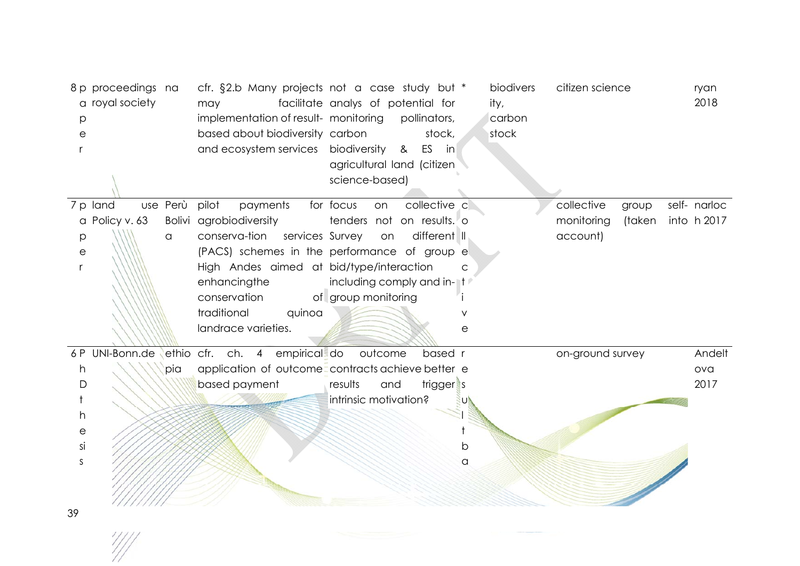| p<br>е                    | 8 p proceedings na<br>a royal society |          | cfr. §2.b Many projects not a case study but *<br>may<br>implementation of result- monitoring<br>based about biodiversity carbon<br>and ecosystem services biodiversity | facilitate analys of potential for<br>pollinators,<br>stock,<br>ES in<br>&<br>agricultural land (citizen<br>science-based) | biodivers<br>ity,<br>carbon<br>stock | citizen science      | ryan<br>2018 |
|---------------------------|---------------------------------------|----------|-------------------------------------------------------------------------------------------------------------------------------------------------------------------------|----------------------------------------------------------------------------------------------------------------------------|--------------------------------------|----------------------|--------------|
|                           | 7 p land                              | use Perù | pilot<br>payments                                                                                                                                                       | for focus<br>collective c<br>on                                                                                            |                                      | collective<br>group  | self- narloc |
|                           | a Policy v. 63                        |          | Bolivi agrobiodiversity                                                                                                                                                 | tenders not on results. o                                                                                                  |                                      | monitoring<br>(taken | into h 2017  |
| р                         |                                       | a        | conserva-tion<br>services Survey                                                                                                                                        | different II<br>on                                                                                                         |                                      | account)             |              |
| $\mathop{\rm e}\nolimits$ |                                       |          |                                                                                                                                                                         | (PACS) schemes in the performance of group e                                                                               |                                      |                      |              |
|                           |                                       |          | High Andes aimed at bid/type/interaction                                                                                                                                |                                                                                                                            | $\mathsf{C}$                         |                      |              |
|                           |                                       |          | enhancingthe                                                                                                                                                            | including comply and in-                                                                                                   |                                      |                      |              |
|                           |                                       |          | conservation                                                                                                                                                            | of group monitoring                                                                                                        |                                      |                      |              |
|                           |                                       |          | traditional<br>quinoa                                                                                                                                                   |                                                                                                                            |                                      |                      |              |
|                           |                                       |          | landrace varieties.                                                                                                                                                     |                                                                                                                            | е                                    |                      |              |
|                           |                                       |          | 6P UNI-Bonn.de ethio cfr. ch. 4 empirical do outcome                                                                                                                    | based r                                                                                                                    |                                      | on-ground survey     | Andelt       |
| h                         |                                       | pia      | application of outcome=contracts achieve better e                                                                                                                       |                                                                                                                            |                                      |                      | ova          |
| D                         |                                       |          | based payment                                                                                                                                                           | trigger <sup>s</sup><br>results<br>and                                                                                     |                                      |                      | 2017         |
|                           |                                       |          |                                                                                                                                                                         | intrinsic motivation?                                                                                                      |                                      |                      |              |
| h                         |                                       |          |                                                                                                                                                                         |                                                                                                                            |                                      |                      |              |
| e                         |                                       |          |                                                                                                                                                                         |                                                                                                                            |                                      |                      |              |
| si                        |                                       |          |                                                                                                                                                                         |                                                                                                                            | b                                    |                      |              |
| S                         |                                       |          |                                                                                                                                                                         |                                                                                                                            | a                                    |                      |              |
|                           |                                       |          |                                                                                                                                                                         |                                                                                                                            |                                      |                      |              |
|                           |                                       |          |                                                                                                                                                                         |                                                                                                                            |                                      |                      |              |
| 39                        |                                       |          |                                                                                                                                                                         |                                                                                                                            |                                      |                      |              |

 $\frac{1}{2}$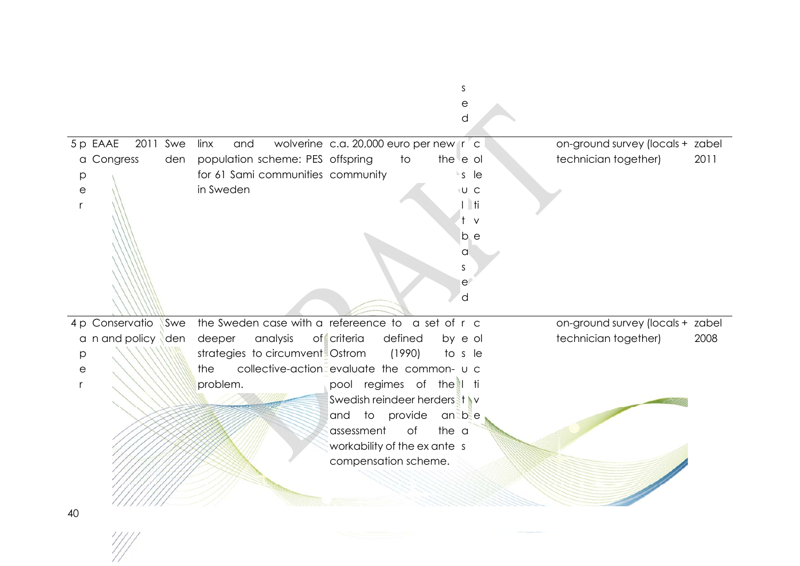|                           |                      |     |             |                                                   |                                        |                   | е                |           |                                  |      |
|---------------------------|----------------------|-----|-------------|---------------------------------------------------|----------------------------------------|-------------------|------------------|-----------|----------------------------------|------|
|                           |                      |     |             |                                                   |                                        |                   | d                |           |                                  |      |
|                           |                      |     |             |                                                   |                                        |                   |                  |           |                                  |      |
|                           | 5 p EAAE<br>2011 Swe |     | and<br>linx |                                                   | wolverine c.a. 20,000 euro per new r c |                   |                  |           | on-ground survey (locals + zabel |      |
|                           | a Congress           | den |             | population scheme: PES offspring                  |                                        | to                | the e ol         |           | technician together)             | 2011 |
| р                         |                      |     |             | for 61 Sami communities community                 |                                        |                   | $\cdot s$ le     |           |                                  |      |
| $\mathop{\rm e}\nolimits$ |                      |     | in Sweden   |                                                   |                                        |                   | <sup>+</sup> U C |           |                                  |      |
|                           |                      |     |             |                                                   |                                        |                   |                  | <b>ti</b> |                                  |      |
|                           |                      |     |             |                                                   |                                        |                   |                  | $\vee$    |                                  |      |
|                           |                      |     |             |                                                   |                                        |                   |                  | b e       |                                  |      |
|                           |                      |     |             |                                                   |                                        |                   | a                |           |                                  |      |
|                           |                      |     |             |                                                   |                                        |                   | S                |           |                                  |      |
|                           |                      |     |             |                                                   |                                        |                   | e                |           |                                  |      |
|                           |                      |     |             |                                                   |                                        |                   | d                |           |                                  |      |
|                           |                      |     |             |                                                   |                                        |                   |                  |           |                                  |      |
|                           | 4 p Conservatio      | Swe |             | the Sweden case with a refereence to a set of r c |                                        |                   |                  |           | on-ground survey (locals + zabel |      |
|                           | a n and policy den   |     | deeper      | analysis                                          | of criteria                            | defined           | by e ol          |           | technician together)             | 2008 |
| р                         |                      |     |             | strategies to circumvent. Ostrom                  |                                        | (1990)            | to s le          |           |                                  |      |
| $\mathop{\mathrm{e}}$     |                      |     |             |                                                   |                                        |                   |                  |           |                                  |      |
|                           |                      |     | the         | collective-action=evaluate the common- u c        |                                        |                   |                  |           |                                  |      |
|                           |                      |     | problem.    |                                                   | pool regimes of the I ti               |                   |                  |           |                                  |      |
|                           |                      |     |             |                                                   | Swedish reindeer herders it v          |                   |                  |           |                                  |      |
|                           |                      |     |             |                                                   | and                                    | to provide an bee |                  |           |                                  |      |
|                           |                      |     |             |                                                   | assessment                             | of                | the a            |           |                                  |      |
|                           |                      |     |             |                                                   |                                        |                   |                  |           |                                  |      |
|                           |                      |     |             |                                                   | workability of the ex ante s           |                   |                  |           |                                  |      |
|                           |                      |     |             |                                                   | compensation scheme.                   |                   |                  |           |                                  |      |
|                           |                      |     |             |                                                   |                                        |                   |                  |           |                                  |      |

s

 $\frac{1}{2}$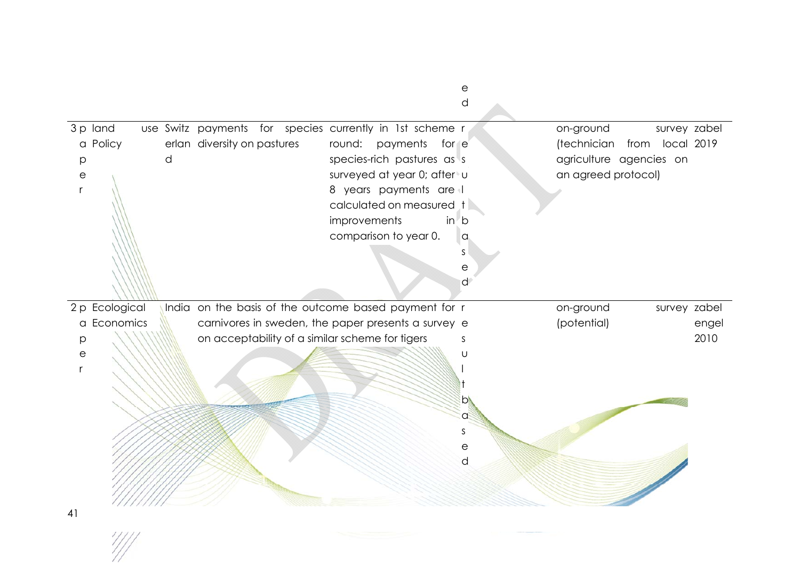|                |   |                             |                                                          |              |                             |        | е<br>d       |                         |                    |       |
|----------------|---|-----------------------------|----------------------------------------------------------|--------------|-----------------------------|--------|--------------|-------------------------|--------------------|-------|
|                |   |                             |                                                          |              |                             |        |              |                         |                    |       |
| 3 p land       |   |                             | use Switz payments for species currently in 1st scheme r |              |                             |        |              | on-ground               | survey zabel       |       |
| a Policy       |   | erlan diversity on pastures |                                                          | round:       | payments                    | for e  |              | (technician             | local 2019<br>from |       |
| p              | d |                             |                                                          |              | species-rich pastures as s  |        |              | agriculture agencies on |                    |       |
| e              |   |                             |                                                          |              | surveyed at year 0; after u |        |              | an agreed protocol)     |                    |       |
|                |   |                             |                                                          |              | 8 years payments are        |        |              |                         |                    |       |
|                |   |                             |                                                          |              | calculated on measured t    |        |              |                         |                    |       |
|                |   |                             |                                                          | improvements |                             | $in$ b |              |                         |                    |       |
|                |   |                             |                                                          |              | comparison to year 0.       |        | a            |                         |                    |       |
|                |   |                             |                                                          |              |                             | S      |              |                         |                    |       |
|                |   |                             |                                                          |              |                             |        | $\mathsf{e}$ |                         |                    |       |
|                |   |                             |                                                          |              |                             |        | $\mathsf{d}$ |                         |                    |       |
| 2 p Ecological |   |                             | India on the basis of the outcome based payment for r    |              |                             |        |              | on-ground               | survey zabel       |       |
| a Economics    |   |                             | carnivores in sweden, the paper presents a survey e      |              |                             |        |              | (potential)             |                    | engel |
| p              |   |                             | on acceptability of a similar scheme for tigers          |              |                             | S.     |              |                         |                    | 2010  |
| е              |   |                             |                                                          |              |                             |        | U            |                         |                    |       |
|                |   |                             |                                                          |              |                             |        |              |                         |                    |       |
|                |   |                             |                                                          |              |                             |        |              |                         |                    |       |
|                |   |                             |                                                          |              |                             |        | $\mathsf{D}$ |                         |                    |       |
|                |   |                             |                                                          |              |                             |        | $\alpha$     |                         |                    |       |
|                |   |                             |                                                          |              |                             | S      |              |                         |                    |       |
|                |   |                             |                                                          |              |                             |        | $\mathsf{e}$ |                         |                    |       |
|                |   |                             |                                                          |              |                             |        | d            |                         |                    |       |
|                |   |                             |                                                          |              |                             |        |              |                         |                    |       |
|                |   |                             |                                                          |              |                             |        |              |                         |                    |       |
| 41             |   |                             |                                                          |              |                             |        |              |                         |                    |       |
|                |   |                             |                                                          |              |                             |        |              |                         |                    |       |

 $\frac{1}{2}$